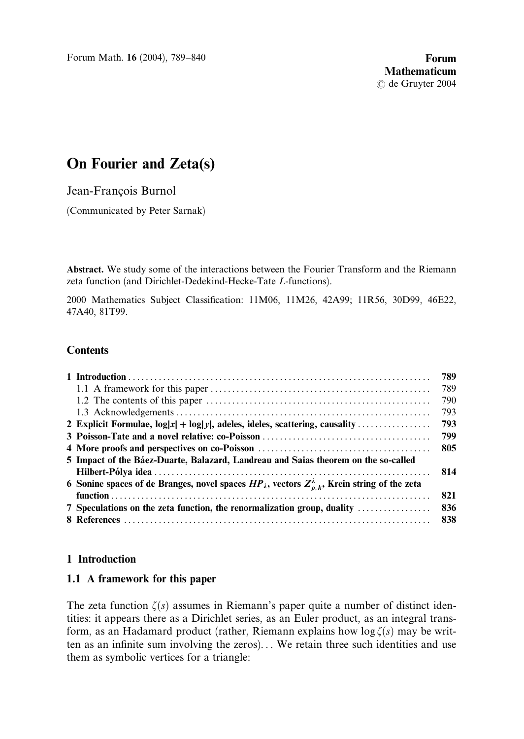Forum Math. 16 (2004), 789–840 **Forum Forum** 

# On Fourier and Zeta(s)

Jean-François Burnol

(Communicated by Peter Sarnak)

Abstract. We study some of the interactions between the Fourier Transform and the Riemann zeta function (and Dirichlet-Dedekind-Hecke-Tate L-functions).

2000 Mathematics Subject Classification: 11M06, 11M26, 42A99; 11R56, 30D99, 46E22, 47A40, 81T99.

# **Contents**

|                                                                                                                    | 789. |
|--------------------------------------------------------------------------------------------------------------------|------|
|                                                                                                                    | 789  |
|                                                                                                                    | 790  |
|                                                                                                                    | 793  |
|                                                                                                                    | 793  |
|                                                                                                                    | 799  |
|                                                                                                                    | 805  |
| 5 Impact of the Báez-Duarte, Balazard, Landreau and Saias theorem on the so-called                                 |      |
|                                                                                                                    | 814  |
| 6 Sonine spaces of de Branges, novel spaces $HP_\lambda$ , vectors $Z_{\rho,k}^\lambda$ , Krein string of the zeta |      |
|                                                                                                                    | 821  |
| 7 Speculations on the zeta function, the renormalization group, duality                                            | 836  |
|                                                                                                                    | 838  |

### 1 Introduction

### 1.1 A framework for this paper

The zeta function  $\zeta(s)$  assumes in Riemann's paper quite a number of distinct identities: it appears there as a Dirichlet series, as an Euler product, as an integral transform, as an Hadamard product (rather, Riemann explains how  $\log \zeta(s)$  may be written as an infinite sum involving the zeros). . . We retain three such identities and use them as symbolic vertices for a triangle: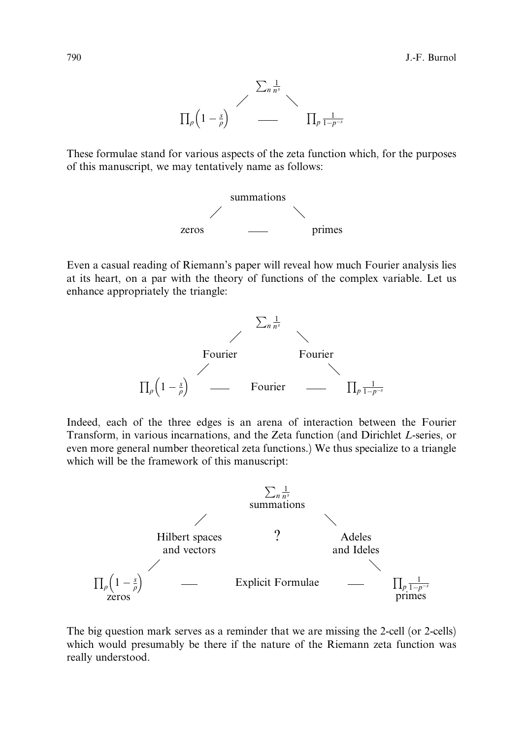

These formulae stand for various aspects of the zeta function which, for the purposes of this manuscript, we may tentatively name as follows:



Even a casual reading of Riemann's paper will reveal how much Fourier analysis lies at its heart, on a par with the theory of functions of the complex variable. Let us enhance appropriately the triangle:



Indeed, each of the three edges is an arena of interaction between the Fourier Transform, in various incarnations, and the Zeta function (and Dirichlet L-series, or even more general number theoretical zeta functions.) We thus specialize to a triangle which will be the framework of this manuscript:



The big question mark serves as a reminder that we are missing the 2-cell (or 2-cells) which would presumably be there if the nature of the Riemann zeta function was really understood.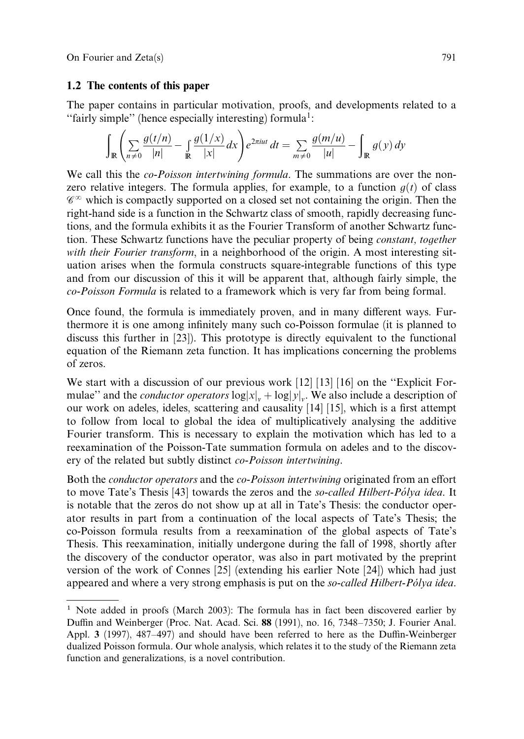#### 1.2 The contents of this paper

The paper contains in particular motivation, proofs, and developments related to a "fairly simple" (hence especially interesting) formula<sup>1</sup>:

$$
\int_{\mathbb{R}} \left( \sum_{n \neq 0} \frac{g(t/n)}{|n|} - \int_{\mathbb{R}} \frac{g(1/x)}{|x|} dx \right) e^{2\pi iut} dt = \sum_{m \neq 0} \frac{g(m/u)}{|u|} - \int_{\mathbb{R}} g(y) dy
$$

We call this the *co-Poisson intertwining formula*. The summations are over the nonzero relative integers. The formula applies, for example, to a function  $q(t)$  of class  $\mathscr{C}^{\infty}$  which is compactly supported on a closed set not containing the origin. Then the right-hand side is a function in the Schwartz class of smooth, rapidly decreasing functions, and the formula exhibits it as the Fourier Transform of another Schwartz function. These Schwartz functions have the peculiar property of being constant, together with their Fourier transform, in a neighborhood of the origin. A most interesting situation arises when the formula constructs square-integrable functions of this type and from our discussion of this it will be apparent that, although fairly simple, the co-Poisson Formula is related to a framework which is very far from being formal.

Once found, the formula is immediately proven, and in many different ways. Furthermore it is one among infinitely many such co-Poisson formulae (it is planned to discuss this further in [23]). This prototype is directly equivalent to the functional equation of the Riemann zeta function. It has implications concerning the problems of zeros.

We start with a discussion of our previous work  $\left[12\right] \left[13\right] \left[16\right]$  on the "Explicit Formulae" and the *conductor operators*  $\log |x|_v + \log |y|_v$ . We also include a description of our work on adeles, ideles, scattering and causality [14] [15], which is a first attempt to follow from local to global the idea of multiplicatively analysing the additive Fourier transform. This is necessary to explain the motivation which has led to a reexamination of the Poisson-Tate summation formula on adeles and to the discovery of the related but subtly distinct co-Poisson intertwining.

Both the *conductor operators* and the *co-Poisson intertwining* originated from an effort to move Tate's Thesis [43] towards the zeros and the *so-called Hilbert-Po<sup>lya</sup> idea*. It is notable that the zeros do not show up at all in Tate's Thesis: the conductor operator results in part from a continuation of the local aspects of Tate's Thesis; the co-Poisson formula results from a reexamination of the global aspects of Tate's Thesis. This reexamination, initially undergone during the fall of 1998, shortly after the discovery of the conductor operator, was also in part motivated by the preprint version of the work of Connes [25] (extending his earlier Note [24]) which had just appeared and where a very strong emphasis is put on the *so-called Hilbert-Pólya idea*.

 $1$  Note added in proofs (March 2003): The formula has in fact been discovered earlier by Du‰n and Weinberger (Proc. Nat. Acad. Sci. 88 (1991), no. 16, 7348–7350; J. Fourier Anal. Appl. 3 (1997), 487–497) and should have been referred to here as the Duffin-Weinberger dualized Poisson formula. Our whole analysis, which relates it to the study of the Riemann zeta function and generalizations, is a novel contribution.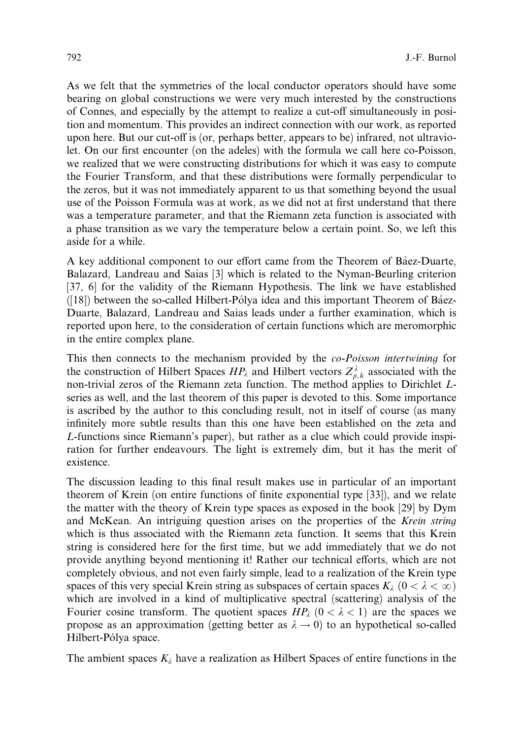As we felt that the symmetries of the local conductor operators should have some bearing on global constructions we were very much interested by the constructions of Connes, and especially by the attempt to realize a cut-off simultaneously in position and momentum. This provides an indirect connection with our work, as reported upon here. But our cut-off is (or, perhaps better, appears to be) infrared, not ultraviolet. On our first encounter (on the adeles) with the formula we call here co-Poisson, we realized that we were constructing distributions for which it was easy to compute the Fourier Transform, and that these distributions were formally perpendicular to the zeros, but it was not immediately apparent to us that something beyond the usual use of the Poisson Formula was at work, as we did not at first understand that there was a temperature parameter, and that the Riemann zeta function is associated with a phase transition as we vary the temperature below a certain point. So, we left this aside for a while.

A key additional component to our effort came from the Theorem of Báez-Duarte, Balazard, Landreau and Saias [3] which is related to the Nyman-Beurling criterion [37, 6] for the validity of the Riemann Hypothesis. The link we have established  $([18])$  between the so-called Hilbert-Pólya idea and this important Theorem of Báez-Duarte, Balazard, Landreau and Saias leads under a further examination, which is reported upon here, to the consideration of certain functions which are meromorphic in the entire complex plane.

This then connects to the mechanism provided by the co-Poisson intertwining for the construction of Hilbert Spaces  $HP_\lambda$  and Hilbert vectors  $Z_{\rho,k}^\lambda$  associated with the non-trivial zeros of the Riemann zeta function. The method applies to Dirichlet Lseries as well, and the last theorem of this paper is devoted to this. Some importance is ascribed by the author to this concluding result, not in itself of course (as many infinitely more subtle results than this one have been established on the zeta and L-functions since Riemann's paper), but rather as a clue which could provide inspiration for further endeavours. The light is extremely dim, but it has the merit of existence.

The discussion leading to this final result makes use in particular of an important theorem of Krein (on entire functions of finite exponential type [33]), and we relate the matter with the theory of Krein type spaces as exposed in the book [29] by Dym and McKean. An intriguing question arises on the properties of the Krein string which is thus associated with the Riemann zeta function. It seems that this Krein string is considered here for the first time, but we add immediately that we do not provide anything beyond mentioning it! Rather our technical efforts, which are not completely obvious, and not even fairly simple, lead to a realization of the Krein type spaces of this very special Krein string as subspaces of certain spaces  $K_{\lambda}$   $(0 < \lambda < \infty)$ which are involved in a kind of multiplicative spectral (scattering) analysis of the Fourier cosine transform. The quotient spaces  $HP_\lambda$   $(0 < \lambda < 1)$  are the spaces we propose as an approximation (getting better as  $\lambda \to 0$ ) to an hypothetical so-called Hilbert-Pólya space.

The ambient spaces  $K_{\lambda}$  have a realization as Hilbert Spaces of entire functions in the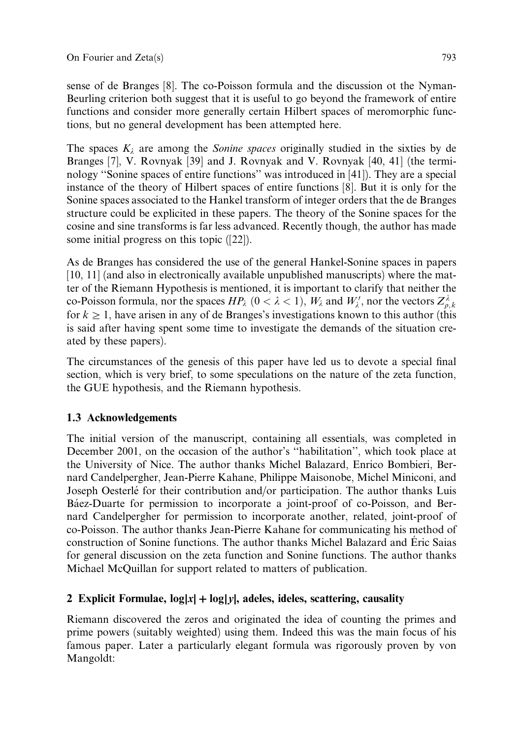sense of de Branges [8]. The co-Poisson formula and the discussion ot the Nyman-Beurling criterion both suggest that it is useful to go beyond the framework of entire functions and consider more generally certain Hilbert spaces of meromorphic functions, but no general development has been attempted here.

The spaces  $K_{\lambda}$  are among the *Sonine spaces* originally studied in the sixties by de Branges [7], V. Rovnyak [39] and J. Rovnyak and V. Rovnyak [40, 41] (the terminology ''Sonine spaces of entire functions'' was introduced in [41]). They are a special instance of the theory of Hilbert spaces of entire functions [8]. But it is only for the Sonine spaces associated to the Hankel transform of integer orders that the de Branges structure could be explicited in these papers. The theory of the Sonine spaces for the cosine and sine transforms is far less advanced. Recently though, the author has made some initial progress on this topic ([22]).

As de Branges has considered the use of the general Hankel-Sonine spaces in papers [10, 11] (and also in electronically available unpublished manuscripts) where the matter of the Riemann Hypothesis is mentioned, it is important to clarify that neither the co-Poisson formula, nor the spaces  $HP_\lambda$   $(0 < \lambda < 1)$ ,  $W_\lambda$  and  $W'_\lambda$ , nor the vectors  $Z_{\rho,k}^\lambda$ for  $k \ge 1$ , have arisen in any of de Branges's investigations known to this author (this is said after having spent some time to investigate the demands of the situation created by these papers).

The circumstances of the genesis of this paper have led us to devote a special final section, which is very brief, to some speculations on the nature of the zeta function, the GUE hypothesis, and the Riemann hypothesis.

# 1.3 Acknowledgements

The initial version of the manuscript, containing all essentials, was completed in December 2001, on the occasion of the author's ''habilitation'', which took place at the University of Nice. The author thanks Michel Balazard, Enrico Bombieri, Bernard Candelpergher, Jean-Pierre Kahane, Philippe Maisonobe, Michel Miniconi, and Joseph Oesterlé for their contribution and/or participation. The author thanks Luis Ba´ez-Duarte for permission to incorporate a joint-proof of co-Poisson, and Bernard Candelpergher for permission to incorporate another, related, joint-proof of co-Poisson. The author thanks Jean-Pierre Kahane for communicating his method of construction of Sonine functions. The author thanks Michel Balazard and Éric Saias for general discussion on the zeta function and Sonine functions. The author thanks Michael McQuillan for support related to matters of publication.

# 2 Explicit Formulae,  $log|x| + log|y|$ , adeles, ideles, scattering, causality

Riemann discovered the zeros and originated the idea of counting the primes and prime powers (suitably weighted) using them. Indeed this was the main focus of his famous paper. Later a particularly elegant formula was rigorously proven by von Mangoldt: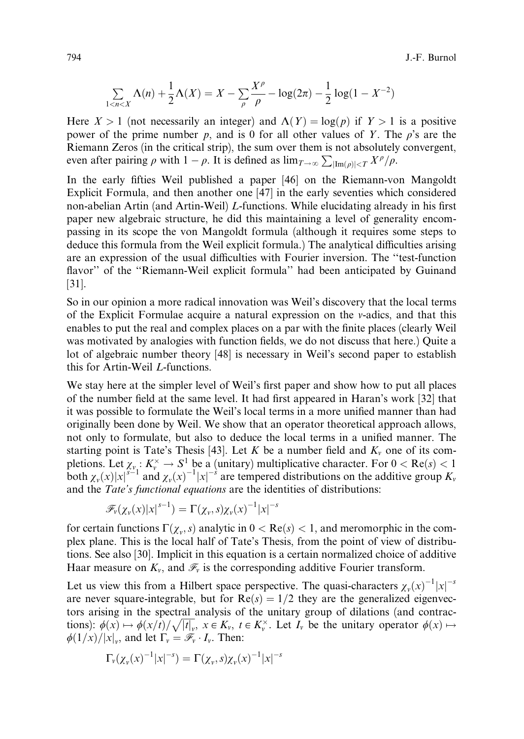794 J.-F. Burnol

$$
\sum_{1 < n < X} \Lambda(n) + \frac{1}{2}\Lambda(X) = X - \sum_{\rho} \frac{X^{\rho}}{\rho} - \log(2\pi) - \frac{1}{2}\log(1 - X^{-2})
$$

Here  $X > 1$  (not necessarily an integer) and  $\Lambda(Y) = \log(p)$  if  $Y > 1$  is a positive power of the prime number p, and is 0 for all other values of Y. The  $\rho$ 's are the Riemann Zeros (in the critical strip), the sum over them is not absolutely convergent, even after pairing  $\rho$  with  $1 - \rho$ . It is defined as  $\lim_{T \to \infty} \sum_{|\text{Im}(\rho)| \le T} X^{\rho}/\rho$ .

In the early fifties Weil published a paper [46] on the Riemann-von Mangoldt Explicit Formula, and then another one [47] in the early seventies which considered non-abelian Artin (and Artin-Weil) L-functions. While elucidating already in his first paper new algebraic structure, he did this maintaining a level of generality encompassing in its scope the von Mangoldt formula (although it requires some steps to deduce this formula from the Weil explicit formula.) The analytical difficulties arising are an expression of the usual difficulties with Fourier inversion. The "test-function" flavor'' of the ''Riemann-Weil explicit formula'' had been anticipated by Guinand [31].

So in our opinion a more radical innovation was Weil's discovery that the local terms of the Explicit Formulae acquire a natural expression on the  $\nu$ -adics, and that this enables to put the real and complex places on a par with the finite places (clearly Weil was motivated by analogies with function fields, we do not discuss that here.) Quite a lot of algebraic number theory [48] is necessary in Weil's second paper to establish this for Artin-Weil L-functions.

We stay here at the simpler level of Weil's first paper and show how to put all places of the number field at the same level. It had first appeared in Haran's work [32] that it was possible to formulate the Weil's local terms in a more unified manner than had originally been done by Weil. We show that an operator theoretical approach allows, not only to formulate, but also to deduce the local terms in a unified manner. The starting point is Tate's Thesis [43]. Let K be a number field and  $K_v$  one of its completions. Let  $\chi_{\nu} : K_{\nu}^{\times} \to S^1$  be a (unitary) multiplicative character. For  $0 < \text{Re}(s) < 1$ both  $\chi_{\nu}(x)|x|^{\delta-1}$  and  $\chi_{\nu}(x)^{-1}|x|^{-\delta}$  are tempered distributions on the additive group  $K_{\nu}$ and the Tate's functional equations are the identities of distributions:

$$
\mathscr{F}_\nu(\chi_\nu(x)|x|^{s-1})=\Gamma(\chi_\nu,s)\chi_\nu(x)^{-1}|x|^{-s}
$$

for certain functions  $\Gamma(\chi_v, s)$  analytic in  $0 < \text{Re}(s) < 1$ , and meromorphic in the complex plane. This is the local half of Tate's Thesis, from the point of view of distributions. See also [30]. Implicit in this equation is a certain normalized choice of additive Haar measure on  $K_v$ , and  $\mathcal{F}_v$  is the corresponding additive Fourier transform.

Let us view this from a Hilbert space perspective. The quasi-characters  $\chi_{\nu}(x)^{-1}|x|^{-s}$ are never square-integrable, but for  $Re(s) = 1/2$  they are the generalized eigenvectors arising in the spectral analysis of the unitary group of dilations (and contractions):  $\phi(x) \mapsto \phi(x/t)/\sqrt{|t|_y}$ ,  $x \in K_y$ ,  $t \in K_y^{\times}$ . Let  $I_y$  be the unitary operator  $\phi(x) \mapsto$  $\phi(1/x)/|x|_v$ , and let  $\Gamma_v = \mathscr{F}_v \cdot I_v$ . Then:

$$
\Gamma_{\nu}(\chi_{\nu}(x)^{-1}|x|^{-s}) = \Gamma(\chi_{\nu},s)\chi_{\nu}(x)^{-1}|x|^{-s}
$$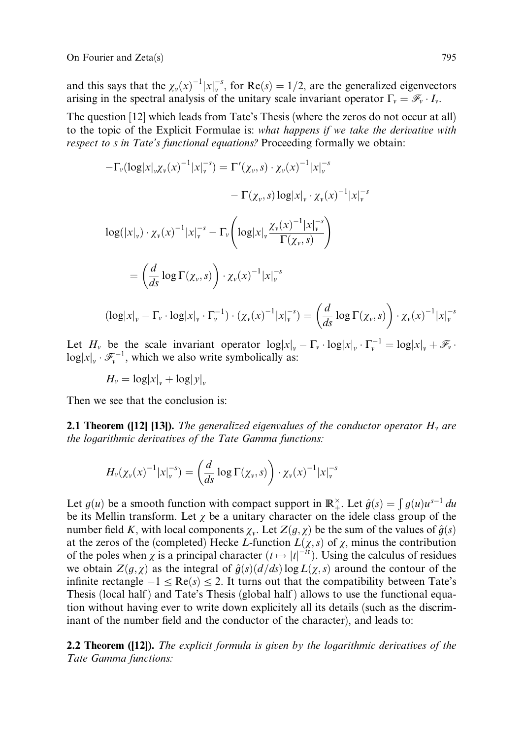On Fourier and Zeta(s) 795

and this says that the  $\chi_v(x)^{-1}|x|_v^{-s}$ , for  $\text{Re}(s) = 1/2$ , are the generalized eigenvectors arising in the spectral analysis of the unitary scale invariant operator  $\Gamma_v = \mathscr{F}_v \cdot I_v$ .

The question [12] which leads from Tate's Thesis (where the zeros do not occur at all) to the topic of the Explicit Formulae is: what happens if we take the derivative with respect to s in Tate's functional equations? Proceeding formally we obtain:

$$
-\Gamma_{\nu}(\log |x|_{\nu}\chi_{\nu}(x)^{-1}|x|_{\nu}^{-s}) = \Gamma'(\chi_{\nu},s) \cdot \chi_{\nu}(x)^{-1}|x|_{\nu}^{-s}
$$

$$
-\Gamma(\chi_{\nu},s)\log |x|_{\nu} \cdot \chi_{\nu}(x)^{-1}|x|_{\nu}^{-s}
$$

$$
\log(|x|_{\nu}) \cdot \chi_{\nu}(x)^{-1}|x|_{\nu}^{-s} - \Gamma_{\nu}\left(\log |x|_{\nu}\frac{\chi_{\nu}(x)^{-1}|x|_{\nu}^{-s}}{\Gamma(\chi_{\nu},s)}\right)
$$

$$
= \left(\frac{d}{ds}\log \Gamma(\chi_{\nu},s)\right) \cdot \chi_{\nu}(x)^{-1}|x|_{\nu}^{-s}
$$

$$
(\log |x|_{\nu} - \Gamma_{\nu} \cdot \log |x|_{\nu} \cdot \Gamma_{\nu}^{-1}) \cdot (\chi_{\nu}(x)^{-1}|x|_{\nu}^{-s}) = \left(\frac{d}{ds}\log \Gamma(\chi_{\nu},s)\right) \cdot \chi_{\nu}(x)^{-1}|x|_{\nu}^{-s}
$$

Let  $H_v$  be the scale invariant operator  $\log |x|_v - \Gamma_v \cdot \log |x|_v \cdot \Gamma_v^{-1} = \log |x|_v + \mathcal{F}_v \cdot$  $log|x|_v \cdot \mathcal{F}_v^{-1}$ , which we also write symbolically as:

 $H_v = \log |x|_v + \log |y|_v$ 

Then we see that the conclusion is:

**2.1 Theorem ([12] [13]).** The generalized eigenvalues of the conductor operator  $H<sub>v</sub>$  are the logarithmic derivatives of the Tate Gamma functions:

$$
H_{\nu}(\chi_{\nu}(x)^{-1}|x|_{\nu}^{-s}) = \left(\frac{d}{ds}\log\Gamma(\chi_{\nu},s)\right)\cdot\chi_{\nu}(x)^{-1}|x|_{\nu}^{-s}
$$

Let  $g(u)$  be a smooth function with compact support in  $\mathbb{R}_+^{\times}$ . Let  $\hat{g}(s) = \int g(u)u^{s-1} du$ be its Mellin transform. Let  $\chi$  be a unitary character on the idele class group of the number field K, with local components  $\chi_v$ . Let  $Z(g, \chi)$  be the sum of the values of  $\hat{g}(s)$ at the zeros of the (completed) Hecke L-function  $L(\chi, s)$  of  $\chi$ , minus the contribution of the poles when  $\chi$  is a principal character  $(t \mapsto |t|^{-it})$ . Using the calculus of residues we obtain  $Z(g, \chi)$  as the integral of  $\hat{g}(s)(d/ds)\log L(\chi,s)$  around the contour of the infinite rectangle  $-1 \leq \text{Re}(s) \leq 2$ . It turns out that the compatibility between Tate's Thesis (local half) and Tate's Thesis (global half) allows to use the functional equation without having ever to write down explicitely all its details (such as the discriminant of the number field and the conductor of the character), and leads to:

**2.2 Theorem ([12]).** The explicit formula is given by the logarithmic derivatives of the Tate Gamma functions:

n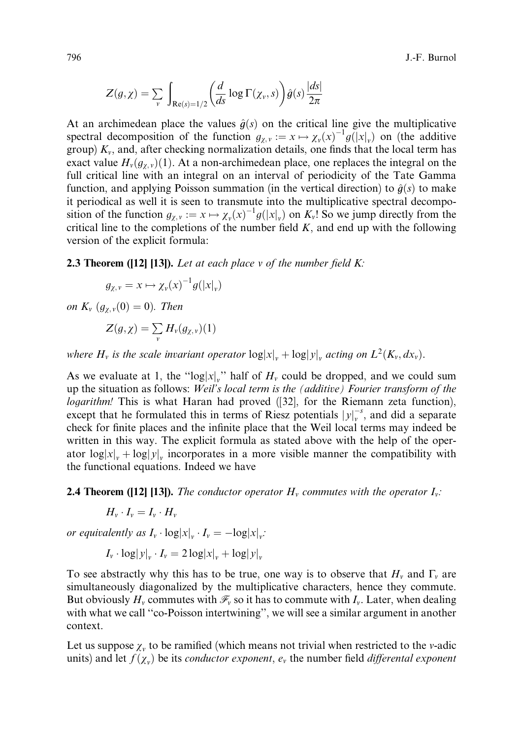796 J.-F. Burnol

$$
Z(g,\chi)=\sum_{v}\,\int_{\text{Re}(s)=1/2}\bigg(\frac{d}{ds}\log\Gamma(\chi_v,s)\bigg)\hat{g}(s)\frac{|ds|}{2\pi}
$$

At an archimedean place the values  $\hat{q}(s)$  on the critical line give the multiplicative spectral decomposition of the function  $g_{\chi,\nu} := x \mapsto \chi_{\nu}(x)^{-1} g(|x|_{\nu})$  on (the additive group)  $K_v$ , and, after checking normalization details, one finds that the local term has exact value  $H_v(g_{\chi,v})(1)$ . At a non-archimedean place, one replaces the integral on the full critical line with an integral on an interval of periodicity of the Tate Gamma function, and applying Poisson summation (in the vertical direction) to  $\hat{g}(s)$  to make it periodical as well it is seen to transmute into the multiplicative spectral decomposition of the function  $g_{\chi,\nu} := x \mapsto \chi_{\nu}(x)^{-1} g(|x|_{\nu})$  on  $K_{\nu}!$ . So we jump directly from the critical line to the completions of the number field  $K$ , and end up with the following version of the explicit formula:

**2.3 Theorem ([12] [13]).** Let at each place  $v$  of the number field  $K$ :

$$
g_{\chi,\nu} = x \mapsto \chi_{\nu}(x)^{-1} g(|x|_{\nu})
$$

on  $K_v$   $(g_{\chi,v}(0) = 0)$ . Then

$$
Z(g,\chi)=\sum_{v}H_{v}(g_{\chi,v})(1)
$$

where  $H_v$  is the scale invariant operator  $\log |x|_v + \log |y|_v$ , acting on  $L^2(K_v, dx_v)$ .

As we evaluate at 1, the "log|x|<sub>v</sub>" half of  $H_v$  could be dropped, and we could sum up the situation as follows: Weil's local term is the (additive) Fourier transform of the logarithm! This is what Haran had proved ([32], for the Riemann zeta function), except that he formulated this in terms of Riesz potentials  $|y|_v^{-s}$ , and did a separate check for finite places and the infinite place that the Weil local terms may indeed be written in this way. The explicit formula as stated above with the help of the operator  $\log |x|_y + \log |y|_y$  incorporates in a more visible manner the compatibility with the functional equations. Indeed we have

**2.4 Theorem ([12] [13]).** The conductor operator  $H_v$  commutes with the operator  $I_v$ :

$$
H_{\nu} \cdot I_{\nu} = I_{\nu} \cdot H_{\nu}
$$

or equivalently as  $I_v \cdot \log |x|_v \cdot I_v = -\log |x|_v$ :

$$
I_v \cdot \log |y|_v \cdot I_v = 2 \log |x|_v + \log |y|_v
$$

To see abstractly why this has to be true, one way is to observe that  $H_v$  and  $\Gamma_v$  are simultaneously diagonalized by the multiplicative characters, hence they commute. But obviously  $H_v$  commutes with  $\mathcal{F}_v$  so it has to commute with  $I_v$ . Later, when dealing with what we call "co-Poisson intertwining", we will see a similar argument in another context.

Let us suppose  $\chi_v$  to be ramified (which means not trivial when restricted to the v-adic units) and let  $f(\chi_v)$  be its *conductor exponent*,  $e_v$  the number field *differental exponent*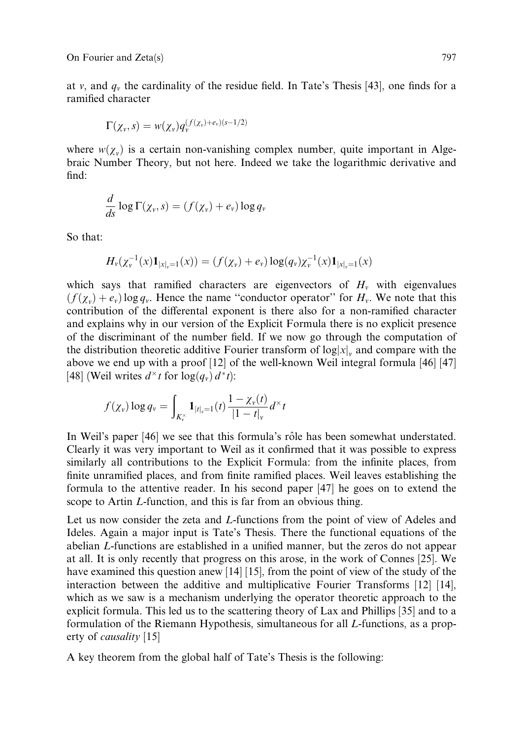at v, and  $q_v$  the cardinality of the residue field. In Tate's Thesis [43], one finds for a ramified character

$$
\Gamma(\chi_{v},s)=w(\chi_{v})q_{v}^{(f(\chi_{v})+e_{v})(s-1/2)}
$$

where  $w(\chi_v)$  is a certain non-vanishing complex number, quite important in Algebraic Number Theory, but not here. Indeed we take the logarithmic derivative and find:

$$
\frac{d}{ds}\log\Gamma(\chi_v,s)=(f(\chi_v)+e_v)\log q_v
$$

So that:

$$
H_{\nu}(\chi_{\nu}^{-1}(x)\mathbf{1}_{|x|_{\nu}=1}(x)) = (f(\chi_{\nu}) + e_{\nu}) \log(q_{\nu})\chi_{\nu}^{-1}(x)\mathbf{1}_{|x|_{\nu}=1}(x)
$$

which says that ramified characters are eigenvectors of  $H<sub>v</sub>$  with eigenvalues  $(f(\chi_v)+e_v) \log q_v$ . Hence the name "conductor operator" for  $H_v$ . We note that this contribution of the differental exponent is there also for a non-ramified character and explains why in our version of the Explicit Formula there is no explicit presence of the discriminant of the number field. If we now go through the computation of the distribution theoretic additive Fourier transform of  $log|x|_v$  and compare with the above we end up with a proof [12] of the well-known Weil integral formula [46] [47] [48] (Weil writes  $d^{\times}t$  for  $\log(q_v) d^*t$ ):

$$
f(\chi_v) \log q_v = \int_{K_v^{\times}} \mathbf{1}_{|t|_v=1}(t) \frac{1 - \chi_v(t)}{|1 - t|_v} d^{\times} t
$$

In Weil's paper [46] we see that this formula's rôle has been somewhat understated. Clearly it was very important to Weil as it confirmed that it was possible to express similarly all contributions to the Explicit Formula: from the infinite places, from finite unramified places, and from finite ramified places. Weil leaves establishing the formula to the attentive reader. In his second paper [47] he goes on to extend the scope to Artin L-function, and this is far from an obvious thing.

Let us now consider the zeta and L-functions from the point of view of Adeles and Ideles. Again a major input is Tate's Thesis. There the functional equations of the abelian L-functions are established in a unified manner, but the zeros do not appear at all. It is only recently that progress on this arose, in the work of Connes [25]. We have examined this question anew [14] [15], from the point of view of the study of the interaction between the additive and multiplicative Fourier Transforms [12] [14], which as we saw is a mechanism underlying the operator theoretic approach to the explicit formula. This led us to the scattering theory of Lax and Phillips [35] and to a formulation of the Riemann Hypothesis, simultaneous for all L-functions, as a property of causality [15]

A key theorem from the global half of Tate's Thesis is the following: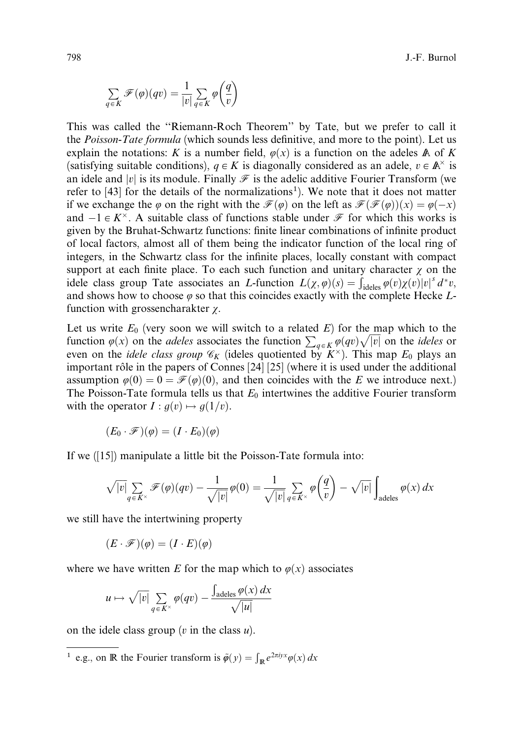$$
\sum_{q \in K} \mathscr{F}(\varphi)(qv) = \frac{1}{|v|} \sum_{q \in K} \varphi\left(\frac{q}{v}\right)
$$

This was called the ''Riemann-Roch Theorem'' by Tate, but we prefer to call it the Poisson-Tate formula (which sounds less definitive, and more to the point). Let us explain the notations: K is a number field,  $\varphi(x)$  is a function on the adeles A of K (satisfying suitable conditions),  $q \in K$  is diagonally considered as an adele,  $v \in \mathbb{A}^{\times}$  is an idele and |v| is its module. Finally  $\mathcal F$  is the adelic additive Fourier Transform (we refer to  $[43]$  for the details of the normalizations<sup>1</sup>). We note that it does not matter if we exchange the  $\varphi$  on the right with the  $\mathcal{F}(\varphi)$  on the left as  $\mathcal{F}(\mathcal{F}(\varphi))(x) = \varphi(-x)$ and  $-1 \in K^{\times}$ . A suitable class of functions stable under  $\mathcal F$  for which this works is given by the Bruhat-Schwartz functions: finite linear combinations of infinite product of local factors, almost all of them being the indicator function of the local ring of integers, in the Schwartz class for the infinite places, locally constant with compact support at each finite place. To each such function and unitary character  $\chi$  on the idele class group Tate associates an *L*-function  $L(\chi, \varphi)(s) = \int_{\text{ideles}} \varphi(v) \chi(v) |v|^s d^*v$ , and shows how to choose  $\varphi$  so that this coincides exactly with the complete Hecke Lfunction with grossencharakter  $\gamma$ .

Let us write  $E_0$  (very soon we will switch to a related  $E$ ) for the map which to the function  $\varphi(x)$  on the *adeles* associates the function  $\sum_{q \in K} \varphi(qv) \sqrt{|v|}$  on the *ideles* or even on the *idele class group*  $\mathcal{C}_K$  (ideles quotiented by  $K^{\times}$ ). This map  $E_0$  plays an important rôle in the papers of Connes  $\left[24\right]$   $\left[25\right]$  (where it is used under the additional assumption  $\varphi(0) = 0 = \mathcal{F}(\varphi)(0)$ , and then coincides with the E we introduce next.) The Poisson-Tate formula tells us that  $E_0$  intertwines the additive Fourier transform with the operator  $I : g(v) \mapsto g(1/v)$ .

$$
(E_0\cdot\mathscr{F})(\varphi)=(I\cdot E_0)(\varphi)
$$

If we ([15]) manipulate a little bit the Poisson-Tate formula into:

$$
\sqrt{|v|}\sum_{q\in K^\times}\mathscr{F}(\varphi)(qv)-\frac{1}{\sqrt{|v|}}\varphi(0)=\frac{1}{\sqrt{|v|}}\sum_{q\in K^\times}\varphi\left(\frac{q}{v}\right)-\sqrt{|v|}\int_{\text{adeles}}\varphi(x)\,dx
$$

we still have the intertwining property

$$
(E \cdot \mathscr{F})(\varphi) = (I \cdot E)(\varphi)
$$

where we have written E for the map which to  $\varphi(x)$  associates

$$
u \mapsto \sqrt{|v|} \sum_{q \in K^{\times}} \varphi(qv) - \frac{\int_{\text{adeles}} \varphi(x) \, dx}{\sqrt{|u|}}
$$

on the idele class group  $(v$  in the class  $u$ ).

<sup>1</sup> e.g., on **R** the Fourier transform is  $\tilde{\varphi}(y) = \int_{\mathbb{R}} e^{2\pi i y x} \varphi(x) dx$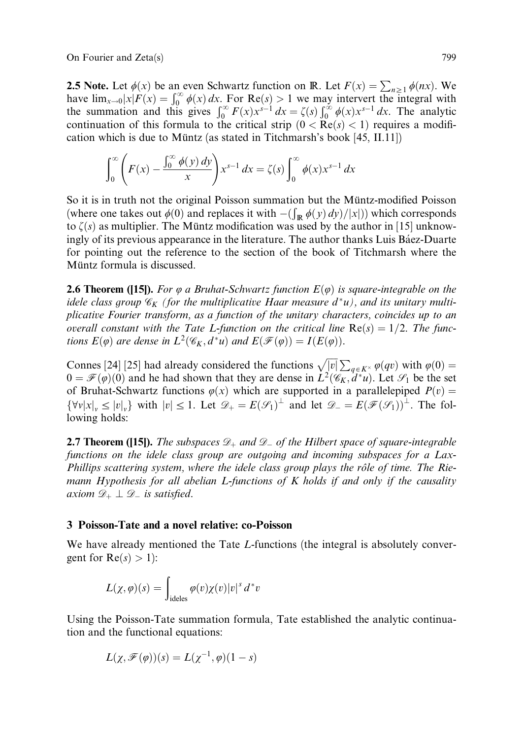On Fourier and Zeta(s) 799

**2.5 Note.** Let  $\phi(x)$  be an even Schwartz function on R. Let  $F(x) = \sum_{n \geq 1} \phi(nx)$ . We have  $\lim_{x\to 0} |x|F(x) = \int_0^\infty \phi(x) dx$ . For Re $(s) > 1$  we may intervert the integral with the summation and this gives  $\int_0^\infty F(x)x^{s-1} dx = \zeta(s) \int_0^\infty \phi(x)x^{s-1} dx$ . The analytic continuation of this formula to the critical strip  $(0 < Re(s) < 1)$  requires a modification which is due to Müntz (as stated in Titchmarsh's book  $[45, II, 11]$ )

$$
\int_0^\infty \left( F(x) - \frac{\int_0^\infty \phi(y) \, dy}{x} \right) x^{s-1} \, dx = \zeta(s) \int_0^\infty \phi(x) x^{s-1} \, dx
$$

So it is in truth not the original Poisson summation but the Müntz-modified Poisson We are the sum of the original T observation of the Wallet modified T observed to the Wallet School (where one takes out  $\phi(0)$  and replaces it with  $-(\int_{\mathbb{R}} \phi(y) dy)/|x|$ ) which corresponds to  $\zeta(s)$  as multiplier. The Müntz modification was used by the author in [15] unknowingly of its previous appearance in the literature. The author thanks Luis Báez-Duarte for pointing out the reference to the section of the book of Titchmarsh where the Müntz formula is discussed.

**2.6 Theorem ([15]).** For  $\varphi$  a Bruhat-Schwartz function  $E(\varphi)$  is square-integrable on the idele class group  $\mathscr{C}_K$  (for the multiplicative Haar measure  $d^*u$ ), and its unitary multiplicative Fourier transform, as a function of the unitary characters, coincides up to an overall constant with the Tate L-function on the critical line  $Re(s) = 1/2$ . The functions  $E(\varphi)$  are dense in  $L^2(\mathscr{C}_K, d^*u)$  and  $E(\mathscr{F}(\varphi)) = I(E(\varphi)).$ 

Connes [24] [25] had already considered the functions  $\sqrt{|v|} \sum_{q \in K^\times} \varphi(qv)$  with  $\varphi(0) =$  $0 = \mathcal{F}(\varphi)(0)$  and he had shown that they are dense in  $L^2(\mathscr{C}_K, d^*u)$ . Let  $\mathcal{S}_1$  be the set of Bruhat-Schwartz functions  $\varphi(x)$  which are supported in a parallelepiped  $P(v)$  =  $\{\forall v |x|_v \le |v|_v\}$  with  $|v| \le 1$ . Let  $\mathcal{D}_+ = E(\mathcal{F}(\mathcal{S}_1)^\perp$  and let  $\mathcal{D}_- = E(\mathcal{F}(\mathcal{S}_1))^\perp$ . The following holds:

**2.7 Theorem ([15]).** The subspaces  $\mathcal{D}_+$  and  $\mathcal{D}_-$  of the Hilbert space of square-integrable functions on the idele class group are outgoing and incoming subspaces for a Lax-Phillips scattering system, where the idele class group plays the rôle of time. The Riemann Hypothesis for all abelian  $L$ -functions of  $K$  holds if and only if the causality axiom  $\mathscr{D}_+ \perp \mathscr{D}_-$  is satisfied.

#### 3 Poisson-Tate and a novel relative: co-Poisson

We have already mentioned the Tate L-functions (the integral is absolutely convergent for  $Re(s) > 1$ :

$$
L(\chi,\varphi)(s) = \int_{\text{ideles}} \varphi(v)\chi(v)|v|^s \, d^*v
$$

Using the Poisson-Tate summation formula, Tate established the analytic continuation and the functional equations:

$$
L(\chi, \mathscr{F}(\varphi))(s) = L(\chi^{-1}, \varphi)(1-s)
$$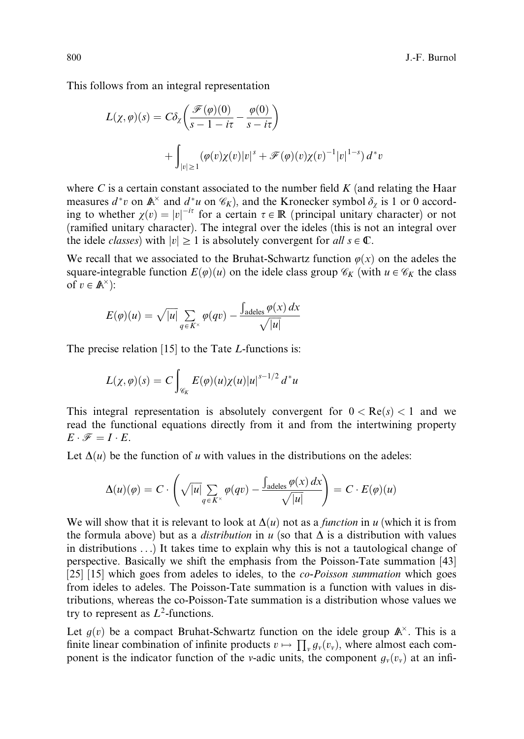This follows from an integral representation

$$
L(\chi, \varphi)(s) = C\delta_{\chi} \left( \frac{\mathcal{F}(\varphi)(0)}{s - 1 - i\tau} - \frac{\varphi(0)}{s - i\tau} \right)
$$
  
+ 
$$
\int_{|v| \ge 1} (\varphi(v)\chi(v)|v|^s + \mathcal{F}(\varphi)(v)\chi(v)^{-1}|v|^{1-s}) d^*v
$$

where  $C$  is a certain constant associated to the number field  $K$  (and relating the Haar measures  $d^*v$  on  $\mathbb{A}^\times$  and  $d^*u$  on  $\mathscr{C}_K$ ), and the Kronecker symbol  $\delta_\chi$  is 1 or 0 according to whether  $\chi(v) = |v|^{-it}$  for a certain  $\tau \in \mathbb{R}$  (principal unitary character) or not (ramified unitary character). The integral over the ideles (this is not an integral over the idele *classes*) with  $|v| \ge 1$  is absolutely convergent for all  $s \in \mathbb{C}$ .

We recall that we associated to the Bruhat-Schwartz function  $\varphi(x)$  on the adeles the square-integrable function  $E(\varphi)(u)$  on the idele class group  $\mathscr{C}_K$  (with  $u \in \mathscr{C}_K$  the class of  $v \in \mathbb{A}^{\times}$ :

$$
E(\varphi)(u) = \sqrt{|u|} \sum_{q \in K^{\times}} \varphi(qv) - \frac{\int_{\text{adeles}} \varphi(x) dx}{\sqrt{|u|}}
$$

The precise relation  $[15]$  to the Tate *L*-functions is:

$$
L(\chi,\varphi)(s) = C \int_{\mathscr{C}_K} E(\varphi)(u) \chi(u) |u|^{s-1/2} d^*u
$$

This integral representation is absolutely convergent for  $0 < Re(s) < 1$  and we read the functional equations directly from it and from the intertwining property  $E \cdot \mathscr{F} = I \cdot E$ .

Let  $\Delta(u)$  be the function of u with values in the distributions on the adeles:

$$
\Delta(u)(\varphi) = C \cdot \left( \sqrt{|u|} \sum_{q \in K^{\times}} \varphi(qv) - \frac{\int_{\text{adeles}} \varphi(x) dx}{\sqrt{|u|}} \right) = C \cdot E(\varphi)(u)
$$

We will show that it is relevant to look at  $\Delta(u)$  not as a *function* in u (which it is from the formula above) but as a *distribution* in u (so that  $\Delta$  is a distribution with values in distributions . . .) It takes time to explain why this is not a tautological change of perspective. Basically we shift the emphasis from the Poisson-Tate summation [43] [25] [15] which goes from adeles to ideles, to the *co-Poisson summation* which goes from ideles to adeles. The Poisson-Tate summation is a function with values in distributions, whereas the co-Poisson-Tate summation is a distribution whose values we try to represent as  $L^2$ -functions.

Let  $g(v)$  be a compact Bruhat-Schwartz function on the idele group  $\mathbb{A}^{\times}$ . This is a finite linear combination of infinite products  $v \mapsto \prod_{y} g_{y}(v_{y})$ , where almost each component is the indicator function of the v-adic units, the component  $g_v(v_v)$  at an infi-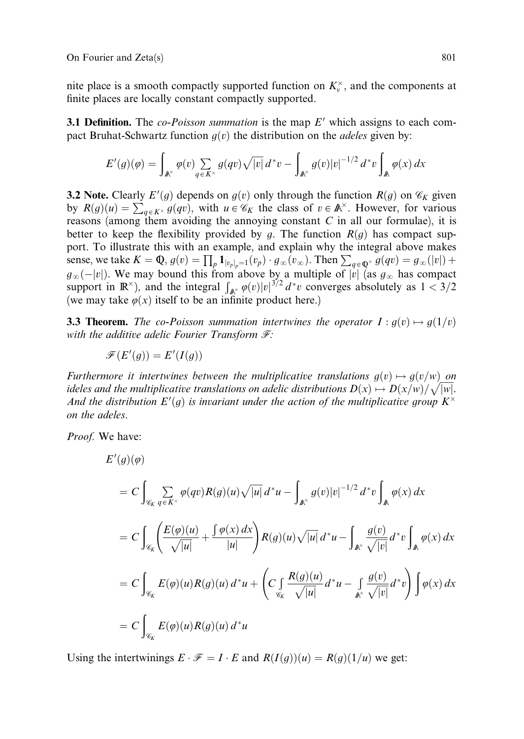nite place is a smooth compactly supported function on  $K_v^{\times}$ , and the components at finite places are locally constant compactly supported.

**3.1 Definition.** The *co-Poisson summation* is the map  $E'$  which assigns to each compact Bruhat-Schwartz function  $g(v)$  the distribution on the *adeles* given by:

$$
E'(g)(\varphi) = \int_{\mathbb{A}^\times} \varphi(v) \sum_{q \in K^\times} g(qv) \sqrt{|v|} \, d^*v - \int_{\mathbb{A}^\times} g(v)|v|^{-1/2} \, d^*v \int_{\mathbb{A}} \varphi(x) \, dx
$$

**3.2 Note.** Clearly  $E'(g)$  depends on  $g(v)$  only through the function  $R(g)$  on  $\mathscr{C}_K$  given by  $R(g)(u) = \sum_{q \in K^\times} g(qv)$ , with  $u \in \mathscr{C}_K$  the class of  $v \in \mathbb{A}^\times$ . However, for various reasons (among them avoiding the annoying constant  $C$  in all our formulae), it is better to keep the flexibility provided by g. The function  $R(g)$  has compact support. To illustrate this with an example, and explain why the integral above makes sense, we take  $K = \mathbb{Q}$ ,  $g(v) = \prod_p 1_{|v_p|_p=1}(v_p) \cdot g_{\infty}(v_{\infty})$ . Then  $\sum_{q \in \mathbb{Q}^{\times}} g(qv) = g_{\infty}(|v|) +$  $g_{\infty}(-|v|)$ . We may bound this from above by a multiple of  $|v|$  (as  $g_{\infty}$  has compact support in  $\mathbb{R}^{\times}$ ), and the integral  $\int_{\mathbb{R}^{\times}} \varphi(v)|v|^{3/2} d^*v$  converges absolutely as  $1 < 3/2$ (we may take  $\varphi(x)$  itself to be an infinite product here.)

**3.3 Theorem.** The co-Poisson summation intertwines the operator  $I : g(v) \mapsto g(1/v)$ with the additive adelic Fourier Transform  $\mathcal{F}$ :

$$
\mathscr{F}(E'(g)) = E'(I(g))
$$

Furthermore it intertwines between the multiplicative translations  $g(v) \mapsto g(v/w)$  on Furthermore a microwines between the matriplicative translations  $g(v) \rightarrow g(v/w)$  on<br>ideles and the multiplicative translations on adelic distributions  $D(x) \mapsto D(x/w)/\sqrt{|w|}$ . And the distribution  $E'(g)$  is invariant under the action of the multiplicative group  $K^{\times}$ on the adeles.

Proof. We have:

$$
E'(g)(\varphi)
$$
  
\n
$$
= C \int_{\mathscr{C}_K} \sum_{q \in K^\times} \varphi(qv) R(g)(u) \sqrt{|u|} d^* u - \int_{\mathbb{A}^\times} g(v)|v|^{-1/2} d^* v \int_{\mathbb{A}} \varphi(x) dx
$$
  
\n
$$
= C \int_{\mathscr{C}_K} \left( \frac{E(\varphi)(u)}{\sqrt{|u|}} + \frac{\int \varphi(x) dx}{|u|} \right) R(g)(u) \sqrt{|u|} d^* u - \int_{\mathbb{A}^\times} \frac{g(v)}{\sqrt{|v|}} d^* v \int_{\mathbb{A}} \varphi(x) dx
$$
  
\n
$$
= C \int_{\mathscr{C}_K} E(\varphi)(u) R(g)(u) d^* u + \left( C \int_{\mathscr{C}_K} \frac{R(g)(u)}{\sqrt{|u|}} d^* u - \int_{\mathbb{A}^\times} \frac{g(v)}{\sqrt{|v|}} d^* v \right) \int \varphi(x) dx
$$
  
\n
$$
= C \int_{\mathscr{C}_K} E(\varphi)(u) R(g)(u) d^* u
$$

Using the intertwinings  $E \cdot \mathcal{F} = I \cdot E$  and  $R(I(g))(u) = R(g)(1/u)$  we get: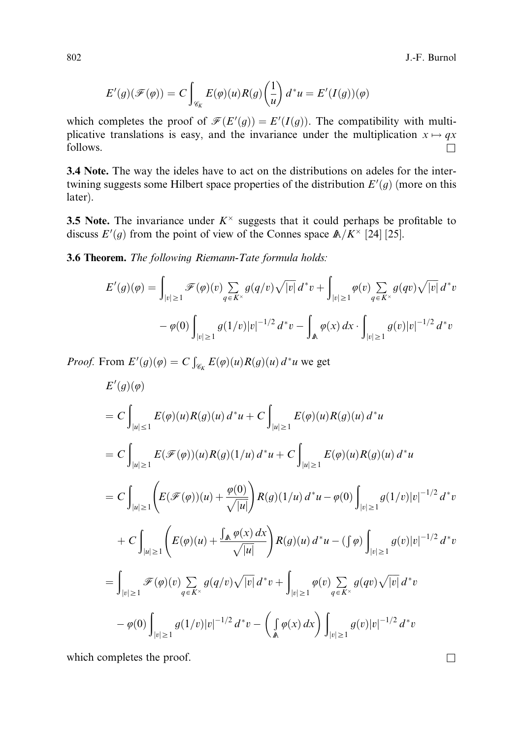802 J.-F. Burnol

$$
E'(g)(\mathscr{F}(\varphi)) = C \int_{\mathscr{C}_K} E(\varphi)(u) R(g) \left(\frac{1}{u}\right) d^*u = E'(I(g))(\varphi)
$$

which completes the proof of  $\mathcal{F}(E'(g)) = E'(I(g))$ . The compatibility with multiplicative translations is easy, and the invariance under the multiplication  $x \mapsto qx$  $\Box$  follows.

3.4 Note. The way the ideles have to act on the distributions on adeles for the intertwining suggests some Hilbert space properties of the distribution  $E'(g)$  (more on this later).

**3.5 Note.** The invariance under  $K^{\times}$  suggests that it could perhaps be profitable to discuss  $E'(g)$  from the point of view of the Connes space  $\mathbb{A}/K^{\times}$  [24] [25].

3.6 Theorem. The following Riemann-Tate formula holds:

$$
E'(g)(\varphi) = \int_{|v| \ge 1} \mathcal{F}(\varphi)(v) \sum_{q \in K^{\times}} g(q/v) \sqrt{|v|} d^* v + \int_{|v| \ge 1} \varphi(v) \sum_{q \in K^{\times}} g(qv) \sqrt{|v|} d^* v
$$

$$
- \varphi(0) \int_{|v| \ge 1} g(1/v) |v|^{-1/2} d^* v - \int_{\mathbb{A}} \varphi(x) dx \cdot \int_{|v| \ge 1} g(v) |v|^{-1/2} d^* v
$$

*Proof.* From  $E'(g)(\varphi) = C \int_{\mathscr{C}_K} E(\varphi)(u) R(g)(u) d^*u$  we get

$$
E'(g)(\varphi)
$$
  
\n
$$
= C \int_{|u| \le 1} E(\varphi)(u)R(g)(u) d^*u + C \int_{|u| \ge 1} E(\varphi)(u)R(g)(u) d^*u
$$
  
\n
$$
= C \int_{|u| \ge 1} E(\mathscr{F}(\varphi))(u)R(g)(1/u) d^*u + C \int_{|u| \ge 1} E(\varphi)(u)R(g)(u) d^*u
$$
  
\n
$$
= C \int_{|u| \ge 1} \left( E(\mathscr{F}(\varphi))(u) + \frac{\varphi(0)}{\sqrt{|u|}} \right) R(g)(1/u) d^*u - \varphi(0) \int_{|v| \ge 1} g(1/v)|v|^{-1/2} d^*v
$$
  
\n
$$
+ C \int_{|u| \ge 1} \left( E(\varphi)(u) + \frac{\int_{\mathbb{A}} \varphi(x) dx}{\sqrt{|u|}} \right) R(g)(u) d^*u - (\int \varphi) \int_{|v| \ge 1} g(v)|v|^{-1/2} d^*v
$$
  
\n
$$
= \int_{|v| \ge 1} \mathscr{F}(\varphi)(v) \sum_{q \in K^\times} g(q/v) \sqrt{|v|} d^*v + \int_{|v| \ge 1} \varphi(v) \sum_{q \in K^\times} g(qv) \sqrt{|v|} d^*v
$$
  
\n
$$
- \varphi(0) \int_{|v| \ge 1} g(1/v)|v|^{-1/2} d^*v - \left( \int_{\mathbb{A}} \varphi(x) dx \right) \int_{|v| \ge 1} g(v)|v|^{-1/2} d^*v
$$

which completes the proof.  $\Box$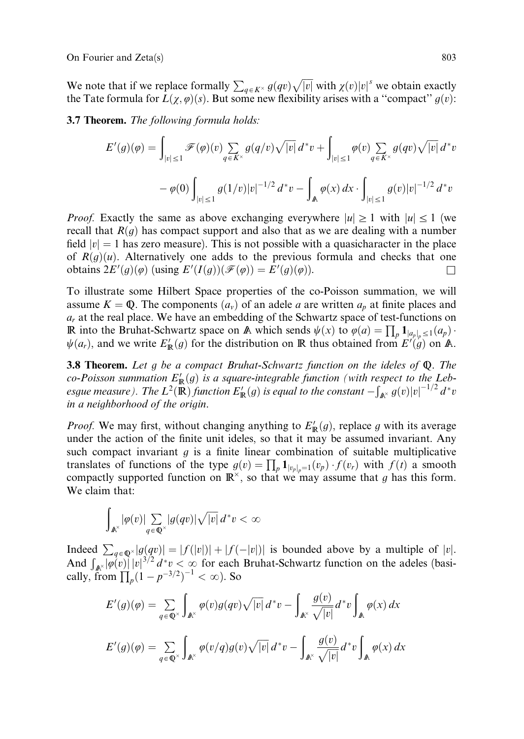We note that if we replace formally  $\sum_{q \in K^\times} g(qv) \sqrt{|v|}$  with  $\chi(v)|v|^s$  we obtain exactly the Tate formula for  $L(\chi, \varphi)(s)$ . But some new flexibility arises with a "compact"  $g(v)$ :

3.7 Theorem. The following formula holds:

$$
E'(g)(\varphi) = \int_{|v| \le 1} \mathcal{F}(\varphi)(v) \sum_{q \in K^{\times}} g(q/v) \sqrt{|v|} d^* v + \int_{|v| \le 1} \varphi(v) \sum_{q \in K^{\times}} g(qv) \sqrt{|v|} d^* v
$$

$$
- \varphi(0) \int_{|v| \le 1} g(1/v) |v|^{-1/2} d^* v - \int_{\mathbb{A}} \varphi(x) dx \cdot \int_{|v| \le 1} g(v) |v|^{-1/2} d^* v
$$

*Proof.* Exactly the same as above exchanging everywhere  $|u| \ge 1$  with  $|u| \le 1$  (we recall that  $R(g)$  has compact support and also that as we are dealing with a number field  $|v| = 1$  has zero measure). This is not possible with a quasicharacter in the place of  $R(g)(u)$ . Alternatively one adds to the previous formula and checks that one obtains  $2E'(g)(\varphi)$  (using  $E'(I(g))(\mathscr{F}(\varphi)) = E'(g)(\varphi)$ ).

To illustrate some Hilbert Space properties of the co-Poisson summation, we will assume  $K = \mathbb{Q}$ . The components  $(a_v)$  of an adele a are written  $a_v$  at finite places and  $a_r$  at the real place. We have an embedding of the Schwartz space of test-functions on R into the Bruhat-Schwartz space on A which sends  $\psi(x)$  to  $\varphi(a) = \prod_p 1_{a_p|_p \leq 1}(a_p)$ .  $\psi(a_r)$ , and we write  $E'_\mathbb{R}(g)$  for the distribution on R thus obtained from  $E'(g)$  on A.

3.8 Theorem. Let g be a compact Bruhat-Schwartz function on the ideles of  $Q$ . The co-Poisson summation  $E'_{\mathbb{R}}(g)$  is a square-integrable function (with respect to the Lebesgue measure). The  $L^2(\mathbb{R})$  function  $E'_{\mathbb{R}}(g)$  is equal to the constant  $-\int$  $\int_{\mathbb{A}^\times}^{\infty} g(v) |v|^{-1/2} \, d^*v$ in a neighborhood of the origin.

*Proof.* We may first, without changing anything to  $E'_{\mathbb{R}}(g)$ , replace g with its average under the action of the finite unit ideles, so that it may be assumed invariant. Any such compact invariant  $q$  is a finite linear combination of suitable multiplicative translates of functions of the type  $g(v) = \prod_p 1_{|v_p|_p=1}(v_p) \cdot f(v_r)$  with  $f(t)$  a smooth compactly supported function on  $\mathbb{R}^{\times}$ , so that we may assume that g has this form. We claim that:

$$
\int_{\mathbb{A}^\times}|\varphi(v)|\sum_{q\,\in\,\mathbb{Q}^\times}|g(qv)|\sqrt{|v|}\,d^*v<\infty
$$

Indeed  $\sum_{q \in \mathbb{Q}^{\times}} |g(qv)| = |f(|v|)| + |f(-|v|)|$  is bounded above by a multiple of |v|.<br>And  $\int_{\mathbb{A}^{\times}} |\varphi(v)| |v|^{3/2} d^* v < \infty$  for each Bruhat-Schwartz function on the adeles (basically, from  $\prod_{p} (1 - p^{-3/2})^{-1} < \infty$ ). So

$$
E'(g)(\varphi) = \sum_{q \in \mathbb{Q}^{\times}} \int_{\mathbb{A}^{\times}} \varphi(v)g(qv)\sqrt{|v|} d^*v - \int_{\mathbb{A}^{\times}} \frac{g(v)}{\sqrt{|v|}} d^*v \int_{\mathbb{A}} \varphi(x) dx
$$
  

$$
E'(g)(\varphi) = \sum_{q \in \mathbb{Q}^{\times}} \int_{\mathbb{A}^{\times}} \varphi(v/q)g(v)\sqrt{|v|} d^*v - \int_{\mathbb{A}^{\times}} \frac{g(v)}{\sqrt{|v|}} d^*v \int_{\mathbb{A}} \varphi(x) dx
$$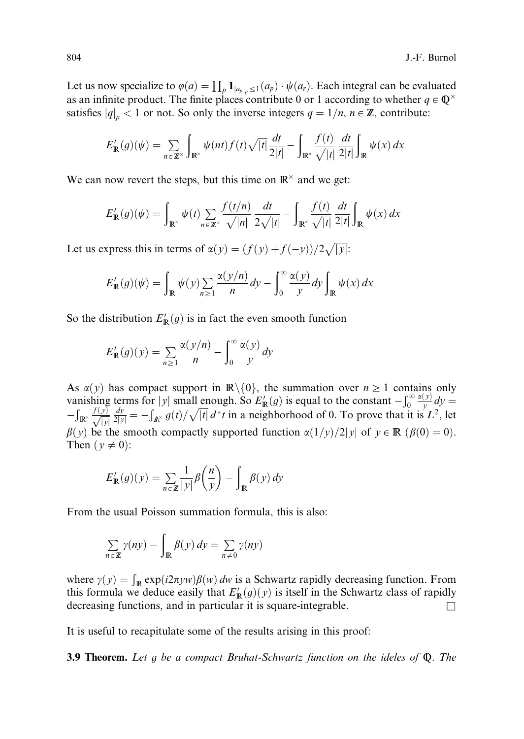Let us now specialize to  $\varphi(a) = \prod_p 1_{|a_p|_p \leq 1}(a_p) \cdot \psi(a_r)$ . Each integral can be evaluated as an infinite product. The finite places contribute 0 or 1 according to whether  $q \in \mathbb{Q}^{\times}$ satisfies  $|q|_p < 1$  or not. So only the inverse integers  $q = 1/n$ ,  $n \in \mathbb{Z}$ , contribute:

$$
E'_{\mathbb{R}}(g)(\psi) = \sum_{n \in \mathbb{Z}^\times} \int_{\mathbb{R}^\times} \psi(nt) f(t) \sqrt{|t|} \frac{dt}{2|t|} - \int_{\mathbb{R}^\times} \frac{f(t)}{\sqrt{|t|}} \frac{dt}{2|t|} \int_{\mathbb{R}} \psi(x) dx
$$

We can now revert the steps, but this time on  $\mathbb{R}^{\times}$  and we get:

$$
E'_{\mathbb{R}}(g)(\psi) = \int_{\mathbb{R}^\times} \psi(t) \sum_{n \in \mathbb{Z}^\times} \frac{f(t/n)}{\sqrt{|n|}} \frac{dt}{2\sqrt{|t|}} - \int_{\mathbb{R}^\times} \frac{f(t)}{\sqrt{|t|}} \frac{dt}{2|t|} \int_{\mathbb{R}} \psi(x) dx
$$

Let us express this in terms of  $\alpha(y) = (f(y) + f(-y))/2\sqrt{|y|}$ :

$$
E'_{\mathbb{R}}(g)(\psi) = \int_{\mathbb{R}} \psi(y) \sum_{n \ge 1} \frac{\alpha(y/n)}{n} dy - \int_0^\infty \frac{\alpha(y)}{y} dy \int_{\mathbb{R}} \psi(x) dx
$$

So the distribution  $E'_{\mathbb{R}}(g)$  is in fact the even smooth function

$$
E'_{\mathbb{R}}(g)(y) = \sum_{n\geq 1} \frac{\alpha(y/n)}{n} - \int_0^\infty \frac{\alpha(y)}{y} dy
$$

As  $\alpha(y)$  has compact support in  $\mathbb{R}\setminus\{0\}$ , the summation over  $n \geq 1$  contains only vanishing terms for |y| small enough. So  $E'_{\mathbb{R}}(g)$  is equal to the constant  $-\int_0^{\infty}$ 0  $\frac{\alpha(y)}{y}dy =$  $\frac{1}{2}$  $\int_{\mathbb{R}^{\times}} \frac{f(y)}{\sqrt{|y|}} \frac{dy}{|z|y|} = -\int_{\mathbb{A}^{\times}} g(t)/\sqrt{|t|} d^*t$  in a neighborhood of 0. To prove that it is  $L^2$ , let  $\beta(y)$  be the smooth compactly supported function  $\alpha(1/y)/2|y|$  of  $y \in \mathbb{R}$  ( $\beta(0)=0$ ). Then  $(y \neq 0)$ :

$$
E'_{\mathbb{R}}(g)(y) = \sum_{n \in \mathbb{Z}} \frac{1}{|y|} \beta\left(\frac{n}{y}\right) - \int_{\mathbb{R}} \beta(y) \, dy
$$

From the usual Poisson summation formula, this is also:

$$
\sum_{n \in \mathbb{Z}} \gamma(ny) - \int_{\mathbb{R}} \beta(y) \, dy = \sum_{n \neq 0} \gamma(ny)
$$

where  $\gamma(y) = \int_{\mathbb{R}} \exp(i2\pi yw)\beta(w) dw$  is a Schwartz rapidly decreasing function. From this formula we deduce easily that  $E'_{\mathbb{R}}(g)(y)$  is itself in the Schwartz class of rapidly decreasing functions, and in particular it is square-integrable.  $\Box$ 

It is useful to recapitulate some of the results arising in this proof:

**3.9 Theorem.** Let g be a compact Bruhat-Schwartz function on the ideles of  $\mathbb{Q}$ . The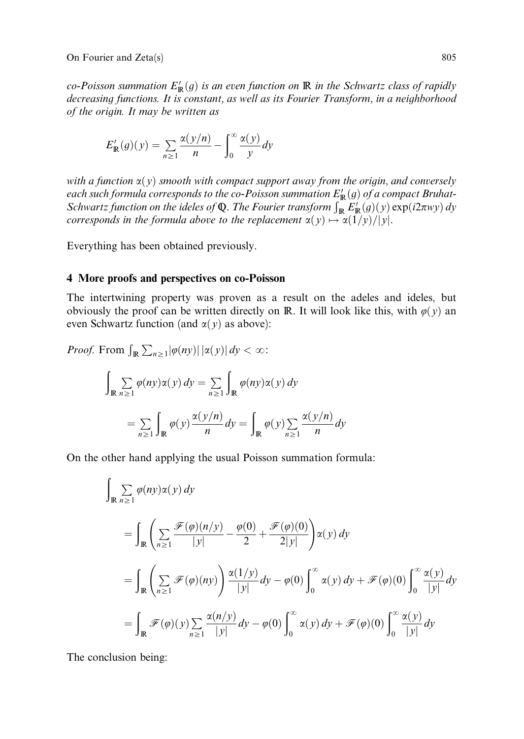co-Poisson summation  $E'_{\mathbb{R}}(g)$  is an even function on  $\mathbb{R}$  in the Schwartz class of rapidly decreasing functions. It is constant, as well as its Fourier Transform, in a neighborhood of the origin. It may be written as

$$
E'_{\mathbb{R}}(g)(y) = \sum_{n \ge 1} \frac{\alpha(y/n)}{n} - \int_0^\infty \frac{\alpha(y)}{y} dy
$$

with a function  $\alpha(y)$  smooth with compact support away from the origin, and conversely each such formula corresponds to the co-Poisson summation  $E'_{\mathbb{R}}(g)$  of a compact Bruhat-Schwartz function on the ideles of Q. The Fourier transform  $\int_{\mathbb{R}} E'_{\mathbb{R}}(g)(y) \exp(i2\pi w y) dy$ corresponds in the formula above to the replacement  $\alpha(y) \mapsto \alpha(1/y)/|y|$ .

Everything has been obtained previously.

#### 4 More proofs and perspectives on co-Poisson

The intertwining property was proven as a result on the adeles and ideles, but obviously the proof can be written directly on R. It will look like this, with  $\varphi(y)$  an even Schwartz function (and  $\alpha(y)$  as above):

*Proof.* From 
$$
\int_{\mathbb{R}} \sum_{n\geq 1} |\varphi(ny)| |\alpha(y)| dy < \infty
$$
:  

$$
\int_{\mathbb{R}} \sum_{n\geq 1} \varphi(ny) \alpha(y) dy = \sum_{n\geq 1} \int_{\mathbb{R}} \varphi(ny) \alpha(y) dy
$$

$$
= \sum_{n\geq 1} \int_{\mathbb{R}} \varphi(y) \frac{\alpha(y/n)}{n} dy = \int_{\mathbb{R}} \varphi(y) \sum_{n\geq 1} \frac{\alpha(y/n)}{n} dy
$$

On the other hand applying the usual Poisson summation formula:

$$
\int_{\mathbb{R}} \sum_{n\geq 1} \varphi(ny) \alpha(y) dy
$$
\n
$$
= \int_{\mathbb{R}} \left( \sum_{n\geq 1} \frac{\mathcal{F}(\varphi)(n/y)}{|y|} - \frac{\varphi(0)}{2} + \frac{\mathcal{F}(\varphi)(0)}{2|y|} \right) \alpha(y) dy
$$
\n
$$
= \int_{\mathbb{R}} \left( \sum_{n\geq 1} \mathcal{F}(\varphi)(ny) \right) \frac{\alpha(1/y)}{|y|} dy - \varphi(0) \int_{0}^{\infty} \alpha(y) dy + \mathcal{F}(\varphi)(0) \int_{0}^{\infty} \frac{\alpha(y)}{|y|} dy
$$
\n
$$
= \int_{\mathbb{R}} \mathcal{F}(\varphi)(y) \sum_{n\geq 1} \frac{\alpha(n/y)}{|y|} dy - \varphi(0) \int_{0}^{\infty} \alpha(y) dy + \mathcal{F}(\varphi)(0) \int_{0}^{\infty} \frac{\alpha(y)}{|y|} dy
$$

The conclusion being: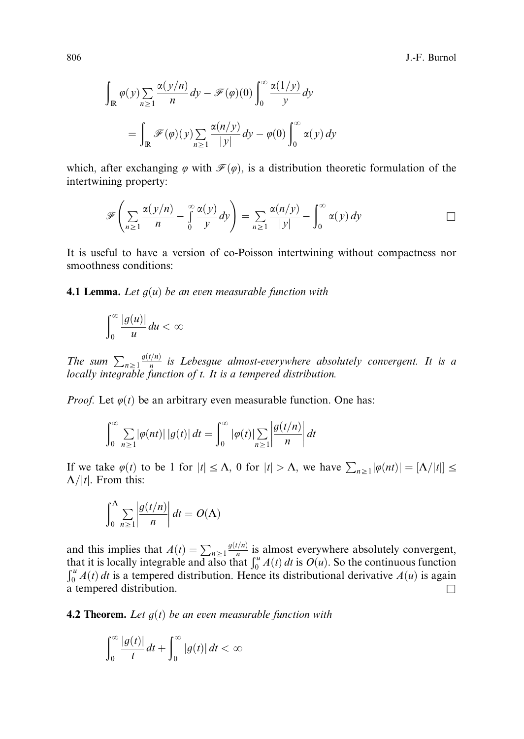806 J.-F. Burnol

$$
\int_{\mathbb{R}} \varphi(y) \sum_{n\geq 1} \frac{\alpha(y/n)}{n} dy - \mathcal{F}(\varphi)(0) \int_0^\infty \frac{\alpha(1/y)}{y} dy
$$

$$
= \int_{\mathbb{R}} \mathcal{F}(\varphi)(y) \sum_{n\geq 1} \frac{\alpha(n/y)}{|y|} dy - \varphi(0) \int_0^\infty \alpha(y) dy
$$

which, after exchanging  $\varphi$  with  $\mathcal{F}(\varphi)$ , is a distribution theoretic formulation of the intertwining property:

$$
\mathscr{F}\left(\sum_{n\geq 1}\frac{\alpha(y/n)}{n}-\int_{0}^{\infty}\frac{\alpha(y)}{y}dy\right)=\sum_{n\geq 1}\frac{\alpha(n/y)}{|y|}-\int_{0}^{\infty}\alpha(y)\,dy
$$

It is useful to have a version of co-Poisson intertwining without compactness nor smoothness conditions:

**4.1 Lemma.** Let  $g(u)$  be an even measurable function with

$$
\int_0^\infty \frac{|g(u)|}{u} du < \infty
$$

The sum  $\sum_{n\geq 1} \frac{g(t/n)}{n}$  is Lebesgue almost-everywhere absolutely convergent. It is a locally integrable function of t. It is a tempered distribution.

*Proof.* Let  $\varphi(t)$  be an arbitrary even measurable function. One has:

$$
\int_0^\infty \sum_{n\geq 1} |\varphi(nt)| |g(t)| dt = \int_0^\infty |\varphi(t)| \sum_{n\geq 1} \left| \frac{g(t/n)}{n} \right| dt
$$

If we take  $\varphi(t)$  to be 1 for  $|t| \leq \Lambda$ , 0 for  $|t| > \Lambda$ , we have  $\sum_{n\geq 1} |\varphi(nt)| = |\Lambda/|t|] \leq$  $\Lambda/|t|$ . From this:

$$
\int_0^{\Lambda} \sum_{n\geq 1} \left| \frac{g(t/n)}{n} \right| dt = O(\Lambda)
$$

and this implies that  $A(t) = \sum_{n\geq 1} \frac{g(t/n)}{n}$  is almost everywhere absolutely convergent,<br>that it is locally integrable and also that  $\int_0^u A(t) dt$  is  $O(u)$ . So the continuous function<br> $\int_0^u A(t) dt$  is a tempored distrib  $\int_0^u A(t) dt$  is a tempered distribution. Hence its distributional derivative  $A(u)$  is again a tempered distribution. a tempered distribution.

**4.2 Theorem.** Let  $q(t)$  be an even measurable function with

$$
\int_0^\infty \frac{|g(t)|}{t} dt + \int_0^\infty |g(t)| dt < \infty
$$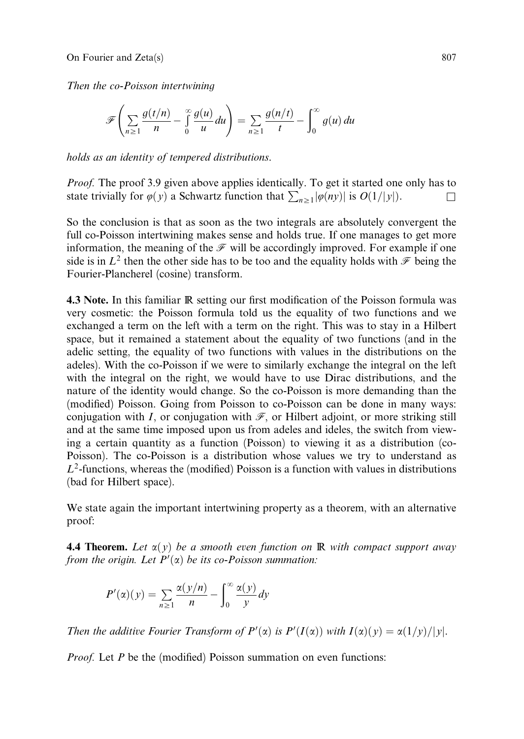Then the co-Poisson intertwining

$$
\mathscr{F}\left(\sum_{n\geq 1}\frac{g(t/n)}{n}-\int_{0}^{\infty}\frac{g(u)}{u}du\right)=\sum_{n\geq 1}\frac{g(n/t)}{t}-\int_{0}^{\infty}g(u)\,du
$$

holds as an identity of tempered distributions.

Proof. The proof 3.9 given above applies identically. To get it started one only has to state trivially for  $\varphi(y)$  a Schwartz function that  $\sum_{n\geq 1} |\varphi(ny)|$  is  $O(1/|y|)$ .

So the conclusion is that as soon as the two integrals are absolutely convergent the full co-Poisson intertwining makes sense and holds true. If one manages to get more information, the meaning of the  $\mathcal F$  will be accordingly improved. For example if one side is in  $L^2$  then the other side has to be too and the equality holds with  $\mathcal F$  being the Fourier-Plancherel (cosine) transform.

4.3 Note. In this familiar R setting our first modification of the Poisson formula was very cosmetic: the Poisson formula told us the equality of two functions and we exchanged a term on the left with a term on the right. This was to stay in a Hilbert space, but it remained a statement about the equality of two functions (and in the adelic setting, the equality of two functions with values in the distributions on the adeles). With the co-Poisson if we were to similarly exchange the integral on the left with the integral on the right, we would have to use Dirac distributions, and the nature of the identity would change. So the co-Poisson is more demanding than the (modified) Poisson. Going from Poisson to co-Poisson can be done in many ways: conjugation with I, or conjugation with  $\mathcal{F}$ , or Hilbert adjoint, or more striking still and at the same time imposed upon us from adeles and ideles, the switch from viewing a certain quantity as a function (Poisson) to viewing it as a distribution (co-Poisson). The co-Poisson is a distribution whose values we try to understand as  $L^2$ -functions, whereas the (modified) Poisson is a function with values in distributions (bad for Hilbert space).

We state again the important intertwining property as a theorem, with an alternative proof:

**4.4 Theorem.** Let  $\alpha(y)$  be a smooth even function on R with compact support away from the origin. Let  $P'(\alpha)$  be its co-Poisson summation:

$$
P'(\alpha)(y) = \sum_{n\geq 1} \frac{\alpha(y/n)}{n} - \int_0^\infty \frac{\alpha(y)}{y} dy
$$

Then the additive Fourier Transform of  $P'(\alpha)$  is  $P'(I(\alpha))$  with  $I(\alpha)(y) = \alpha(1/y)/|y|$ .

*Proof.* Let  $P$  be the (modified) Poisson summation on even functions: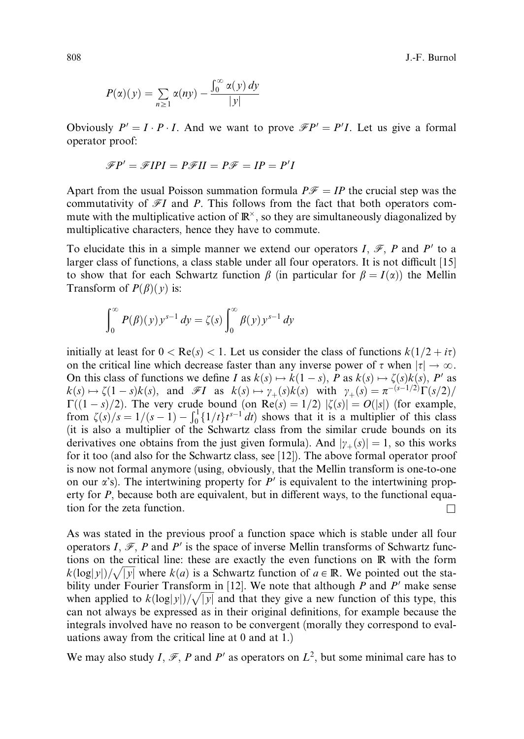808 J.-F. Burnol

$$
P(\alpha)(y) = \sum_{n \ge 1} \alpha(ny) - \frac{\int_0^\infty \alpha(y) \, dy}{|y|}
$$

Obviously  $P' = I \cdot P \cdot I$ . And we want to prove  $\mathcal{F}P' = P'I$ . Let us give a formal operator proof:

$$
\mathscr{F}P' = \mathscr{F}IPI = P\mathscr{F}II = P\mathscr{F} = IP = P'I
$$

Apart from the usual Poisson summation formula  $P\mathscr{F} = IP$  the crucial step was the commutativity of  $\mathscr{F}I$  and P. This follows from the fact that both operators commute with the multiplicative action of  $\mathbb{R}^{\times}$ , so they are simultaneously diagonalized by multiplicative characters, hence they have to commute.

To elucidate this in a simple manner we extend our operators I,  $\mathcal{F}$ , P and P' to a larger class of functions, a class stable under all four operators. It is not difficult  $[15]$ to show that for each Schwartz function  $\beta$  (in particular for  $\beta = I(\alpha)$ ) the Mellin Transform of  $P(\beta)(y)$  is:

$$
\int_0^\infty P(\beta)(y) y^{s-1} dy = \zeta(s) \int_0^\infty \beta(y) y^{s-1} dy
$$

initially at least for  $0 < \text{Re}(s) < 1$ . Let us consider the class of functions  $k(1/2 + i\tau)$ on the critical line which decrease faster than any inverse power of  $\tau$  when  $|\tau| \to \infty$ . On this class of functions we define I as  $k(s) \mapsto k(1-s)$ , P as  $k(s) \mapsto \zeta(s)k(s)$ , P' as  $k(s) \mapsto \zeta(1-s)k(s)$ , and  $\mathscr{F}I$  as  $k(s) \mapsto \gamma_+(s)k(s)$  with  $\gamma_+(s) = \pi^{-(s-1/2)}\Gamma(s/2)$  $\Gamma((1-s)/2)$ . The very crude bound (on Re $(s) = 1/2$ )  $|\zeta(s)| = O(|s|)$  (for example, from  $\zeta(s)/s = 1/(s-1) - \int_0^1 \{1/t\} t^{s-1} dt$ ) shows that it is a multiplier of this class (it is also a multiplier of the Schwartz class from the similar crude bounds on its derivatives one obtains from the just given formula). And  $|\gamma_+(s)| = 1$ , so this works for it too (and also for the Schwartz class, see [12]). The above formal operator proof is now not formal anymore (using, obviously, that the Mellin transform is one-to-one on our  $\alpha$ 's). The intertwining property for  $P'$  is equivalent to the intertwining property for  $P$ , because both are equivalent, but in different ways, to the functional equation for the zeta function.  $\Box$ 

As was stated in the previous proof a function space which is stable under all four operators I,  $\mathcal{F}, P$  and P' is the space of inverse Mellin transforms of Schwartz functions on the critical line: these are exactly the even functions on R with the form  $k(\log|y|)/\sqrt{|y|}$  where  $k(a)$  is a Schwartz function of  $a \in \mathbb{R}$ . We pointed out the stability under Fourier Transform in [12]. We note that although P and P' make sense when applied to  $k(\log|y|)/\sqrt{|y|}$  and that they give a new function of this type, this can not always be expressed as in their original definitions, for example because the integrals involved have no reason to be convergent (morally they correspond to evaluations away from the critical line at 0 and at 1.)

We may also study I, F, P and P' as operators on  $L^2$ , but some minimal care has to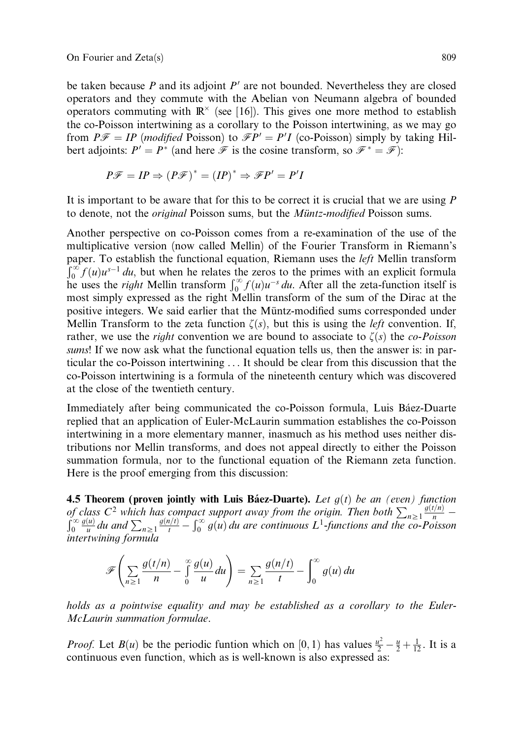be taken because  $P$  and its adjoint  $P'$  are not bounded. Nevertheless they are closed operators and they commute with the Abelian von Neumann algebra of bounded operators commuting with  $\mathbb{R}^{\times}$  (see [16]). This gives one more method to establish the co-Poisson intertwining as a corollary to the Poisson intertwining, as we may go from  $P\mathscr{F} = IP$  (*modified* Poisson) to  $\mathscr{F}P' = P'I$  (co-Poisson) simply by taking Hilbert adjoints:  $P' = P^*$  (and here  $\mathscr F$  is the cosine transform, so  $\mathscr F^* = \mathscr F$ ):

$$
P\mathscr{F} = IP \Rightarrow (P\mathscr{F})^* = (IP)^* \Rightarrow \mathscr{F}P' = P'I
$$

It is important to be aware that for this to be correct it is crucial that we are using  $$ to denote, not the *original* Poisson sums, but the *Müntz-modified* Poisson sums.

Another perspective on co-Poisson comes from a re-examination of the use of the multiplicative version (now called Mellin) of the Fourier Transform in Riemann's paper. To establish the functional equation, Riemann uses the *left* Mellin transform  $\int_{0}^{\infty} f(x) e^{-1} dx$  $\int_0^{\infty} f(u)u^{s-1} du$ , but when he relates the zeros to the primes with an explicit formula he uses the *right* Mellin transform  $\int_0^{\infty} f(u)u^{-s} du$ . After all the zeta-function itself is most simply expressed as the right Mellin transform of the sum of the Dirac at the positive integers. We said earlier that the Müntz-modified sums corresponded under Mellin Transform to the zeta function  $\zeta(s)$ , but this is using the *left* convention. If, rather, we use the *right* convention we are bound to associate to  $\zeta(s)$  the *co-Poisson* sums! If we now ask what the functional equation tells us, then the answer is: in particular the co-Poisson intertwining . . . It should be clear from this discussion that the co-Poisson intertwining is a formula of the nineteenth century which was discovered at the close of the twentieth century.

Immediately after being communicated the co-Poisson formula, Luis Báez-Duarte replied that an application of Euler-McLaurin summation establishes the co-Poisson intertwining in a more elementary manner, inasmuch as his method uses neither distributions nor Mellin transforms, and does not appeal directly to either the Poisson summation formula, nor to the functional equation of the Riemann zeta function. Here is the proof emerging from this discussion:

4.5 Theorem (proven jointly with Luis Báez-Duarte). Let  $g(t)$  be an (even) function of class  $C^2$  which has compact support away from the origin. Then both  $\sum_{n\geq 1} \frac{g(t/n)}{n}$  –<br> $\int_{\infty}^{\infty} g(u) dx$ , and  $\sum_{n\geq 1} \frac{g(n/t)}{n}$  ( $\infty$  a(x) dy are continuous I i functions and the see Reisen 0  $\frac{g(u)}{u}$  du and  $\sum_{n\geq 1} \frac{g(n/t)}{t} - \int_0^\infty g(u) du$  are continuous  $L^1$ -functions and the co-Poisson intertwining formula

$$
\mathscr{F}\left(\sum_{n\geq 1}\frac{g(t/n)}{n}-\int\limits_{0}^{\infty}\frac{g(u)}{u}du\right)=\sum_{n\geq 1}\frac{g(n/t)}{t}-\int\limits_{0}^{\infty}g(u)\,du
$$

holds as a pointwise equality and may be established as a corollary to the Euler-McLaurin summation formulae.

*Proof.* Let  $B(u)$  be the periodic funtion which on [0, 1) has values  $\frac{u^2}{2} - \frac{u}{2} + \frac{1}{12}$ . It is a continuous even function, which as is well-known is also expressed as: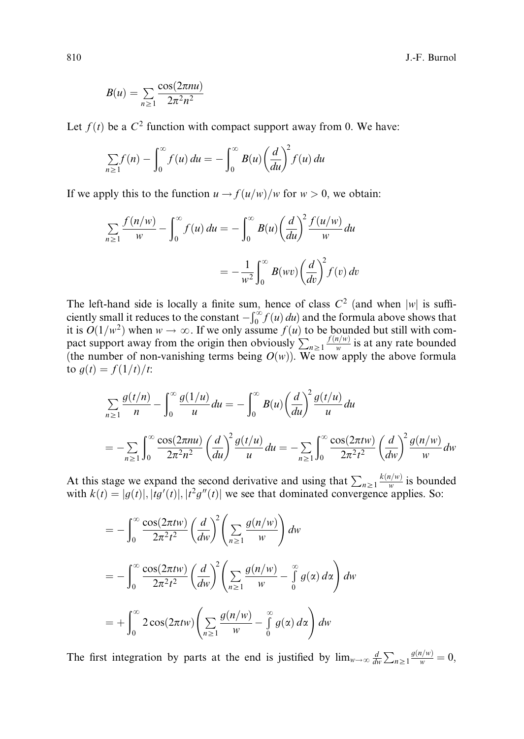$$
B(u) = \sum_{n\geq 1} \frac{\cos(2\pi nu)}{2\pi^2 n^2}
$$

Let  $f(t)$  be a  $C<sup>2</sup>$  function with compact support away from 0. We have:

$$
\sum_{n\geq 1} f(n) - \int_0^\infty f(u) \, du = - \int_0^\infty B(u) \left(\frac{d}{du}\right)^2 f(u) \, du
$$

If we apply this to the function  $u \rightarrow f(u/w)/w$  for  $w > 0$ , we obtain:

$$
\sum_{n\geq 1} \frac{f(n/w)}{w} - \int_0^\infty f(u) du = -\int_0^\infty B(u) \left(\frac{d}{du}\right)^2 \frac{f(u/w)}{w} du
$$

$$
= -\frac{1}{w^2} \int_0^\infty B(wv) \left(\frac{d}{dv}\right)^2 f(v) dv
$$

The left-hand side is locally a finite sum, hence of class  $C^2$  (and when |w| is sufficiently small it reduces to the constant  $-\int_0^\infty f(u) du$  and the formula above shows that it is  $O(1/w^2)$  when  $w \to \infty$ . If we only assume  $f(u)$  to be bounded but still with compact support away from the origin then obviously  $\sum_{n\geq 1} \frac{f(n/w)}{w}$  is at any rate bounded (the number of non-vanishing terms being  $O(w)$ ). We now apply the above formula to  $g(t) = f(1/t)/t$ :

$$
\sum_{n\geq 1} \frac{g(t/n)}{n} - \int_0^{\infty} \frac{g(1/u)}{u} du = -\int_0^{\infty} B(u) \left(\frac{d}{du}\right)^2 \frac{g(t/u)}{u} du
$$
  
= 
$$
-\sum_{n\geq 1} \int_0^{\infty} \frac{\cos(2\pi nu)}{2\pi^2 n^2} \left(\frac{d}{du}\right)^2 \frac{g(t/u)}{u} du = -\sum_{n\geq 1} \int_0^{\infty} \frac{\cos(2\pi tw)}{2\pi^2 t^2} \left(\frac{d}{dw}\right)^2 \frac{g(n/w)}{w} dw
$$

At this stage we expand the second derivative and using that  $\sum_{n\geq 1} \frac{k(n/w)}{w}$  is bounded with  $k(t) = |g(t)|, |tg'(t)|, |t^2g''(t)|$  we see that dominated convergence applies. So:

$$
= -\int_0^\infty \frac{\cos(2\pi t w)}{2\pi^2 t^2} \left(\frac{d}{dw}\right)^2 \left(\sum_{n\geq 1} \frac{g(n/w)}{w}\right) dw
$$
  

$$
= -\int_0^\infty \frac{\cos(2\pi t w)}{2\pi^2 t^2} \left(\frac{d}{dw}\right)^2 \left(\sum_{n\geq 1} \frac{g(n/w)}{w} - \int_0^\infty g(\alpha) d\alpha\right) dw
$$
  

$$
= +\int_0^\infty 2\cos(2\pi t w) \left(\sum_{n\geq 1} \frac{g(n/w)}{w} - \int_0^\infty g(\alpha) d\alpha\right) dw
$$

The first integration by parts at the end is justified by  $\lim_{w\to\infty} \frac{d}{dw} \sum_{n\geq 1} \frac{g(n/w)}{w} = 0$ ,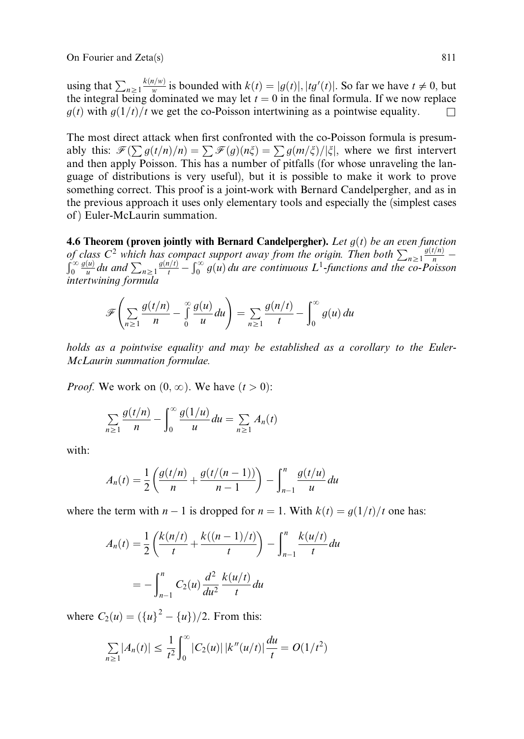using that  $\sum_{n\geq 1} \frac{k(n/w)}{w}$  is bounded with  $k(t) = |g(t)|, |tg'(t)|$ . So far we have  $t \neq 0$ , but the integral being dominated we may let  $t = 0$  in the final formula. If we now replace  $g(t)$  with  $g(1/t)/t$  we get the co-Poisson intertwining as a pointwise equality.

The most direct attack when first confronted with the co-Poisson formula is presumably this:  $\mathcal{F}(\sum g(t/n)/n) = \sum \mathcal{F}(g)(n\xi) = \sum g(m/\xi)/|\xi|$ , where we first intervert and then apply Poisson. This has a number of pitfalls (for whose unraveling the language of distributions is very useful), but it is possible to make it work to prove something correct. This proof is a joint-work with Bernard Candelpergher, and as in the previous approach it uses only elementary tools and especially the (simplest cases of ) Euler-McLaurin summation.

4.6 Theorem (proven jointly with Bernard Candelpergher). Let  $g(t)$  be an even function of class  $C^2$  which has compact support away from the origin. Then both  $\sum_{n\geq 1} \frac{g(t/n)}{n}$  –<br> $\int_{-\infty}^{\infty} g(u) dx$ , and  $\sum_{n=1}^{\infty} \frac{g(n/t)}{n}$  ( $\infty$  o(x) dy are sentimized I functions and the see Beissen 0  $\frac{g(u)}{u}$  du and  $\sum_{n\geq 1} \frac{g(n/t)}{t} - \int_0^\infty g(u) du$  are continuous  $L^1$ -functions and the co-Poisson intertwining formula

$$
\mathscr{F}\left(\sum_{n\geq 1}\frac{g(t/n)}{n}-\int_{0}^{\infty}\frac{g(u)}{u}du\right)=\sum_{n\geq 1}\frac{g(n/t)}{t}-\int_{0}^{\infty}g(u)\,du
$$

holds as a pointwise equality and may be established as a corollary to the Euler-McLaurin summation formulae.

*Proof.* We work on  $(0, \infty)$ . We have  $(t > 0)$ :

$$
\sum_{n\geq 1} \frac{g(t/n)}{n} - \int_0^\infty \frac{g(1/u)}{u} du = \sum_{n\geq 1} A_n(t)
$$

with:

$$
A_n(t) = \frac{1}{2} \left( \frac{g(t/n)}{n} + \frac{g(t/(n-1))}{n-1} \right) - \int_{n-1}^n \frac{g(t/u)}{u} du
$$

where the term with  $n-1$  is dropped for  $n = 1$ . With  $k(t) = g(1/t)/t$  one has:

$$
A_n(t) = \frac{1}{2} \left( \frac{k(n/t)}{t} + \frac{k((n-1)/t)}{t} \right) - \int_{n-1}^n \frac{k(u/t)}{t} du
$$

$$
= -\int_{n-1}^n C_2(u) \frac{d^2}{du^2} \frac{k(u/t)}{t} du
$$

where  $C_2(u) = (\{u\}^2 - \{u\})/2$ . From this:

$$
\sum_{n\geq 1} |A_n(t)| \leq \frac{1}{t^2} \int_0^{\infty} |C_2(u)| \, |k''(u/t)| \frac{du}{t} = O(1/t^2)
$$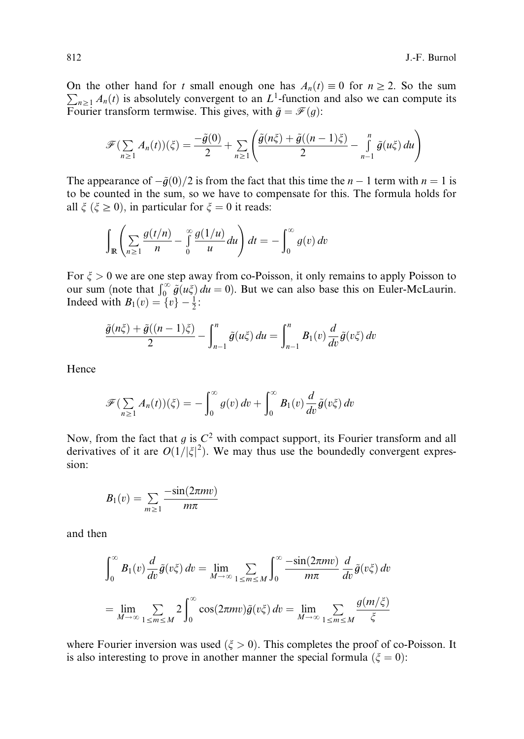On the other hand for t small enough one has  $A_n(t) \equiv 0$  for  $n \ge 2$ . So the sum  $\sum_{n\geq 1} A_n(t)$  is absolutely convergent to an  $L^1$ -function and also we can compute its Fourier transform termwise. This gives, with  $\tilde{g} = \mathcal{F}(g)$ :

$$
\mathscr{F}(\sum_{n\geq 1}A_n(t))(\xi) = \frac{-\tilde{g}(0)}{2} + \sum_{n\geq 1}\left(\frac{\tilde{g}(n\xi) + \tilde{g}((n-1)\xi)}{2} - \int_{n-1}^n\tilde{g}(u\xi) du\right)
$$

The appearance of  $-\tilde{g}(0)/2$  is from the fact that this time the  $n - 1$  term with  $n = 1$  is to be counted in the sum, so we have to compensate for this. The formula holds for all  $\xi$  ( $\xi \ge 0$ ), in particular for  $\xi = 0$  it reads:

$$
\int_{\mathbb{R}} \left( \sum_{n\geq 1} \frac{g(t/n)}{n} - \int_{0}^{\infty} \frac{g(1/u)}{u} du \right) dt = - \int_{0}^{\infty} g(v) dv
$$

For  $\xi > 0$  we are one step away from co-Poisson, it only remains to apply Poisson to our sum (note that  $\int_0^\infty \tilde{g}(u\xi) du = 0$ ). But we can also base this on Euler-McLaurin. Indeed with  $B_1(v) = \{v\} - \frac{1}{2}$ :

$$
\frac{\tilde{g}(n\xi) + \tilde{g}((n-1)\xi)}{2} - \int_{n-1}^{n} \tilde{g}(u\xi) du = \int_{n-1}^{n} B_1(v) \frac{d}{dv} \tilde{g}(v\xi) dv
$$

Hence

$$
\mathscr{F}(\sum_{n\geq 1}A_n(t))(\xi)=-\int_0^\infty g(v)\,dv+\int_0^\infty B_1(v)\frac{d}{dv}\tilde{g}(v\xi)\,dv
$$

Now, from the fact that  $g$  is  $C^2$  with compact support, its Fourier transform and all derivatives of it are  $O(1/|\xi|^2)$ . We may thus use the boundedly convergent expression:

$$
B_1(v) = \sum_{m \geq 1} \frac{-\sin(2\pi mv)}{m\pi}
$$

and then

$$
\int_0^\infty B_1(v) \frac{d}{dv} \tilde{g}(v\xi) dv = \lim_{M \to \infty} \sum_{1 \le m \le M} \int_0^\infty \frac{-\sin(2\pi m v)}{m\pi} \frac{d}{dv} \tilde{g}(v\xi) dv
$$

$$
= \lim_{M \to \infty} \sum_{1 \le m \le M} 2 \int_0^\infty \cos(2\pi m v) \tilde{g}(v\xi) dv = \lim_{M \to \infty} \sum_{1 \le m \le M} \frac{g(m/\xi)}{\xi}
$$

where Fourier inversion was used  $(\xi > 0)$ . This completes the proof of co-Poisson. It is also interesting to prove in another manner the special formula  $(\xi = 0)$ :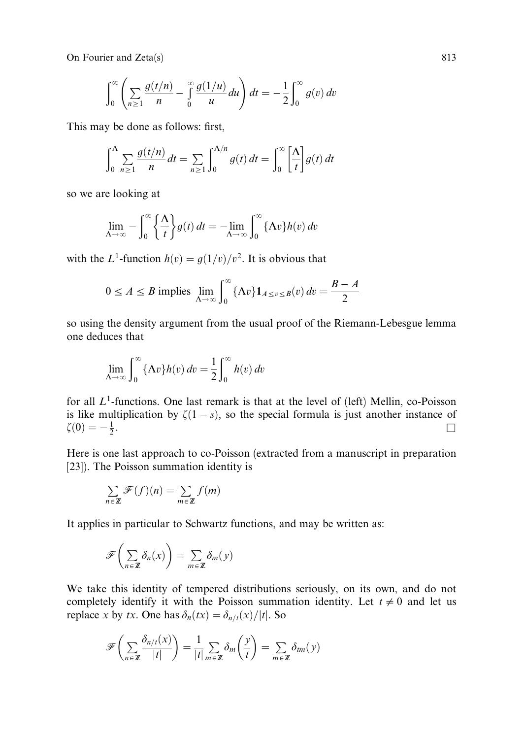On Fourier and Zeta(s) 813

$$
\int_0^\infty \left( \sum_{n\geq 1} \frac{g(t/n)}{n} - \int_0^\infty \frac{g(1/u)}{u} du \right) dt = -\frac{1}{2} \int_0^\infty g(v) dv
$$

This may be done as follows: first,

$$
\int_0^{\Lambda} \sum_{n\geq 1} \frac{g(t/n)}{n} dt = \sum_{n\geq 1} \int_0^{\Lambda/n} g(t) dt = \int_0^{\infty} \left[ \frac{\Lambda}{t} \right] g(t) dt
$$

so we are looking at

$$
\lim_{\Lambda \to \infty} -\int_0^\infty \left\{ \frac{\Lambda}{t} \right\} g(t) dt = -\lim_{\Lambda \to \infty} \int_0^\infty \left\{ \Lambda v \right\} h(v) dv
$$

with the L<sup>1</sup>-function  $h(v) = q(1/v)/v^2$ . It is obvious that

$$
0 \le A \le B \text{ implies } \lim_{\Lambda \to \infty} \int_0^\infty {\{\Lambda v\}} 1_{A \le v \le B}(v) dv = \frac{B - A}{2}
$$

so using the density argument from the usual proof of the Riemann-Lebesgue lemma one deduces that

$$
\lim_{\Delta \to \infty} \int_0^\infty {\{\Lambda v\} h(v) dv} = \frac{1}{2} \int_0^\infty h(v) dv
$$

for all  $L^1$ -functions. One last remark is that at the level of (left) Mellin, co-Poisson is like multiplication by  $\zeta(1-s)$ , so the special formula is just another instance of  $\zeta(0) = -\frac{1}{2}$ .  $\frac{1}{2}$ .

Here is one last approach to co-Poisson (extracted from a manuscript in preparation [23]). The Poisson summation identity is

$$
\sum_{n \in \mathbb{Z}} \mathcal{F}(f)(n) = \sum_{m \in \mathbb{Z}} f(m)
$$

It applies in particular to Schwartz functions, and may be written as:

$$
\mathscr{F}\left(\sum_{n\in\mathbb{Z}}\delta_n(x)\right)=\sum_{m\in\mathbb{Z}}\delta_m(y)
$$

We take this identity of tempered distributions seriously, on its own, and do not completely identify it with the Poisson summation identity. Let  $t \neq 0$  and let us replace x by tx. One has  $\delta_n(tx) = \delta_{n/t}(x)/|t|$ . So

$$
\mathscr{F}\left(\sum_{n\in\mathbb{Z}}\frac{\delta_{n/t}(x)}{|t|}\right)=\frac{1}{|t|}\sum_{m\in\mathbb{Z}}\delta_m\left(\frac{y}{t}\right)=\sum_{m\in\mathbb{Z}}\delta_{tm}(y)
$$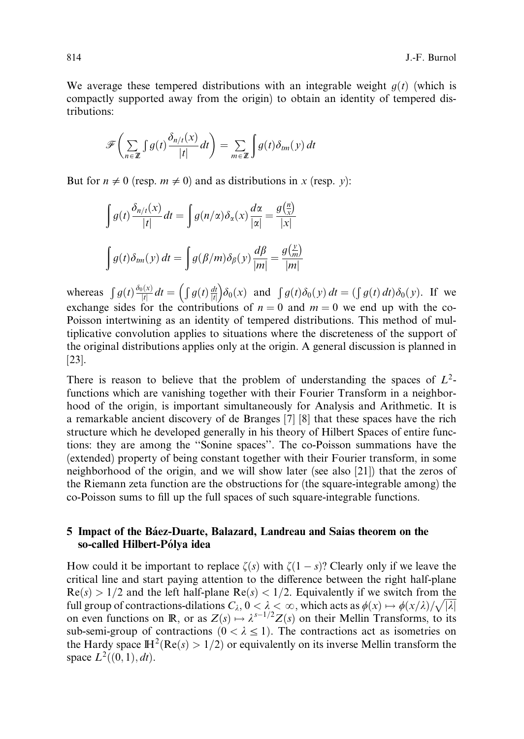We average these tempered distributions with an integrable weight  $g(t)$  (which is compactly supported away from the origin) to obtain an identity of tempered distributions:

$$
\mathscr{F}\left(\sum_{n\in\mathbb{Z}}\int g(t)\frac{\delta_{n/t}(x)}{|t|}dt\right)=\sum_{m\in\mathbb{Z}}\int g(t)\delta_{tm}(y)dt
$$

But for  $n \neq 0$  (resp.  $m \neq 0$ ) and as distributions in x (resp. y):

$$
\int g(t) \frac{\delta_{n/t}(x)}{|t|} dt = \int g(n/\alpha) \delta_{\alpha}(x) \frac{d\alpha}{|\alpha|} = \frac{g(\frac{n}{x})}{|x|}
$$

$$
\int g(t) \delta_{tm}(y) dt = \int g(\beta/m) \delta_{\beta}(y) \frac{d\beta}{|m|} = \frac{g(\frac{y}{m})}{|m|}
$$

whereas  $\int g(t) \frac{\delta_0(x)}{|t|} dt = \left( \int g(t) \frac{dt}{|t|} \right)$  $\int \int g(t) \frac{dt}{|t|} \delta_0(x)$  and  $\int g(t) \delta_0(y) dt = (\int g(t) dt) \delta_0(y)$ . If we exchange sides for the contributions of  $n = 0$  and  $m = 0$  we end up with the co-Poisson intertwining as an identity of tempered distributions. This method of multiplicative convolution applies to situations where the discreteness of the support of the original distributions applies only at the origin. A general discussion is planned in [23].

There is reason to believe that the problem of understanding the spaces of  $L^2$ functions which are vanishing together with their Fourier Transform in a neighborhood of the origin, is important simultaneously for Analysis and Arithmetic. It is a remarkable ancient discovery of de Branges [7] [8] that these spaces have the rich structure which he developed generally in his theory of Hilbert Spaces of entire functions: they are among the ''Sonine spaces''. The co-Poisson summations have the (extended) property of being constant together with their Fourier transform, in some neighborhood of the origin, and we will show later (see also [21]) that the zeros of the Riemann zeta function are the obstructions for (the square-integrable among) the co-Poisson sums to fill up the full spaces of such square-integrable functions.

### 5 Impact of the Báez-Duarte, Balazard, Landreau and Saias theorem on the so-called Hilbert-Pólya idea

How could it be important to replace  $\zeta(s)$  with  $\zeta(1-s)$ ? Clearly only if we leave the critical line and start paying attention to the difference between the right half-plane  $Re(s) > 1/2$  and the left half-plane  $Re(s) < 1/2$ . Equivalently if we switch from the full group of contractions-dilations  $C_{\lambda}$ ,  $0 < \lambda < \infty$ , which acts as  $\phi(x) \rightarrow \phi(x/\lambda)/\sqrt{|\lambda|}$ on even functions on R, or as  $Z(s) \mapsto \lambda^{s-1/2} Z(s)$  on their Mellin Transforms, to its sub-semi-group of contractions  $(0 < \lambda \le 1)$ . The contractions act as isometries on the Hardy space  $\mathbb{H}^2(\text{Re}(s) > 1/2)$  or equivalently on its inverse Mellin transform the space  $L^2((0,1), dt)$ .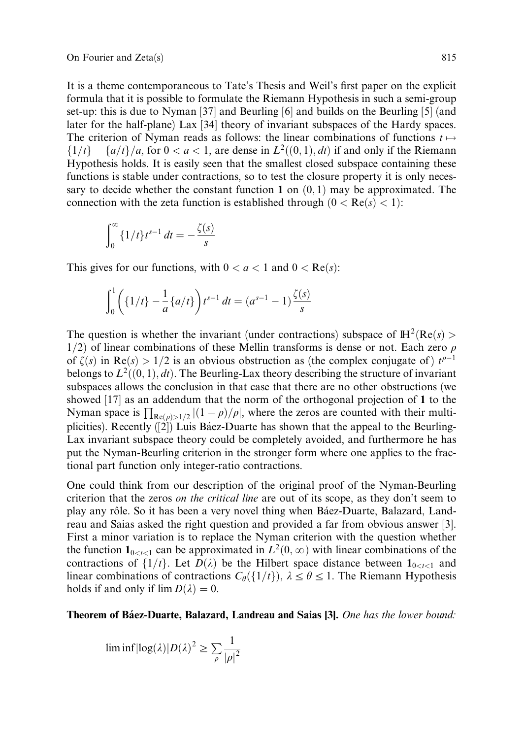It is a theme contemporaneous to Tate's Thesis and Weil's first paper on the explicit formula that it is possible to formulate the Riemann Hypothesis in such a semi-group set-up: this is due to Nyman [37] and Beurling [6] and builds on the Beurling [5] (and later for the half-plane) Lax [34] theory of invariant subspaces of the Hardy spaces. The criterion of Nyman reads as follows: the linear combinations of functions  $t \mapsto$  $\{1/t\}-\{a/t\}/a$ , for  $0 < a < 1$ , are dense in  $L^2((0,1), dt)$  if and only if the Riemann Hypothesis holds. It is easily seen that the smallest closed subspace containing these functions is stable under contractions, so to test the closure property it is only necessary to decide whether the constant function 1 on  $(0, 1)$  may be approximated. The connection with the zeta function is established through  $(0 < Re(s) < 1)$ :

$$
\int_0^\infty \{1/t\} t^{s-1} \, dt = -\frac{\zeta(s)}{s}
$$

This gives for our functions, with  $0 < a < 1$  and  $0 < \text{Re}(s)$ :

$$
\int_0^1 \left( \{1/t\} - \frac{1}{a} \{a/t\} \right) t^{s-1} dt = (a^{s-1} - 1) \frac{\zeta(s)}{s}
$$

The question is whether the invariant (under contractions) subspace of  $\mathbb{H}^2(\text{Re}(s) >$  $1/2$  of linear combinations of these Mellin transforms is dense or not. Each zero  $\rho$ of  $\zeta(s)$  in  $\text{Re}(s) > 1/2$  is an obvious obstruction as (the complex conjugate of)  $t^{p-1}$ belongs to  $L^2((0,1), dt)$ . The Beurling-Lax theory describing the structure of invariant subspaces allows the conclusion in that case that there are no other obstructions (we showed [17] as an addendum that the norm of the orthogonal projection of 1 to the Nyman space is  $\prod_{\text{Re}(\rho) > 1/2} |(1 - \rho)/\rho|$ , where the zeros are counted with their multiplicities). Recently  $(2)$  Luis Báez-Duarte has shown that the appeal to the Beurling-Lax invariant subspace theory could be completely avoided, and furthermore he has put the Nyman-Beurling criterion in the stronger form where one applies to the fractional part function only integer-ratio contractions.

One could think from our description of the original proof of the Nyman-Beurling criterion that the zeros *on the critical line* are out of its scope, as they don't seem to play any rôle. So it has been a very novel thing when Báez-Duarte, Balazard, Landreau and Saias asked the right question and provided a far from obvious answer [3]. First a minor variation is to replace the Nyman criterion with the question whether the function  $\mathbf{1}_{0 \le t \le 1}$  can be approximated in  $L^2(0, \infty)$  with linear combinations of the contractions of  $\{1/t\}$ . Let  $D(\lambda)$  be the Hilbert space distance between  $1_{0 \le t \le 1}$  and linear combinations of contractions  $C_{\theta}(\{1/t\})$ ,  $\lambda \leq \theta \leq 1$ . The Riemann Hypothesis holds if and only if  $\lim D(\lambda) = 0$ .

Theorem of Báez-Duarte, Balazard, Landreau and Saias [3]. One has the lower bound:

$$
\liminf |\log(\lambda)| D(\lambda)^2 \ge \sum_{\rho} \frac{1}{|\rho|^2}
$$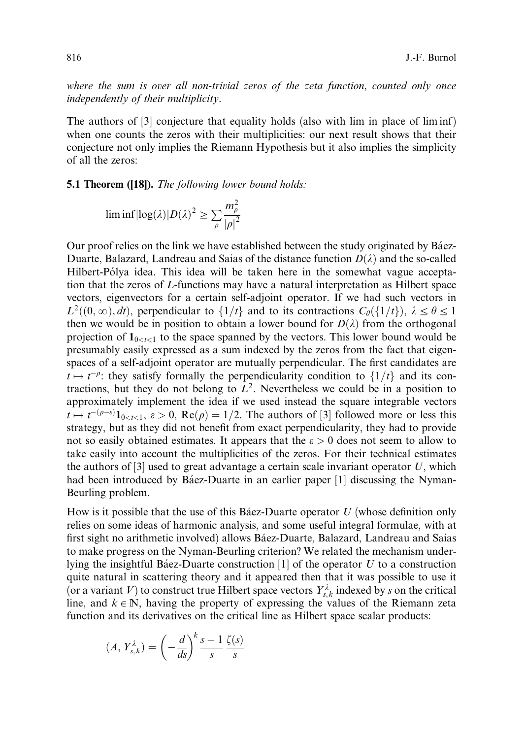where the sum is over all non-trivial zeros of the zeta function, counted only once independently of their multiplicity.

The authors of [3] conjecture that equality holds (also with lim in place of liminf) when one counts the zeros with their multiplicities: our next result shows that their conjecture not only implies the Riemann Hypothesis but it also implies the simplicity of all the zeros:

5.1 Theorem ([18]). The following lower bound holds:

$$
\liminf |\log(\lambda)| D(\lambda)^2 \ge \sum_{\rho} \frac{m_{\rho}^2}{|\rho|^2}
$$

Our proof relies on the link we have established between the study originated by Báez-Duarte, Balazard, Landreau and Saias of the distance function  $D(\lambda)$  and the so-called Hilbert-Pólya idea. This idea will be taken here in the somewhat vague acceptation that the zeros of L-functions may have a natural interpretation as Hilbert space vectors, eigenvectors for a certain self-adjoint operator. If we had such vectors in  $L^2((0,\infty), dt)$ , perpendicular to  $\{1/t\}$  and to its contractions  $C_\theta(\{1/t\})$ ,  $\lambda \leq \theta \leq 1$ then we would be in position to obtain a lower bound for  $D(\lambda)$  from the orthogonal projection of  $\mathbf{1}_{0 \le t \le 1}$  to the space spanned by the vectors. This lower bound would be presumably easily expressed as a sum indexed by the zeros from the fact that eigenspaces of a self-adjoint operator are mutually perpendicular. The first candidates are  $t \mapsto t^{-\rho}$ : they satisfy formally the perpendicularity condition to  $\{1/t\}$  and its contractions, but they do not belong to  $L^2$ . Nevertheless we could be in a position to approximately implement the idea if we used instead the square integrable vectors  $t \mapsto t^{-(\rho-\varepsilon)} \mathbf{1}_{0 \le t \le 1}$ ,  $\varepsilon > 0$ , Re $(\rho) = 1/2$ . The authors of [3] followed more or less this strategy, but as they did not benefit from exact perpendicularity, they had to provide not so easily obtained estimates. It appears that the  $\varepsilon > 0$  does not seem to allow to take easily into account the multiplicities of the zeros. For their technical estimates the authors of  $[3]$  used to great advantage a certain scale invariant operator U, which had been introduced by Báez-Duarte in an earlier paper  $[1]$  discussing the Nyman-Beurling problem.

How is it possible that the use of this Báez-Duarte operator  $U$  (whose definition only relies on some ideas of harmonic analysis, and some useful integral formulae, with at first sight no arithmetic involved) allows Báez-Duarte, Balazard, Landreau and Saias to make progress on the Nyman-Beurling criterion? We related the mechanism underlying the insightful Báez-Duarte construction  $[1]$  of the operator U to a construction quite natural in scattering theory and it appeared then that it was possible to use it (or a variant V) to construct true Hilbert space vectors  $Y_{s,k}^{\lambda}$  indexed by s on the critical line, and  $k \in \mathbb{N}$ , having the property of expressing the values of the Riemann zeta function and its derivatives on the critical line as Hilbert space scalar products:

$$
(A, Y_{s,k}^{\lambda}) = \left(-\frac{d}{ds}\right)^{k} \frac{s-1}{s} \frac{\zeta(s)}{s}
$$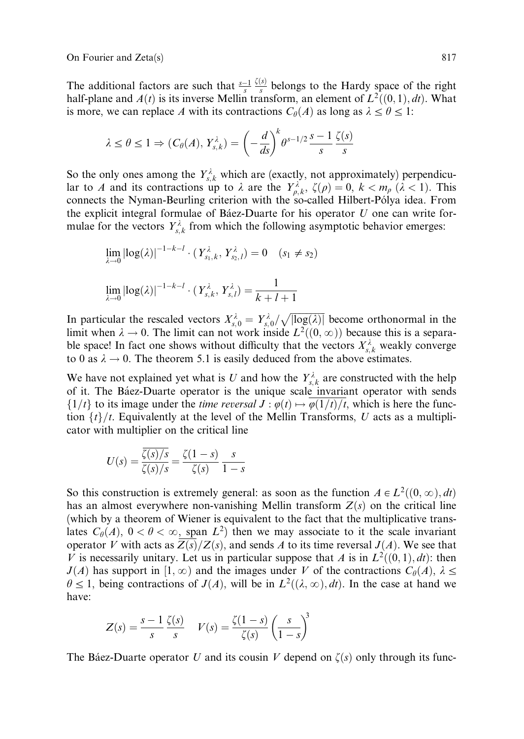On Fourier and Zeta(s) 817

The additional factors are such that  $\frac{s-1}{s}$  $\frac{\zeta(s)}{s}$  belongs to the Hardy space of the right half-plane and  $A(t)$  is its inverse Mellin transform, an element of  $L^2((0,1), dt)$ . What is more, we can replace A with its contractions  $C_{\theta}(A)$  as long as  $\lambda \leq \theta \leq 1$ :

$$
\lambda \leq \theta \leq 1 \Rightarrow (C_{\theta}(A), Y_{s,k}^{\lambda}) = \left(-\frac{d}{ds}\right)^{k} \theta^{s-1/2} \frac{s-1}{s} \frac{\zeta(s)}{s}
$$

So the only ones among the  $Y_{s,k}^{\lambda}$  which are (exactly, not approximately) perpendicular to A and its contractions up to  $\lambda$  are the  $Y_{\rho,k}^{\lambda}$ ,  $\zeta(\rho) = 0$ ,  $k < m_{\rho}$  ( $\lambda < 1$ ). This connects the Nyman-Beurling criterion with the so-called Hilbert-Pólya idea. From the explicit integral formulae of Báez-Duarte for his operator  $U$  one can write formulae for the vectors  $Y_{s,k}^{\lambda}$  from which the following asymptotic behavior emerges:

$$
\lim_{\lambda \to 0} |\log(\lambda)|^{-1-k-l} \cdot (Y_{s_1,k}^{\lambda}, Y_{s_2,l}^{\lambda}) = 0 \quad (s_1 \neq s_2)
$$

$$
\lim_{\lambda \to 0} |\log(\lambda)|^{-1-k-l} \cdot (Y_{s,k}^{\lambda}, Y_{s,l}^{\lambda}) = \frac{1}{k+l+1}
$$

In particular the rescaled vectors  $X_{s,0}^{\lambda} = Y_{s,0}^{\lambda}/\sqrt{|\log(\lambda)|}$  become orthonormal in the limit when  $\lambda \to 0$ . The limit can not work inside  $L^2((0,\infty))$  because this is a separable space! In fact one shows without difficulty that the vectors  $X_{s,k}^{\lambda}$  weakly converge to 0 as  $\lambda \rightarrow 0$ . The theorem 5.1 is easily deduced from the above estimates.

We have not explained yet what is U and how the  $Y_{s,k}^{\lambda}$  are constructed with the help of it. The Ba´ez-Duarte operator is the unique scale invariant operator with sends  $\{1/t\}$  to its image under the *time reversal*  $J : \varphi(t) \mapsto \overline{\varphi(1/t)/t}$ , which is here the function  $\{t\}/t$ . Equivalently at the level of the Mellin Transforms, U acts as a multiplicator with multiplier on the critical line

$$
U(s) = \frac{\overline{\zeta(s)/s}}{\zeta(s)/s} = \frac{\zeta(1-s)}{\zeta(s)} \frac{s}{1-s}
$$

So this construction is extremely general: as soon as the function  $A \in L^2((0, \infty), dt)$ has an almost everywhere non-vanishing Mellin transform  $Z(s)$  on the critical line (which by a theorem of Wiener is equivalent to the fact that the multiplicative translates  $C_{\theta}(A)$ ,  $0 < \theta < \infty$ , span  $L^2$ ) then we may associate to it the scale invariant operator V with acts as  $\overline{Z(s)}/Z(s)$ , and sends A to its time reversal  $J(A)$ . We see that V is necessarily unitary. Let us in particular suppose that A is in  $L^2((0,1), dt)$ : then  $J(A)$  has support in  $[1,\infty)$  and the images under V of the contractions  $C_{\theta}(A), \lambda \leq$  $\theta \leq 1$ , being contractions of  $J(A)$ , will be in  $L^2((\lambda, \infty), dt)$ . In the case at hand we have:

$$
Z(s) = \frac{s-1}{s} \frac{\zeta(s)}{s} \quad V(s) = \frac{\zeta(1-s)}{\zeta(s)} \left(\frac{s}{1-s}\right)^3
$$

The Báez-Duarte operator U and its cousin V depend on  $\zeta(s)$  only through its func-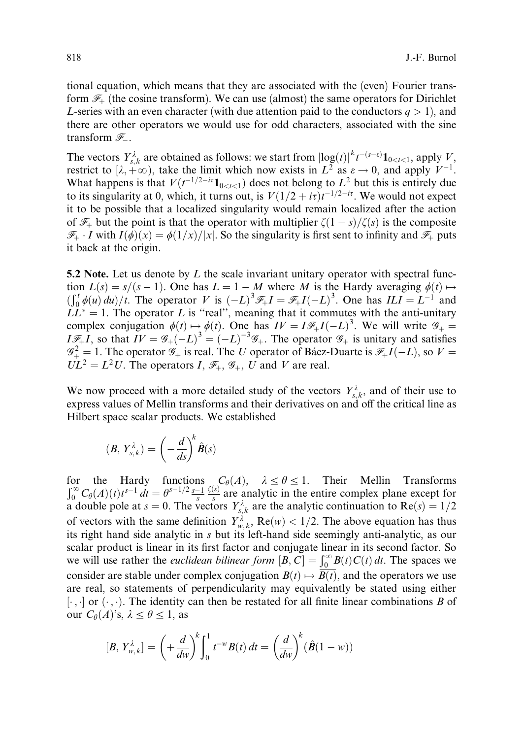tional equation, which means that they are associated with the (even) Fourier transform  $\mathcal{F}_+$  (the cosine transform). We can use (almost) the same operators for Dirichlet L-series with an even character (with due attention paid to the conductors  $q > 1$ ), and there are other operators we would use for odd characters, associated with the sine transform  $\mathscr F$ .

The vectors  $Y_{s,k}^{\lambda}$  are obtained as follows: we start from  $\log(t)|^{k} t^{-(s-\varepsilon)} \mathbf{1}_{0 < t < 1}$ , apply V, restrict to  $[\lambda, +\infty)$ , take the limit which now exists in  $L^2$  as  $\varepsilon \to 0$ , and apply  $V^{-1}$ . What happens is that  $V(t^{-1/2-i\tau}1_{0\lt t\lt 1})$  does not belong to  $L^2$  but this is entirely due to its singularity at 0, which, it turns out, is  $V(1/2 + i\tau)t^{-1/2 - i\tau}$ . We would not expect it to be possible that a localized singularity would remain localized after the action of  $\mathscr{F}_+$  but the point is that the operator with multiplier  $\zeta(1-s)/\zeta(s)$  is the composite  $\mathscr{F}_+ \cdot I$  with  $I(\phi)(x) = \phi(1/x)/|x|$ . So the singularity is first sent to infinity and  $\mathscr{F}_+$  puts it back at the origin.

5.2 Note. Let us denote by  $L$  the scale invariant unitary operator with spectral function  $L(s) = s/(s-1)$ . One has  $L = 1 - M$  where M is the Hardy averaging  $\phi(t) \mapsto$  $\int_0^t \phi(u) du/t$ . The operator V is  $(-L)^3 \mathcal{F}_+ I = \mathcal{F}_+ I(-L)^3$ . One has  $ILI = L^{-1}$  and  $LL^* = 1$ . The operator L is "real", meaning that it commutes with the anti-unitary complex conjugation  $\phi(t) \mapsto \phi(t)$ . One has  $IV = I \mathcal{F}_{+}I(-L)^{3}$ . We will write  $\mathcal{G}_{+}$  $I\mathscr{F}_+I$ , so that  $IV = \mathscr{G}_+(-L)^3 = (-L)^{-3}\mathscr{G}_+$ . The operator  $\mathscr{G}_+$  is unitary and satisfies  $\mathscr{G}^2_+ = 1$ . The operator  $\mathscr{G}_+$  is real. The U operator of Ba´ez-Duarte is  $\mathscr{F}_+I(-L)$ , so  $V =$  $\overline{UL}^2 = L^2U$ . The operators I,  $\mathscr{F}_+, \mathscr{G}_+, U$  and V are real.

We now proceed with a more detailed study of the vectors  $Y_{s,k}^{\lambda}$ , and of their use to express values of Mellin transforms and their derivatives on and off the critical line as Hilbert space scalar products. We established

$$
(B, Y_{s,k}^{\lambda}) = \left(-\frac{d}{ds}\right)^k \hat{B}(s)
$$

the Hardy functions  $C_{\theta}(A)$ ,  $\lambda \le \theta \le 1$ . Their Mellin Transforms  $\int_0^{\infty} C_{\theta}(A)(t) t^{s-1} dt = \theta^{s-1/2} \frac{s-1}{s}$  $\frac{\zeta(s)}{s}$  are analytic in the entire complex plane except for a double pole at  $s = 0$ . The vectors  $Y_{s,k}^{\lambda}$  are the analytic continuation to  $Re(s) = 1/2$ of vectors with the same definition  $Y_{w,k}^{\lambda}$ ,  $Re(w) < 1/2$ . The above equation has thus its right hand side analytic in s but its left-hand side seemingly anti-analytic, as our scalar product is linear in its first factor and conjugate linear in its second factor. So we will use rather the *euclidean bilinear form*  $[B, C] = \int_0^\infty B(t)C(t) dt$ . The spaces we consider are stable under complex conjugation  $B(t) \mapsto \overline{B(t)}$ , and the operators we use are real, so statements of perpendicularity may equivalently be stated using either  $[\cdot, \cdot]$  or  $(\cdot, \cdot)$ . The identity can then be restated for all finite linear combinations B of our  $C_{\theta}(A)$ 's,  $\lambda \leq \theta \leq 1$ , as

$$
[B, Y_{w,k}^{\lambda}] = \left(+\frac{d}{dw}\right)^k \int_0^1 t^{-w} B(t) dt = \left(\frac{d}{dw}\right)^k (\hat{B}(1-w))
$$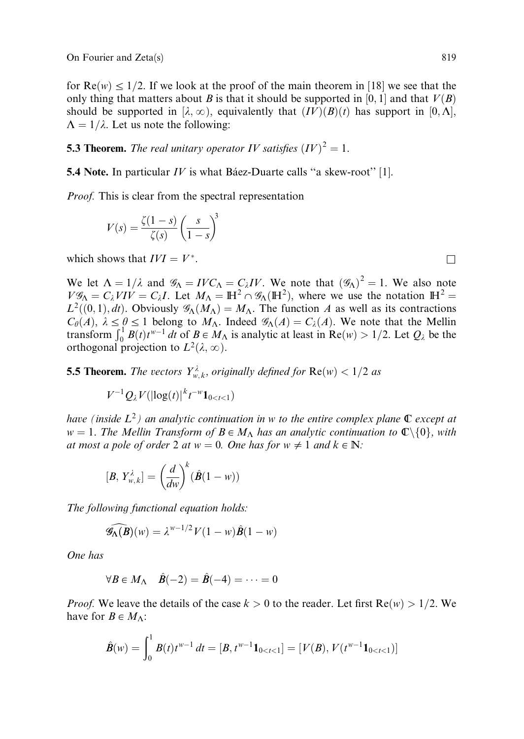for  $Re(w) \le 1/2$ . If we look at the proof of the main theorem in [18] we see that the only thing that matters about B is that it should be supported in [0, 1] and that  $V(B)$ should be supported in  $[\lambda, \infty)$ , equivalently that  $(IV)(B)(t)$  has support in  $[0, \Lambda]$ ,  $\Lambda = 1/\lambda$ . Let us note the following:

**5.3 Theorem.** The real unitary operator IV satisfies  $(IV)^2 = 1$ .

**5.4 Note.** In particular *IV* is what Ba'ez-Duarte calls "a skew-root" [1].

Proof. This is clear from the spectral representation

$$
V(s) = \frac{\zeta(1-s)}{\zeta(s)} \left(\frac{s}{1-s}\right)^3
$$

which shows that  $IVI = V^*$ .

We let  $\Lambda = 1/\lambda$  and  $\mathscr{G}_{\Lambda} = IV C_{\Lambda} = C_{\lambda} IV$ . We note that  $(\mathscr{G}_{\Lambda})^2 = 1$ . We also note  $V\mathscr{G}_{\Lambda} = C_{\lambda} VIV = C_{\lambda} I$ . Let  $M_{\Lambda} = \mathbb{H}^2 \cap \mathscr{G}_{\Lambda}(\mathbb{H}^2)$ , where we use the notation  $\mathbb{H}^2 =$  $L^2((0,1), dt)$ . Obviously  $\mathscr{G}_{\Lambda}(M_{\Lambda}) = M_{\Lambda}$ . The function A as well as its contractions  $C_{\theta}(A)$ ,  $\lambda \leq \theta \leq 1$  belong to  $M_{\Lambda}$ . Indeed  $\mathscr{G}_{\Lambda}(A) = C_{\lambda}(A)$ . We note that the Mellin transform  $\int_0^1 B(t)t^{w-1} dt$  of  $B \in M_\Lambda$  is analytic at least in  $\text{Re}(w) > 1/2$ . Let  $Q_\lambda$  be the orthogonal projection to  $L^2(\lambda, \infty)$ .

**5.5 Theorem.** The vectors  $Y_{w,k}^{\lambda}$ , originally defined for  $Re(w) < 1/2$  as

 $V^{-1}Q_{\lambda}V(|\log(t)|^{k}t^{-w}\mathbf{1}_{0$ 

have (inside  $L^2$ ) an analytic continuation in w to the entire complex plane  $\mathbb C$  except at  $w = 1$ . The Mellin Transform of  $B \in M_{\Lambda}$  has an analytic continuation to  $\mathbb{C} \setminus \{0\}$ , with at most a pole of order 2 at  $w = 0$ . One has for  $w \neq 1$  and  $k \in \mathbb{N}$ :

$$
[B, Y_{w,k}^{\lambda}] = \left(\frac{d}{dw}\right)^k (\hat{B}(1 - w))
$$

The following functional equation holds:

$$
\widehat{\mathscr{G}_{\Lambda}(B)}(w) = \lambda^{w-1/2} V(1-w) \widehat{B}(1-w)
$$

One has

$$
\forall B \in M_{\Lambda} \quad \hat{B}(-2) = \hat{B}(-4) = \cdots = 0
$$

*Proof.* We leave the details of the case  $k > 0$  to the reader. Let first  $Re(w) > 1/2$ . We have for  $B \in M_{\Lambda}$ :

$$
\hat{B}(w) = \int_0^1 B(t)t^{w-1} dt = [B, t^{w-1} \mathbf{1}_{0 < t < 1}] = [V(B), V(t^{w-1} \mathbf{1}_{0 < t < 1})]
$$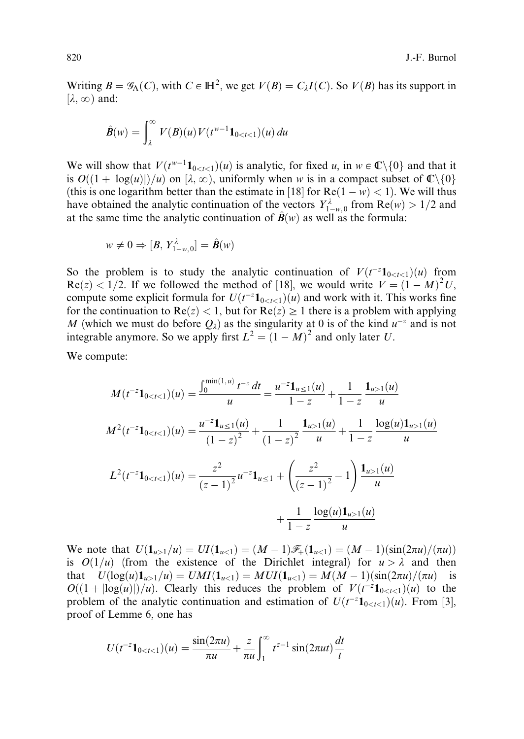Writing  $B = \mathscr{G}_{\Lambda}(C)$ , with  $C \in \mathbb{H}^2$ , we get  $V(B) = C_{\lambda}I(C)$ . So  $V(B)$  has its support in  $[\lambda, \infty)$  and:

$$
\hat{B}(w) = \int_{\lambda}^{\infty} V(B)(u) V(t^{w-1} \mathbf{1}_{0 < t < 1})(u) \, du
$$

We will show that  $V(t^{w-1}\mathbf{1}_{0\leq t\leq 1})(u)$  is analytic, for fixed u, in  $w \in \mathbb{C}\backslash\{0\}$  and that it is  $O((1 + |\log(u)|)/u)$  on  $[\lambda, \infty)$ , uniformly when w is in a compact subset of  $\mathbb{C}\setminus\{0\}$ (this is one logarithm better than the estimate in [18] for  $\text{Re}(1 - w) < 1$ ). We will thus have obtained the analytic continuation of the vectors  $Y_{1-w,0}^{\lambda}$  from  $\text{Re}(w) > 1/2$  and at the same time the analytic continuation of  $\mathbf{B}(w)$  as well as the formula:

$$
w \neq 0 \Rightarrow [B, Y^{\lambda}_{1-w,0}] = \hat{B}(w)
$$

So the problem is to study the analytic continuation of  $V(t^{-z}1_{0 \lt t \lt 1})(u)$  from  $\text{Re}(z) < 1/2$ . If we followed the method of [18], we would write  $V = (1 - M)^2 U$ , compute some explicit formula for  $U(t^{-z} \mathbf{1}_{0 \le t \le 1})(u)$  and work with it. This works fine for the continuation to  $Re(z) < 1$ , but for  $Re(z) \ge 1$  there is a problem with applying M (which we must do before  $Q_{\lambda}$ ) as the singularity at 0 is of the kind  $u^{-z}$  and is not integrable anymore. So we apply first  $L^2 = (1 - M)^2$  and only later U.

We compute:

$$
M(t^{-z}1_{01}(u)}{u}
$$

$$
M^2(t^{-z}1_{01}(u)}{u} + \frac{1}{1-z} \frac{\log(u)1_{u>1}(u)}{u}
$$

$$
L^2(t^{-z}1_{01}(u)}{u}
$$

$$
+ \frac{1}{1-z} \frac{\log(u)1_{u>1}(u)}{u}
$$

We note that  $U(\mathbf{1}_{u>1}/u) = UI(\mathbf{1}_{u<1})=(M-1)\mathcal{F}_+(\mathbf{1}_{u<1})=(M-1)(\sin(2\pi u)/(\pi u))$ is  $O(1/u)$  (from the existence of the Dirichlet integral) for  $u > \lambda$  and then that  $U(\log(u)1_{u>1}/u) = UMI(1_{u<1}) = MUI(1_{u<1}) = M(M-1)(\sin(2\pi u)/(\pi u)$  is  $O((1 + |\log(u)|)/u)$ . Clearly this reduces the problem of  $V(t^{-2}1_{0 \le t \le 1})(u)$  to the problem of the analytic continuation and estimation of  $U(t^{-z}1_{0 \lt t \lt 1})(u)$ . From [3], proof of Lemme 6, one has

$$
U(t^{-z}\mathbf{1}_{0
$$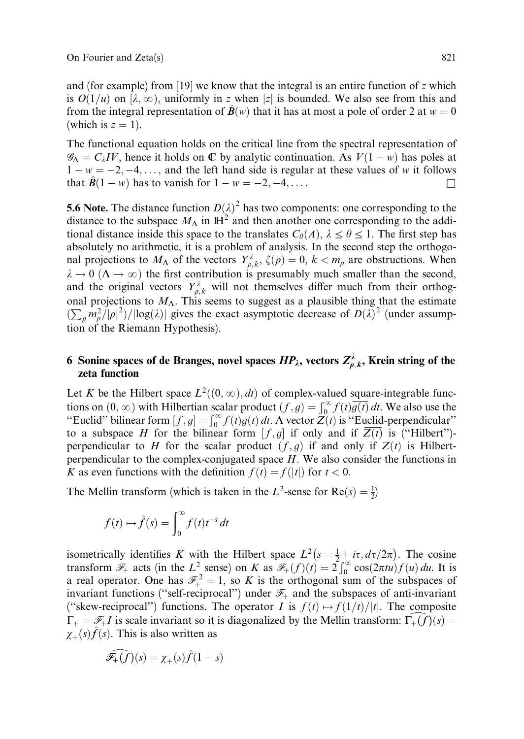and (for example) from [19] we know that the integral is an entire function of z which is  $O(1/u)$  on [ $\lambda$ ,  $\infty$ ), uniformly in z when |z| is bounded. We also see from this and from the integral representation of  $\hat{B}(w)$  that it has at most a pole of order 2 at  $w = 0$ (which is  $z = 1$ ).

The functional equation holds on the critical line from the spectral representation of  $\mathscr{G}_{\Lambda} = C_{\lambda} IV$ , hence it holds on  $\mathbb C$  by analytic continuation. As  $V(1 - w)$  has poles at  $1 - w = -2, -4, \ldots$ , and the left hand side is regular at these values of w it follows that  $\mathbf{B}(1 - w)$  has to vanish for  $1 - w = -2, -4, \dots$ 

**5.6 Note.** The distance function  $D(\lambda)^2$  has two components: one corresponding to the distance to the subspace  $M_{\Lambda}$  in  $\mathbb{H}^2$  and then another one corresponding to the additional distance inside this space to the translates  $C_{\theta}(A), \lambda \le \theta \le 1$ . The first step has absolutely no arithmetic, it is a problem of analysis. In the second step the orthogonal projections to  $M_{\Lambda}$  of the vectors  $Y^{\lambda}_{\rho,k}$ ,  $\zeta(\rho) = 0$ ,  $k < m_{\rho}$  are obstructions. When  $\lambda \to 0$  ( $\Lambda \to \infty$ ) the first contribution is presumably much smaller than the second, and the original vectors  $Y_{\rho,k}^{\lambda}$  will not themselves differ much from their orthogonal projections to  $M_{\Lambda}$ . This seems to suggest as a plausible thing that the estimate  $(\sum_{\rho} m_{\rho}^2/|\rho|^2)/|\log(\lambda)|$  gives the exact asymptotic decrease of  $D(\lambda)^2$  (under assumption of the Riemann Hypothesis).

# 6 Sonine spaces of de Branges, novel spaces  $HP_\lambda$ , vectors  $Z_{\rho,k}^\lambda$ , Krein string of the zeta function

Let K be the Hilbert space  $L^2((0, \infty), dt)$  of complex-valued square-integrable functions on  $(0, \infty)$  with Hilbertian scalar product  $(f, g) = \int_0^\infty f(t)g(t) dt$ . We also use the "Euclid" bilinear form  $[f, g] = \int_0^\infty f(t)g(t) dt$ . A vector  $Z(t)$  is "Euclid-perpendicular" to a subspace H for the bilinear form  $[f, g]$  if only and if  $\overline{Z(t)}$  is ("Hilbert")perpendicular to H for the scalar product  $(f, g)$  if and only if  $Z(t)$  is Hilbertperpendicular to the complex-conjugated space  $\overline{H}$ . We also consider the functions in K as even functions with the definition  $f(t) = f(|t|)$  for  $t < 0$ .

The Mellin transform (which is taken in the  $L^2$ -sense for  $Re(s) = \frac{1}{2}$ )

$$
f(t) \mapsto \hat{f}(s) = \int_0^\infty f(t) t^{-s} dt
$$

isometrically identifies K with the Hilbert space  $L^2(s = \frac{1}{2} + i\tau, d\tau/2\pi)$ . The cosine transform  $\mathcal{F}_+$  acts (in the  $L^2$  sense) on K as  $\mathcal{F}_+(f)(t) = 2 \int_0^\infty \cos(2\pi t u) f(u) du$ . It is a real operator. One has  $\mathcal{F}^2_+ = 1$ , so K is the orthogonal sum of the subspaces of invariant functions ("self-reciprocal") under  $\mathcal{F}_+$  and the subspaces of anti-invariant ("skew-reciprocal") functions. The operator I is  $f(t) \mapsto f(1/t)/|t|$ . The composite  $\Gamma_+ = \mathscr{F}_+ I$  is scale invariant so it is diagonalized by the Mellin transform:  $\Gamma_+(f)(s) =$  $\chi_{+}(s)\hat{f}(s)$ . This is also written as

$$
\widehat{\mathscr{F}_+ (f)}(s) = \chi_+(s)\widehat{f}(1-s)
$$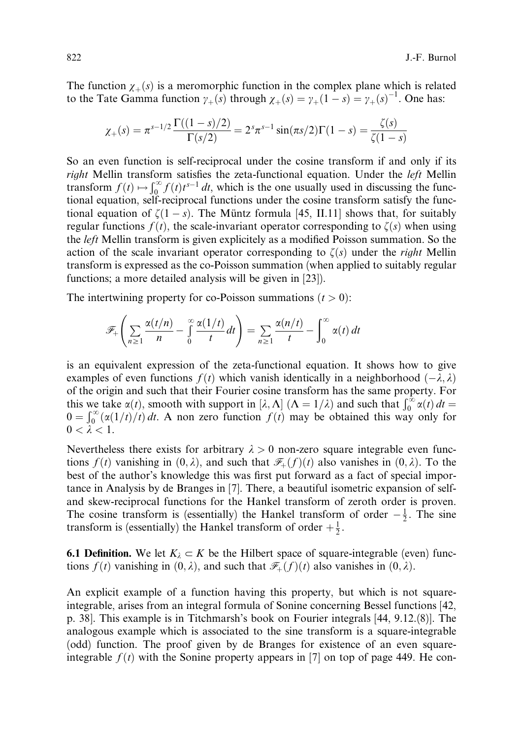The function  $\chi_{+}(s)$  is a meromorphic function in the complex plane which is related to the Tate Gamma function  $\gamma_+(s)$  through  $\chi_+(s) = \gamma_+(1-s) = \gamma_+(s)^{-1}$ . One has:

$$
\chi_{+}(s) = \pi^{s-1/2} \frac{\Gamma((1-s)/2)}{\Gamma(s/2)} = 2^{s} \pi^{s-1} \sin(\pi s/2) \Gamma(1-s) = \frac{\zeta(s)}{\zeta(1-s)}
$$

So an even function is self-reciprocal under the cosine transform if and only if its right Mellin transform satisfies the zeta-functional equation. Under the *left* Mellin transform  $f(t) \mapsto \int_0^\infty f(t)t^{s-1} dt$ , which is the one usually used in discussing the functional equation, self-reciprocal functions under the cosine transform satisfy the functional equation of  $\zeta(1-s)$ . The Müntz formula [45, II.11] shows that, for suitably regular functions  $f(t)$ , the scale-invariant operator corresponding to  $\zeta(s)$  when using the left Mellin transform is given explicitely as a modified Poisson summation. So the action of the scale invariant operator corresponding to  $\zeta(s)$  under the *right* Mellin transform is expressed as the co-Poisson summation (when applied to suitably regular functions; a more detailed analysis will be given in [23]).

The intertwining property for co-Poisson summations  $(t > 0)$ :

$$
\mathscr{F}_+\left(\sum_{n\geq 1}\frac{\alpha(t/n)}{n}-\int\limits_0^\infty\frac{\alpha(1/t)}{t}dt\right)=\sum_{n\geq 1}\frac{\alpha(n/t)}{t}-\int\limits_0^\infty\alpha(t)\,dt
$$

is an equivalent expression of the zeta-functional equation. It shows how to give examples of even functions  $f(t)$  which vanish identically in a neighborhood  $(-\lambda, \lambda)$ of the origin and such that their Fourier cosine transform has the same property. For this we take  $\alpha(t)$ , smooth with support in  $[\lambda, \Lambda]$  ( $\Lambda = 1/\lambda$ ) and such that  $\int_0^\infty \alpha(t) dt =$  $0 = \int_0^\infty (\alpha(1/t)/t) dt$ . A non zero function  $f(t)$  may be obtained this way only for  $0 < \lambda < 1$ .

Nevertheless there exists for arbitrary  $\lambda > 0$  non-zero square integrable even functions  $f(t)$  vanishing in  $(0, \lambda)$ , and such that  $\mathcal{F}_{+}(f)(t)$  also vanishes in  $(0, \lambda)$ . To the best of the author's knowledge this was first put forward as a fact of special importance in Analysis by de Branges in [7]. There, a beautiful isometric expansion of selfand skew-reciprocal functions for the Hankel transform of zeroth order is proven. The cosine transform is (essentially) the Hankel transform of order  $-\frac{1}{2}$ . The sine transform is (essentially) the Hankel transform of order  $+\frac{1}{2}$ .

**6.1 Definition.** We let  $K_{\lambda} \subset K$  be the Hilbert space of square-integrable (even) functions  $f(t)$  vanishing in  $(0, \lambda)$ , and such that  $\mathcal{F}_+(f)(t)$  also vanishes in  $(0, \lambda)$ .

An explicit example of a function having this property, but which is not squareintegrable, arises from an integral formula of Sonine concerning Bessel functions [42, p. 38]. This example is in Titchmarsh's book on Fourier integrals [44, 9.12.(8)]. The analogous example which is associated to the sine transform is a square-integrable (odd) function. The proof given by de Branges for existence of an even squareintegrable  $f(t)$  with the Sonine property appears in [7] on top of page 449. He con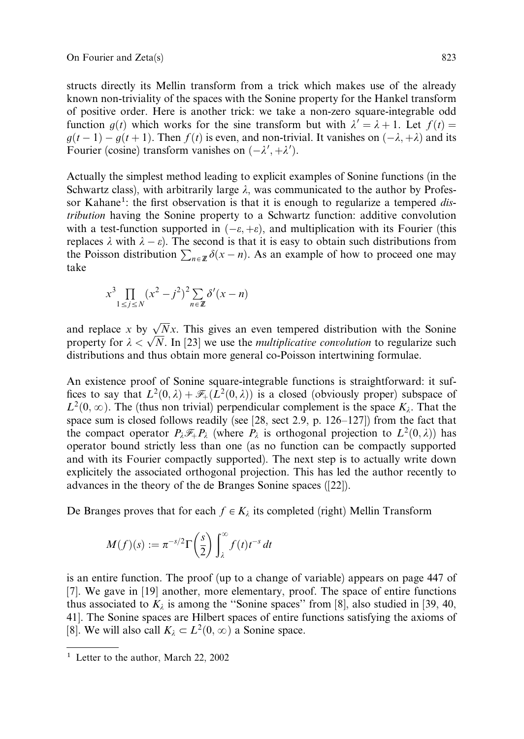structs directly its Mellin transform from a trick which makes use of the already known non-triviality of the spaces with the Sonine property for the Hankel transform of positive order. Here is another trick: we take a non-zero square-integrable odd function  $g(t)$  which works for the sine transform but with  $\lambda' = \lambda + 1$ . Let  $f(t) =$  $g(t-1) - g(t+1)$ . Then  $f(t)$  is even, and non-trivial. It vanishes on  $(-\lambda, +\lambda)$  and its Fourier (cosine) transform vanishes on  $(-\lambda', +\lambda')$ .

Actually the simplest method leading to explicit examples of Sonine functions (in the Schwartz class), with arbitrarily large  $\lambda$ , was communicated to the author by Professor Kahane<sup>1</sup>: the first observation is that it is enough to regularize a tempered distribution having the Sonine property to a Schwartz function: additive convolution with a test-function supported in  $(-\varepsilon, +\varepsilon)$ , and multiplication with its Fourier (this replaces  $\lambda$  with  $\lambda - \varepsilon$ ). The second is that it is easy to obtain such distributions from the Poisson distribution  $\sum_{n \in \mathbb{Z}} \delta(x - n)$ . As an example of how to proceed one may take

$$
x^3 \prod_{1 \le j \le N} (x^2 - j^2)^2 \sum_{n \in \mathbb{Z}} \delta'(x - n)
$$

and replace x by  $\sqrt{N}x$ . This gives an even tempered distribution with the Sonine and replace x by  $\sqrt{N}x$ . This gives an even tempered distribution with the somme<br>property for  $\lambda < \sqrt{N}$ . In [23] we use the *multiplicative convolution* to regularize such distributions and thus obtain more general co-Poisson intertwining formulae.

An existence proof of Sonine square-integrable functions is straightforward: it suffices to say that  $L^2(0,\lambda) + \mathscr{F}_+(L^2(0,\lambda))$  is a closed (obviously proper) subspace of  $L^2(0,\infty)$ . The (thus non trivial) perpendicular complement is the space  $K_\lambda$ . That the space sum is closed follows readily (see  $[28, \text{ sect } 2.9, \text{ p. } 126-127]$ ) from the fact that the compact operator  $P_{\lambda} \mathcal{F}_{+}P_{\lambda}$  (where  $P_{\lambda}$  is orthogonal projection to  $L^{2}(0, \lambda)$ ) has operator bound strictly less than one (as no function can be compactly supported and with its Fourier compactly supported). The next step is to actually write down explicitely the associated orthogonal projection. This has led the author recently to advances in the theory of the de Branges Sonine spaces ([22]).

De Branges proves that for each  $f \in K_\lambda$  its completed (right) Mellin Transform

$$
M(f)(s) := \pi^{-s/2} \Gamma\left(\frac{s}{2}\right) \int_{\lambda}^{\infty} f(t) t^{-s} dt
$$

is an entire function. The proof (up to a change of variable) appears on page 447 of [7]. We gave in [19] another, more elementary, proof. The space of entire functions thus associated to  $K_{\lambda}$  is among the "Sonine spaces" from [8], also studied in [39, 40, 41]. The Sonine spaces are Hilbert spaces of entire functions satisfying the axioms of [8]. We will also call  $K_{\lambda} \subset L^2(0, \infty)$  a Sonine space.

<sup>&</sup>lt;sup>1</sup> Letter to the author, March 22, 2002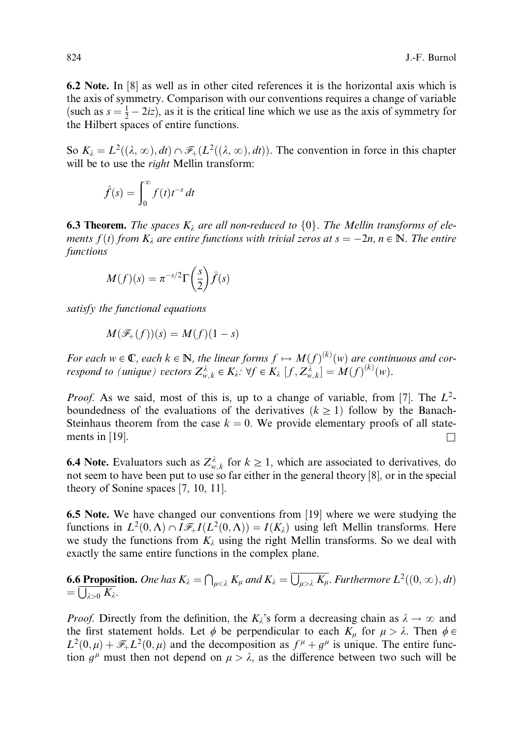6.2 Note. In [8] as well as in other cited references it is the horizontal axis which is the axis of symmetry. Comparison with our conventions requires a change of variable (such as  $s = \frac{1}{2} - 2iz$ ), as it is the critical line which we use as the axis of symmetry for the Hilbert spaces of entire functions.

So  $K_{\lambda} = L^2((\lambda, \infty), dt) \cap \mathcal{F}_+(L^2((\lambda, \infty), dt))$ . The convention in force in this chapter will be to use the *right* Mellin transform:

$$
\hat{f}(s) = \int_0^\infty f(t)t^{-s} dt
$$

**6.3 Theorem.** The spaces  $K_{\lambda}$  are all non-reduced to  $\{0\}$ . The Mellin transforms of elements  $f(t)$  from  $K_{\lambda}$  are entire functions with trivial zeros at  $s = -2n$ ,  $n \in \mathbb{N}$ . The entire functions

$$
M(f)(s) = \pi^{-s/2} \Gamma\left(\frac{s}{2}\right) \hat{f}(s)
$$

satisfy the functional equations

$$
M(\mathscr{F}_+(f))(s) = M(f)(1-s)
$$

For each  $w \in \mathbb{C}$ , each  $k \in \mathbb{N}$ , the linear forms  $f \mapsto M(f)^{(k)}(w)$  are continuous and correspond to (unique) vectors  $Z_{w,k}^{\lambda} \in K_{\lambda}: \forall f \in K_{\lambda}$   $[f, Z_{w,k}^{\lambda}] = M(f)^{(k)}(w)$ .

*Proof.* As we said, most of this is, up to a change of variable, from [7]. The  $L^2$ boundedness of the evaluations of the derivatives  $(k \geq 1)$  follow by the Banach-Steinhaus theorem from the case  $k = 0$ . We provide elementary proofs of all statements in [19].

**6.4 Note.** Evaluators such as  $Z_{w,k}^{\lambda}$  for  $k \geq 1$ , which are associated to derivatives, do not seem to have been put to use so far either in the general theory [8], or in the special theory of Sonine spaces [7, 10, 11].

6.5 Note. We have changed our conventions from [19] where we were studying the functions in  $L^2(0,\Lambda) \cap \widetilde{I}_{\mathscr{F}_+}I(L^2(0,\Lambda)) = I(K_\lambda)$  using left Mellin transforms. Here we study the functions from  $K_{\lambda}$  using the right Mellin transforms. So we deal with exactly the same entire functions in the complex plane.

**6.6 Proposition.** One has  $K_{\lambda} = \bigcap_{\mu < \lambda} K_{\mu}$  and  $K_{\lambda} = \overline{\bigcup_{\mu > \lambda} K_{\mu}}$ . Furthermore  $L^2((0, \infty), dt)$  $=\frac{\sum_{\lambda>0}^{R}K_{\lambda}}{\sum_{\lambda>0}K_{\lambda}}$ 

*Proof.* Directly from the definition, the  $K_{\lambda}$ 's form a decreasing chain as  $\lambda \to \infty$  and the first statement holds. Let  $\phi$  be perpendicular to each  $K_{\mu}$  for  $\mu > \lambda$ . Then  $\phi \in$  $L^2(0,\mu) + \mathscr{F}_+ L^2(0,\mu)$  and the decomposition as  $f^{\mu} + g^{\mu}$  is unique. The entire function  $g^{\mu}$  must then not depend on  $\mu > \lambda$ , as the difference between two such will be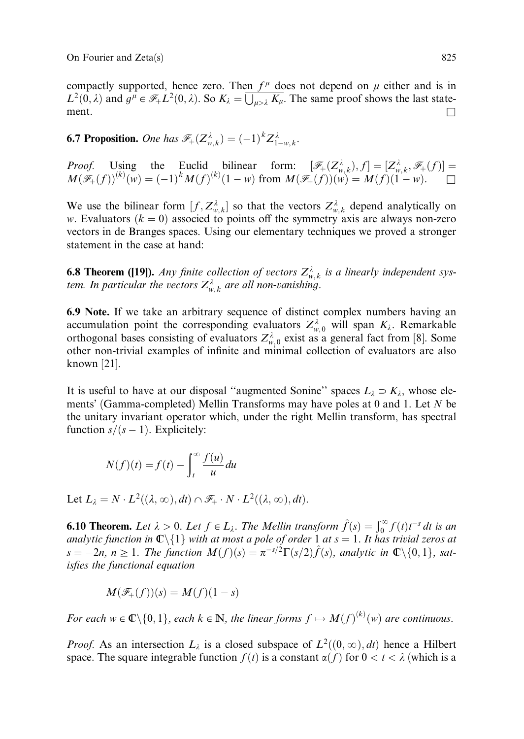On Fourier and Zeta(s) 825

compactly supported, hence zero. Then  $f^{\mu}$  does not depend on  $\mu$  either and is in  $L^2(0, \lambda)$  and  $g^{\mu} \in \mathcal{F}_+ L^2(0, \lambda)$ . So  $K_{\lambda} = \overline{\bigcup_{\mu > \lambda} K_{\mu}}$ . The same proof shows the last statement.

**6.7 Proposition.** One has  $\mathscr{F}_{+}(Z_{w,k}^{\lambda}) = (-1)^{k} Z_{1-w,k}^{\lambda}$ .

*Proof.* Using the Euclid bilinear form:  $[\mathscr{F}_+(Z^{\lambda}_{w,k}), f] = [Z^{\lambda}_{w,k}, \mathscr{F}_+(f)] =$  $M(\mathscr{F}_+(f))^{(k)}(w) = (-1)^k M(f)^{(k)}(1-w)$  from  $M(\mathscr{F}_+(f))(w) = M(f)(1-w)$ .

We use the bilinear form  $[f, Z^{\lambda}_{w,k}]$  so that the vectors  $Z^{\lambda}_{w,k}$  depend analytically on w. Evaluators  $(k = 0)$  associed to points off the symmetry axis are always non-zero vectors in de Branges spaces. Using our elementary techniques we proved a stronger statement in the case at hand:

**6.8 Theorem ([19]).** Any finite collection of vectors  $Z_{w,k}^{\lambda}$  is a linearly independent system. In particular the vectors  $Z_{w,k}^{\lambda}$  are all non-vanishing.

6.9 Note. If we take an arbitrary sequence of distinct complex numbers having an accumulation point the corresponding evaluators  $Z_{w,0}^{\lambda}$  will span  $K_{\lambda}$ . Remarkable orthogonal bases consisting of evaluators  $Z_{w,0}^{\lambda}$  exist as a general fact from [8]. Some other non-trivial examples of infinite and minimal collection of evaluators are also known [21].

It is useful to have at our disposal "augmented Sonine" spaces  $L_1 \supset K_1$ , whose elements' (Gamma-completed) Mellin Transforms may have poles at 0 and 1. Let N be the unitary invariant operator which, under the right Mellin transform, has spectral function  $s/(s - 1)$ . Explicitely:

$$
N(f)(t) = f(t) - \int_{t}^{\infty} \frac{f(u)}{u} du
$$

Let  $L_{\lambda} = N \cdot L^2((\lambda, \infty), dt) \cap \mathcal{F}_+ \cdot N \cdot L^2((\lambda, \infty), dt)$ .

**6.10 Theorem.** Let  $\lambda > 0$ . Let  $f \in L_{\lambda}$ . The Mellin transform  $\hat{f}(s) = \int_0^{\infty} f(t)t^{-s} dt$  is an analytic function in  $\mathbb{C}\setminus\{1\}$  with at most a pole of order 1 at  $s = 1$ . It has trivial zeros at  $s = -2n$ ,  $n \ge 1$ . The function  $M(f)(s) = \pi^{-s/2}\Gamma(s/2)\hat{f}(s)$ , analytic in  $\mathbb{C}\setminus\{0, 1\}$ , satisfies the functional equation

$$
M(\mathscr{F}_+(f))(s) = M(f)(1-s)
$$

For each  $w \in \mathbb{C} \setminus \{0, 1\}$ , each  $k \in \mathbb{N}$ , the linear forms  $f \mapsto M(f)^{(k)}(w)$  are continuous.

*Proof.* As an intersection  $L_{\lambda}$  is a closed subspace of  $L^2((0, \infty), dt)$  hence a Hilbert space. The square integrable function  $f(t)$  is a constant  $\alpha(f)$  for  $0 < t < \lambda$  (which is a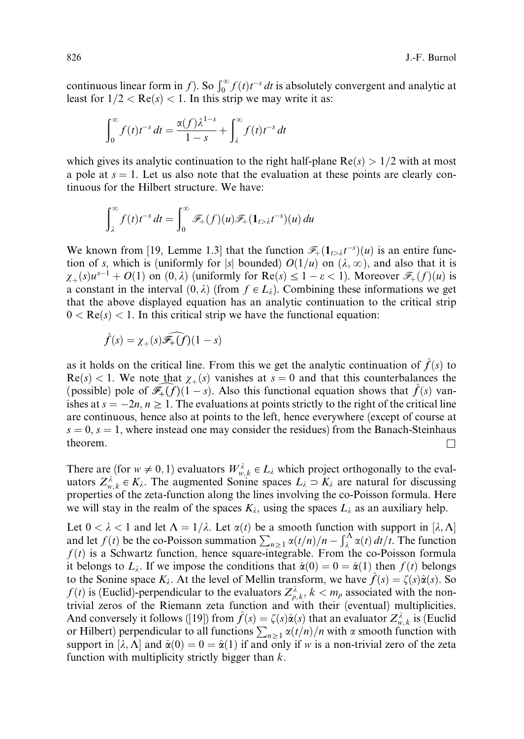continuous linear form in f). So  $\int_0^\infty f(t)t^{-s} dt$  is absolutely convergent and analytic at least for  $1/2 < Re(s) < 1$ . In this strip we may write it as:

$$
\int_0^\infty f(t)t^{-s} dt = \frac{\alpha(f)\lambda^{1-s}}{1-s} + \int_\lambda^\infty f(t)t^{-s} dt
$$

which gives its analytic continuation to the right half-plane  $Re(s) > 1/2$  with at most a pole at  $s = 1$ . Let us also note that the evaluation at these points are clearly continuous for the Hilbert structure. We have:

$$
\int_{\lambda}^{\infty} f(t) t^{-s} dt = \int_{0}^{\infty} \mathscr{F}_{+}(f)(u) \mathscr{F}_{+}(\mathbf{1}_{t>\lambda} t^{-s})(u) du
$$

We known from [19, Lemme 1.3] that the function  $\mathcal{F}_+(1_{t>\lambda}t^{-s})(u)$  is an entire function of s, which is (uniformly for |s| bounded)  $O(1/u)$  on  $(\lambda, \infty)$ , and also that it is  $\chi_{+}(s)u^{s-1} + O(1)$  on  $(0, \lambda)$  (uniformly for Re $(s) \leq 1 - \varepsilon < 1$ ). Moreover  $\mathscr{F}_{+}(f)(u)$  is a constant in the interval  $(0, \lambda)$  (from  $f \in L_{\lambda}$ ). Combining these informations we get that the above displayed equation has an analytic continuation to the critical strip  $0 < \text{Re}(s) < 1$ . In this critical strip we have the functional equation:

$$
\hat{f}(s) = \chi_{+}(s)\widehat{\mathscr{F}_{+}(f)}(1-s)
$$

as it holds on the critical line. From this we get the analytic continuation of  $f(s)$  to  $\text{Re}(s) < 1$ . We note that  $\chi_{+}(s)$  vanishes at  $s = 0$  and that this counterbalances the (possible) pole of  $\widehat{\mathscr{F}_+(f)}(1-s)$ . Also this functional equation shows that  $\widehat{f}(s)$  vanishes at  $s = -2n, n \ge 1$ . The evaluations at points strictly to the right of the critical line are continuous, hence also at points to the left, hence everywhere (except of course at  $s = 0$ ,  $s = 1$ , where instead one may consider the residues) from the Banach-Steinhaus theorem.  $\Box$ 

There are (for  $w \neq 0, 1$ ) evaluators  $W_{w, k}^{\lambda} \in L_{\lambda}$  which project orthogonally to the evaluators  $Z_{w,k}^{\lambda} \in K_{\lambda}$ . The augmented Sonine spaces  $L_{\lambda} \supset K_{\lambda}$  are natural for discussing properties of the zeta-function along the lines involving the co-Poisson formula. Here we will stay in the realm of the spaces  $K_{\lambda}$ , using the spaces  $L_{\lambda}$  as an auxiliary help.

Let  $0 < \lambda < 1$  and let  $\Lambda = 1/\lambda$ . Let  $\alpha(t)$  be a smooth function with support in  $[\lambda, \Lambda]$  and let  $f(t)$  be the co-Poisson summation  $\sum_{n \geq 1} \alpha(t/n)/n - \int_{\lambda}^{\Lambda} \alpha(t) dt/t$ . The function  $f(t)$  is a Schwartz function, hence square-integrable. From the co-Poisson formula it belongs to  $L_{\lambda}$ . If we impose the conditions that  $\hat{\alpha}(0)=0=\hat{\alpha}(1)$  then  $f(t)$  belongs to the Sonine space  $K_{\lambda}$ . At the level of Mellin transform, we have  $\hat{f}(s) = \zeta(s)\hat{\alpha}(s)$ . So  $f(t)$  is (Euclid)-perpendicular to the evaluators  $Z_{\rho,k}^{\lambda}$ ,  $k < m_{\rho}$  associated with the nontrivial zeros of the Riemann zeta function and with their (eventual) multiplicities. And conversely it follows ([19]) from  $\hat{f}(s) = \zeta(s)\hat{\alpha}(s)$  that an evaluator  $Z_{w,k}^{\lambda}$  is (Euclid or Hilbert) perpendicular to all functions  $\sum_{n\geq 1} \alpha(t/n)/n$  with  $\alpha$  smooth function with  $\alpha$ support in  $[\lambda, \Lambda]$  and  $\hat{\alpha}(0) = 0 = \hat{\alpha}(1)$  if and only if w is a non-trivial zero of the zeta function with multiplicity strictly bigger than  $k$ .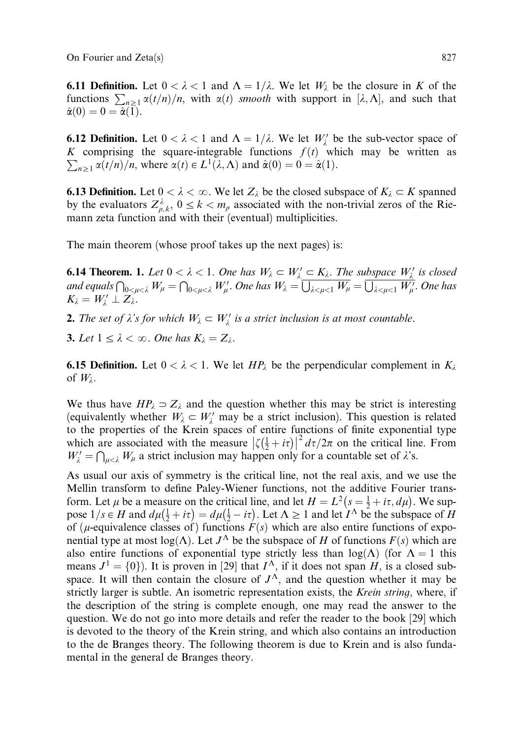On Fourier and Zeta(s) 827

**6.11 Definition.** Let  $0 < \lambda < 1$  and  $\Lambda = 1/\lambda$ . We let  $W_{\lambda}$  be the closure in K of the functions  $\sum_{n\geq 1} \alpha(t/n)/n$ , with  $\alpha(t)$  *smooth* with support in [ $\lambda$ ,  $\Lambda$ ], and such that  $\hat{\alpha}(0) = 0 = \hat{\alpha}(\overline{1}).$ 

**6.12 Definition.** Let  $0 < \lambda < 1$  and  $\Lambda = 1/\lambda$ . We let  $W'_{\lambda}$  be the sub-vector space of K comprising the square-integrable functions  $f(t)$  which may be written as  $\sum_{n\geq 1} \alpha(t/n)/n$ , where  $\alpha(t) \in L^1(\lambda, \Lambda)$  and  $\hat{\alpha}(0) = 0 = \hat{\alpha}(1)$ .

**6.13 Definition.** Let  $0 < \lambda < \infty$ . We let  $Z_{\lambda}$  be the closed subspace of  $K_{\lambda} \subset K$  spanned by the evaluators  $Z_{\rho,k}^{\lambda}$ ,  $0 \le k < m_{\rho}$  associated with the non-trivial zeros of the Riemann zeta function and with their (eventual) multiplicities.

The main theorem (whose proof takes up the next pages) is:

**6.14 Theorem. 1.** Let  $0 < \lambda < 1$ . One has  $W_{\lambda} \subset W_{\lambda}' \subset K_{\lambda}$ . The subspace  $W_{\lambda}'$  is closed and equals  $\bigcap_{0 \le \mu < \lambda} W_{\mu} = \bigcap_{0 \le \mu < \lambda} W_{\mu}'$ . One has  $W_{\lambda} = \bigcup_{\lambda \le \mu < 1} W_{\mu} = \bigcup_{\lambda \le \mu < 1} W_{\mu}'$ . One has  $K_{\lambda} = W'_{\lambda} \perp Z_{\lambda}$ .

**2.** The set of  $\lambda$ 's for which  $W_{\lambda} \subset W_{\lambda}'$  is a strict inclusion is at most countable.

**3.** Let  $1 \leq \lambda < \infty$ . One has  $K_{\lambda} = Z_{\lambda}$ .

**6.15 Definition.** Let  $0 < \lambda < 1$ . We let  $HP_{\lambda}$  be the perpendicular complement in  $K_{\lambda}$ of  $W_{\lambda}$ .

We thus have  $HP_\lambda \supset Z_\lambda$  and the question whether this may be strict is interesting (equivalently whether  $W_{\lambda} \subset W_{\lambda}'$  may be a strict inclusion). This question is related to the properties of the Krein spaces of entire functions of finite exponential type which are associated with the measure  $\left|\zeta(\frac{1}{2}+i\tau)\right|^2 d\tau/2\pi$  on the critical line. From  $W'_{\lambda} = \bigcap_{\mu < \lambda} W_{\mu}$  a strict inclusion may happen only for a countable set of  $\lambda$ 's.

As usual our axis of symmetry is the critical line, not the real axis, and we use the Mellin transform to define Paley-Wiener functions, not the additive Fourier transform. Let  $\mu$  be a measure on the critical line, and let  $H = L^2(s = \frac{1}{2} + i\tau, d\mu)$ . We suppose  $1/s \in H$  and  $d\mu(\frac{1}{2} + i\tau) = d\mu(\frac{1}{2} - i\tau)$ . Let  $\Lambda \ge 1$  and let  $I^{\Lambda}$  be the subspace of H of ( $\mu$ -equivalence classes of) functions  $\vec{F}(s)$  which are also entire functions of exponential type at most  $log(\Lambda)$ . Let  $J^{\Lambda}$  be the subspace of H of functions  $F(s)$  which are also entire functions of exponential type strictly less than  $log(\Lambda)$  (for  $\Lambda = 1$  this means  $J^1 = \{0\}$ . It is proven in [29] that  $I^{\Lambda}$ , if it does not span H, is a closed subspace. It will then contain the closure of  $J^{\Lambda}$ , and the question whether it may be strictly larger is subtle. An isometric representation exists, the *Krein string*, where, if the description of the string is complete enough, one may read the answer to the question. We do not go into more details and refer the reader to the book [29] which is devoted to the theory of the Krein string, and which also contains an introduction to the de Branges theory. The following theorem is due to Krein and is also fundamental in the general de Branges theory.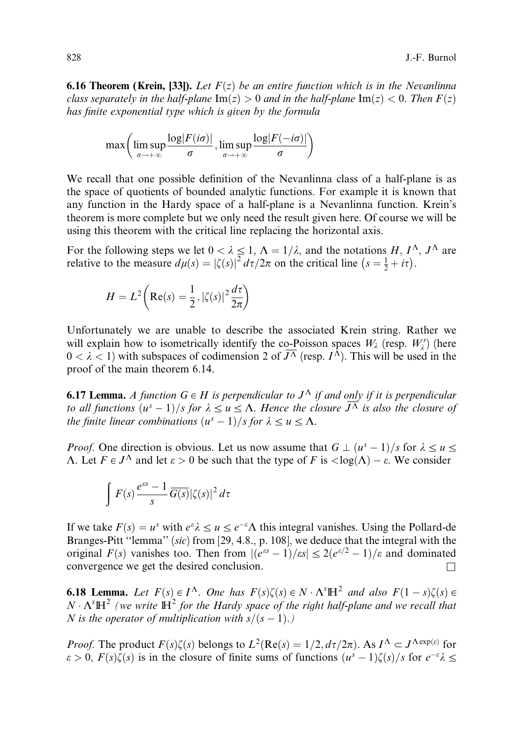**6.16 Theorem (Krein, [33]).** Let  $F(z)$  be an entire function which is in the Nevanlinna class separately in the half-plane  $\text{Im}(z) > 0$  and in the half-plane  $\text{Im}(z) < 0$ . Then  $F(z)$ has finite exponential type which is given by the formula

$$
\max\left(\limsup_{\sigma\to+\infty}\frac{\log|F(i\sigma)|}{\sigma}, \limsup_{\sigma\to+\infty}\frac{\log|F(-i\sigma)|}{\sigma}\right)
$$

We recall that one possible definition of the Nevanlinna class of a half-plane is as the space of quotients of bounded analytic functions. For example it is known that any function in the Hardy space of a half-plane is a Nevanlinna function. Krein's theorem is more complete but we only need the result given here. Of course we will be using this theorem with the critical line replacing the horizontal axis.

For the following steps we let  $0 < \lambda \leq 1$ ,  $\Lambda = 1/\lambda$ , and the notations H,  $I^{\Lambda}$ ,  $J^{\Lambda}$  are relative to the measure  $d\mu(s) = |\zeta(s)|^2 d\tau/2\pi$  on the critical line  $(s = \frac{1}{2} + i\tau)$ .

$$
H = L^{2}\left(\text{Re}(s) = \frac{1}{2}, |\zeta(s)|^{2} \frac{d\tau}{2\pi}\right)
$$

Unfortunately we are unable to describe the associated Krein string. Rather we will explain how to isometrically identify the co-Poisson spaces  $W_{\lambda}$  (resp.  $W_{\lambda}'$ ) (here  $0 < \lambda < 1$ ) with subspaces of codimension 2 of  $\overline{J^{\Lambda}}$  (resp.  $I^{\hat{\Lambda}}$ ). This will be used in the proof of the main theorem 6.14.

**6.17 Lemma.** A function  $G \in H$  is perpendicular to  $J^{\Lambda}$  if and only if it is perpendicular to all functions  $(u^s-1)/s$  for  $\lambda \leq u \leq \Lambda$ . Hence the closure  $J^{\overline{\Lambda}}$  is also the closure of the finite linear combinations  $(u^s-1)/s$  for  $\lambda \leq u \leq \Lambda$ .

*Proof.* One direction is obvious. Let us now assume that  $G \perp (u^s-1)/s$  for  $\lambda \leq u \leq \lambda$  $\Lambda$ . Let  $F \in J^{\Lambda}$  and let  $\varepsilon > 0$  be such that the type of F is  $\langle \log(\Lambda) - \varepsilon \rangle$ . We consider

$$
\int F(s) \frac{e^{ss} - 1}{s} \overline{G(s)} |\zeta(s)|^2 d\tau
$$

If we take  $F(s) = u^s$  with  $e^{\varepsilon} \lambda \leq u \leq e^{-\varepsilon} \Lambda$  this integral vanishes. Using the Pollard-de Branges-Pitt ''lemma'' (sic) from [29, 4.8., p. 108], we deduce that the integral with the original  $F(s)$  vanishes too. Then from  $|(e^{as}-1)/as| \leq 2(e^{\epsilon/2}-1)/\epsilon$  and dominated convergence we get the desired conclusion.  $\Box$ 

**6.18 Lemma.** Let  $F(s) \in I^{\Lambda}$ . One has  $F(s)\zeta(s) \in N \cdot \Lambda^{s} \mathbb{H}^{2}$  and also  $F(1-s)\zeta(s) \in \Lambda^{s}$  $N \cdot \Lambda<sup>s</sup> \mathbb{H}<sup>2</sup>$  (we write  $\mathbb{H}<sup>2</sup>$  for the Hardy space of the right half-plane and we recall that N is the operator of multiplication with  $s/(s-1)$ .)

*Proof.* The product  $F(s)\zeta(s)$  belongs to  $L^2(Re(s) = 1/2, d\tau/2\pi)$ . As  $I^{\Lambda} \subset J^{\Lambda exp(s)}$  for  $\varepsilon > 0$ ,  $F(s)\zeta(s)$  is in the closure of finite sums of functions  $(u^s - 1)\zeta(s)/s$  for  $e^{-\varepsilon}\lambda \leq$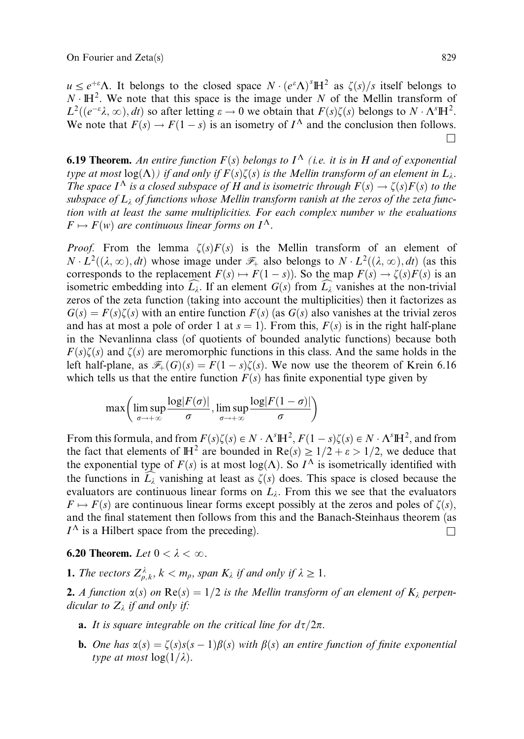$u \leq e^{+\varepsilon} \Lambda$ . It belongs to the closed space  $N \cdot (e^{\varepsilon} \Lambda)^{s} \mathbb{H}^2$  as  $\zeta(s)/s$  itself belongs to  $N \cdot \mathbb{H}^2$ . We note that this space is the image under N of the Mellin transform of  $L^2((e^{-\varepsilon}\lambda,\infty),dt)$  so after letting  $\varepsilon \to 0$  we obtain that  $F(s)\zeta(s)$  belongs to  $N \cdot \Lambda^s \mathbb{H}^2$ . We note that  $F(s) \to F(1-s)$  is an isometry of  $I^{\Lambda}$  and the conclusion then follows.  $\Box$ 

**6.19 Theorem.** An entire function  $F(s)$  belongs to  $I^{\Lambda}$  (i.e. it is in H and of exponential type at most  $log(\Lambda)$  if and only if  $F(s)\zeta(s)$  is the Mellin transform of an element in  $L_{\lambda}$ . The space  $I^{\Lambda}$  is a closed subspace of H and is isometric through  $F(s) \to \zeta(s)F(s)$  to the subspace of  $L<sub>i</sub>$  of functions whose Mellin transform vanish at the zeros of the zeta function with at least the same multiplicities. For each complex number w the evaluations  $F \mapsto F(w)$  are continuous linear forms on  $I^{\Lambda}$ .

*Proof.* From the lemma  $\zeta(s)F(s)$  is the Mellin transform of an element of  $N \cdot L^2((\lambda, \infty), dt)$  whose image under  $\mathcal{F}_+$  also belongs to  $N \cdot L^2((\lambda, \infty), dt)$  (as this corresponds to the replacement  $F(s) \mapsto F(1-s)$ . So the map  $F(s) \to \zeta(s)F(s)$  is an isometric embedding into  $L_{\lambda}$ . If an element  $G(s)$  from  $L_{\lambda}$  vanishes at the non-trivial zeros of the zeta function (taking into account the multiplicities) then it factorizes as  $G(s) = F(s)\zeta(s)$  with an entire function  $F(s)$  (as  $G(s)$  also vanishes at the trivial zeros and has at most a pole of order 1 at  $s = 1$ ). From this,  $F(s)$  is in the right half-plane in the Nevanlinna class (of quotients of bounded analytic functions) because both  $F(s)\zeta(s)$  and  $\zeta(s)$  are meromorphic functions in this class. And the same holds in the left half-plane, as  $\mathcal{F}_+(G)(s) = F(1-s)\zeta(s)$ . We now use the theorem of Krein 6.16 which tells us that the entire function  $F(s)$  has finite exponential type given by

$$
\max\left(\limsup_{\sigma\to+\infty}\frac{\log|F(\sigma)|}{\sigma},\limsup_{\sigma\to+\infty}\frac{\log|F(1-\sigma)|}{\sigma}\right)
$$

From this formula, and from  $F(s)\zeta(s) \in N \cdot \Lambda^s \mathbb{H}^2$ ,  $F(1-s)\zeta(s) \in N \cdot \Lambda^s \mathbb{H}^2$ , and from the fact that elements of  $\mathbb{H}^2$  are bounded in  $\text{Re}(s) \geq 1/2 + \varepsilon > 1/2$ , we deduce that the exponential type of  $F(s)$  is at most log( $\Lambda$ ). So  $I^{\Lambda}$  is isometrically identified with the functions in  $L_{\lambda}$  vanishing at least as  $\zeta(s)$  does. This space is closed because the evaluators are continuous linear forms on  $L<sub>i</sub>$ . From this we see that the evaluators  $F \mapsto F(s)$  are continuous linear forms except possibly at the zeros and poles of  $\zeta(s)$ , and the final statement then follows from this and the Banach-Steinhaus theorem (as  $I^{\Lambda}$  is a Hilbert space from the preceding).

**6.20 Theorem.** Let  $0 < \lambda < \infty$ .

**1.** The vectors  $Z_{\rho,k}^{\lambda}$ ,  $k < m_{\rho}$ , span  $K_{\lambda}$  if and only if  $\lambda \geq 1$ .

**2.** A function  $\alpha(s)$  on  $\text{Re}(s) = 1/2$  is the Mellin transform of an element of  $K_{\lambda}$  perpendicular to  $Z_{\lambda}$  if and only if:

- **a.** It is square integrable on the critical line for  $d\tau/2\pi$ .
- **b.** One has  $\alpha(s) = \zeta(s)s(s-1)\beta(s)$  with  $\beta(s)$  an entire function of finite exponential type at most  $log(1/\lambda)$ .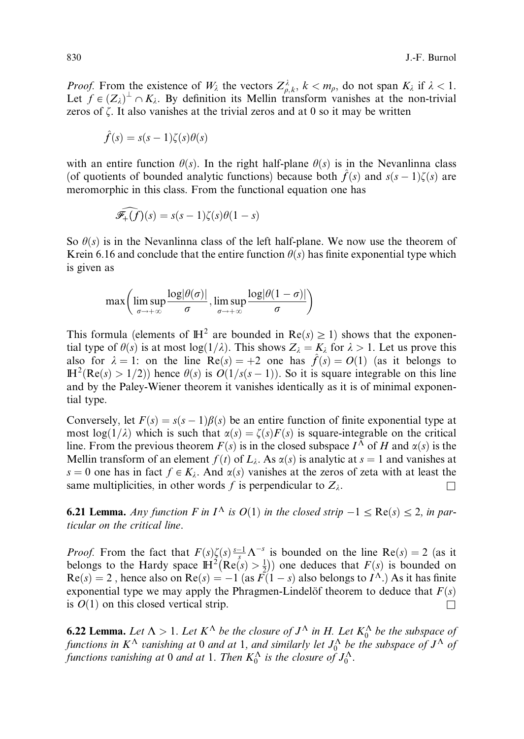*Proof.* From the existence of  $W_{\lambda}$  the vectors  $Z_{\rho,k}^{\lambda}$ ,  $k < m_{\rho}$ , do not span  $K_{\lambda}$  if  $\lambda < 1$ . Let  $f \in (Z_{\lambda})^{\perp} \cap K_{\lambda}$ . By definition its Mellin transform vanishes at the non-trivial zeros of  $\zeta$ . It also vanishes at the trivial zeros and at 0 so it may be written

$$
\hat{f}(s) = s(s-1)\zeta(s)\theta(s)
$$

with an entire function  $\theta(s)$ . In the right half-plane  $\theta(s)$  is in the Nevanlinna class (of quotients of bounded analytic functions) because both  $\hat{f}(s)$  and  $s(s - 1)\zeta(s)$  are meromorphic in this class. From the functional equation one has

$$
\widehat{\mathscr{F}_+ (f)}(s) = s(s-1)\zeta(s)\theta(1-s)
$$

So  $\theta(s)$  is in the Nevanlinna class of the left half-plane. We now use the theorem of Krein 6.16 and conclude that the entire function  $\theta(s)$  has finite exponential type which is given as

$$
\max\left(\limsup_{\sigma\to+\infty}\frac{\log|\theta(\sigma)|}{\sigma},\limsup_{\sigma\to+\infty}\frac{\log|\theta(1-\sigma)|}{\sigma}\right)
$$

This formula (elements of  $\mathbb{H}^2$  are bounded in  $\text{Re}(s) \geq 1$ ) shows that the exponential type of  $\theta(s)$  is at most log(1/ $\lambda$ ). This shows  $Z_{\lambda} = K_{\lambda}$  for  $\lambda > 1$ . Let us prove this also for  $\lambda = 1$ : on the line Re $(s) = +2$  one has  $\hat{f}(s) = O(1)$  (as it belongs to  $\mathbb{H}^2(\text{Re}(s) > 1/2)$  hence  $\theta(s)$  is  $O(1/s(s-1))$ . So it is square integrable on this line and by the Paley-Wiener theorem it vanishes identically as it is of minimal exponential type.

Conversely, let  $F(s) = s(s-1)\beta(s)$  be an entire function of finite exponential type at most log(1/ $\lambda$ ) which is such that  $\alpha(s) = \zeta(s)F(s)$  is square-integrable on the critical line. From the previous theorem  $F(s)$  is in the closed subspace  $I^{\Lambda}$  of H and  $\alpha(s)$  is the Mellin transform of an element  $f(t)$  of  $L<sub>i</sub>$ . As  $\alpha(s)$  is analytic at  $s = 1$  and vanishes at s = 0 one has in fact  $f \in K_\lambda$ . And  $\alpha(s)$  vanishes at the zeros of zeta with at least the same multiplicities, in other words f is perpendicular to  $Z_{\lambda}$ .

**6.21 Lemma.** Any function F in  $I^{\Lambda}$  is  $O(1)$  in the closed strip  $-1 \leq \text{Re}(s) \leq 2$ , in particular on the critical line.

*Proof.* From the fact that  $F(s)\zeta(s)\frac{s-1}{s}\Lambda^{-s}$  is bounded on the line  $Re(s) = 2$  (as it belongs to the Hardy space  $\mathbb{H}^2(\text{Re}(s) > \frac{1}{2})$  one deduces that  $F(s)$  is bounded on  $Re(s) = 2$ , hence also on  $Re(s) = -1$  (as  $F(1 - s)$  also belongs to  $I^{\Lambda}$ .) As it has finite exponential type we may apply the Phragmen-Lindelöf theorem to deduce that  $F(s)$ is  $O(1)$  on this closed vertical strip.

**6.22 Lemma.** Let  $\Lambda > 1$ . Let  $K^{\Lambda}$  be the closure of  $J^{\Lambda}$  in H. Let  $K_0^{\Lambda}$  be the subspace of functions in  $K^{\Lambda}$  vanishing at 0 and at 1, and similarly let  $J^{\Lambda}_0$  be the subspace of  $J^{\Lambda}$  of functions vanishing at 0 and at 1. Then  $K_0^{\Lambda}$  is the closure of  $J_0^{\Lambda}$ .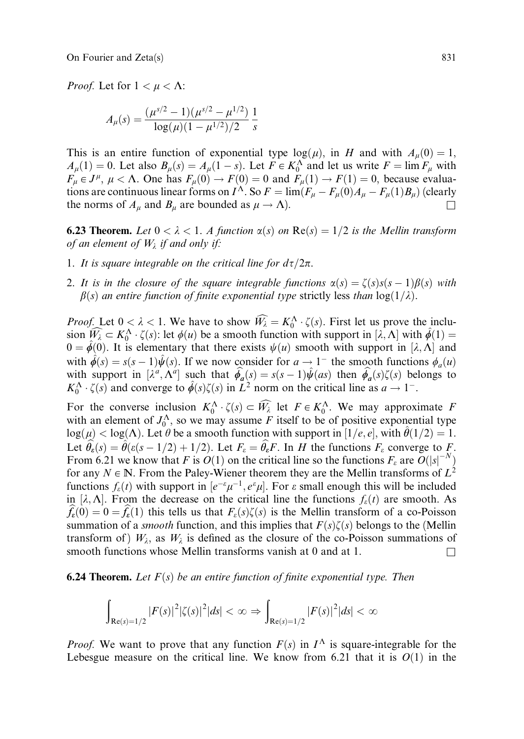*Proof.* Let for  $1 < \mu < \Lambda$ :

$$
A_{\mu}(s) = \frac{(\mu^{s/2} - 1)(\mu^{s/2} - \mu^{1/2})}{\log(\mu)(1 - \mu^{1/2})/2} \frac{1}{s}
$$

This is an entire function of exponential type  $log(\mu)$ , in H and with  $A_{\mu}(0) = 1$ ,  $A_{\mu}(1) = 0$ . Let also  $B_{\mu}(s) = A_{\mu}(1-s)$ . Let  $F \in K_0^{\Lambda}$  and let us write  $F = \lim F_{\mu}$  with  $F_{\mu} \in J^{\mu}$ ,  $\mu < \Lambda$ . One has  $F_{\mu}(0) \to F(0) = 0$  and  $F_{\mu}(1) \to F(1) = 0$ , because evaluations are continuous linear forms on  $I^{\Lambda}$ . So  $F = \lim (F_{\mu} - F_{\mu}(0)A_{\mu} - F_{\mu}(1)B_{\mu})$  (clearly the norms of  $A_\mu$  and  $B_\mu$  are bounded as  $\mu \to \Lambda$ ).

**6.23 Theorem.** Let  $0 < \lambda < 1$ . A function  $\alpha(s)$  on  $\text{Re}(s) = 1/2$  is the Mellin transform of an element of  $W_{\lambda}$  if and only if:

- 1. It is square integrable on the critical line for  $d\tau/2\pi$ .
- 2. It is in the closure of the square integrable functions  $\alpha(s) = \zeta(s)s(s-1)\beta(s)$  with  $\beta(s)$  an entire function of finite exponential type strictly less than  $\log(1/\lambda)$ .

*Proof.* Let  $0 < \lambda < 1$ . We have to show  $\widehat{W_{\lambda}} = K_0^{\Lambda} \cdot \zeta(s)$ . First let us prove the inclusion  $\widehat{W_{\lambda}} \subset K_0^{\Lambda} \cdot \zeta(s)$ : let  $\phi(u)$  be a smooth function with support in  $[\lambda, \Lambda]$  with  $\hat{\phi}(1) =$  $0 = \hat{\phi}(0)$ . It is elementary that there exists  $\psi(u)$  smooth with support in [ $\lambda$ ,  $\Lambda$ ] and with  $\hat{\phi}(s) = s(s-1)\hat{\psi}(s)$ . If we now consider for  $a \to 1^-$  the smooth functions  $\phi_a(u)$ with support in  $[\lambda^a, \Lambda^a]$  such that  $\hat{\phi}_a(s) = s(s-1)\hat{\psi}(as)$  then  $\hat{\phi}_a(s)\zeta(s)$  belongs to  $K_0^{\Lambda} \cdot \zeta(s)$  and converge to  $\hat{\phi}(s)\zeta(s)$  in  $\tilde{L}^2$  norm on the critical line as  $a \to 1^-$ .

For the converse inclusion  $K_0^{\Lambda} \cdot \zeta(s) \subset \widehat{W_\lambda}$  let  $F \in K_0^{\Lambda}$ . We may approximate F with an element of  $J_0^{\Lambda}$ , so we may assume F itself to be of positive exponential type  $\log(\mu) < \log(\Lambda)$ . Let  $\theta$  be a smooth function with support in  $[1/e, e]$ , with  $\theta(1/2)=1$ . Let  $\hat{\theta}_{\varepsilon}(s) = \hat{\theta}(\varepsilon(s-1/2)+1/2)$ . Let  $F_{\varepsilon} = \hat{\theta}_{\varepsilon}F$ . In H the functions  $F_{\varepsilon}$  converge to F. From 6.21 we know that F is  $O(1)$  on the critical line so the functions  $F_{\varepsilon}$  are  $O(|s|^{-N})$ for any  $N \in \mathbb{N}$ . From the Paley-Wiener theorem they are the Mellin transforms of  $L^2$ functions  $f_{\varepsilon}(t)$  with support in  $[e^{-\varepsilon}\mu^{-1}, e^{\varepsilon}\mu]$ . For  $\varepsilon$  small enough this will be included in  $[\lambda, \Lambda]$ . From the decrease on the critical line the functions  $f_{\varepsilon}(t)$  are smooth. As  $f_{\varepsilon}(0) = 0 = f_{\varepsilon}(1)$  this tells us that  $F_{\varepsilon}(s)\zeta(s)$  is the Mellin transform of a co-Poisson summation of a *smooth* function, and this implies that  $F(s)\zeta(s)$  belongs to the (Mellin transform of )  $W_{\lambda}$ , as  $W_{\lambda}$  is defined as the closure of the co-Poisson summations of smooth functions whose Mellin transforms vanish at 0 and at 1.  $\Box$ 

#### **6.24 Theorem.** Let  $F(s)$  be an entire function of finite exponential type. Then

$$
\int_{\text{Re}(s)=1/2} |F(s)|^2 |\zeta(s)|^2 |ds| < \infty \Rightarrow \int_{\text{Re}(s)=1/2} |F(s)|^2 |ds| < \infty
$$

*Proof.* We want to prove that any function  $F(s)$  in  $I^{\Lambda}$  is square-integrable for the Lebesgue measure on the critical line. We know from 6.21 that it is  $O(1)$  in the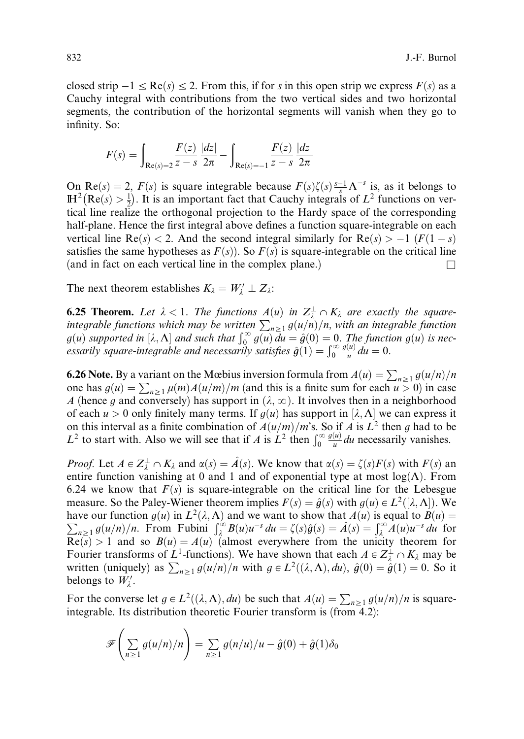closed strip  $-1 \le \text{Re}(s) \le 2$ . From this, if for s in this open strip we express  $F(s)$  as a Cauchy integral with contributions from the two vertical sides and two horizontal segments, the contribution of the horizontal segments will vanish when they go to infinity. So:

$$
F(s) = \int_{Re(s)=2} \frac{F(z)}{z-s} \frac{|dz|}{2\pi} - \int_{Re(s)=-1} \frac{F(z)}{z-s} \frac{|dz|}{2\pi}
$$

On  $\text{Re}(s) = 2$ ,  $F(s)$  is square integrable because  $F(s)\zeta(s) \frac{s-1}{s} \Lambda^{-s}$  is, as it belongs to  $\mathbb{H}^2(\text{Re}(s) > \frac{1}{2})$ . It is an important fact that Cauchy integrals of  $L^2$  functions on vertical line realize the orthogonal projection to the Hardy space of the corresponding half-plane. Hence the first integral above defines a function square-integrable on each vertical line  $Re(s) < 2$ . And the second integral similarly for  $Re(s) > -1$  ( $F(1-s)$ ) satisfies the same hypotheses as  $F(s)$ ). So  $F(s)$  is square-integrable on the critical line (and in fact on each vertical line in the complex plane.)  $\Box$ 

The next theorem establishes  $K_{\lambda} = W'_{\lambda} \perp Z_{\lambda}$ :

**6.25 Theorem.** Let  $\lambda < 1$ . The functions  $A(u)$  in  $Z^{\perp}_{\lambda} \cap K_{\lambda}$  are exactly the squareintegrable functions which may be written  $\sum_{n\geq 1} g(u/n)/n$ , with an integrable function<br>g(u) supported in [ $\lambda$ ,  $\Lambda$ ] and such that  $\int_0^{\infty} g(u) du = \hat{g}(0) = 0$ . The function  $g(u)$  is nec-<br>essarily square-integrable and n  $\frac{g(u)}{u}du = 0.$ 

**6.26 Note.** By a variant on the Mœbius inversion formula from  $A(u) = \sum_{n\geq 1} g(u/n)/n$ one has  $g(u) = \sum_{n \geq 1} \mu(m) A(u/m) / m$  (and this is a finite sum for each  $u > 0$ ) in case A (hence g and conversely) has support in  $(\lambda, \infty)$ . It involves then in a neighborhood of each  $u > 0$  only finitely many terms. If  $g(u)$  has support in  $[\lambda, \Lambda]$  we can express it on this interval as a finite combination of  $A(u/m)/m$ 's. So if A is  $L^2$  then g had to be  $L^2$  to start with. Also we will see that if A is  $L^2$  then  $\int_0^\infty \frac{g(u)}{u} du$  necessarily vanishes.  $\frac{g(u)}{u}$  du necessarily vanishes.

*Proof.* Let  $A \in Z^{\perp}_{\lambda} \cap K_{\lambda}$  and  $\alpha(s) = \hat{A}(s)$ . We know that  $\alpha(s) = \zeta(s)F(s)$  with  $F(s)$  an entire function vanishing at 0 and 1 and of exponential type at most  $log(\Lambda)$ . From 6.24 we know that  $F(s)$  is square-integrable on the critical line for the Lebesgue measure. So the Paley-Wiener theorem implies  $F(s) = \hat{g}(s)$  with  $g(u) \in L^2([\lambda, \Lambda])$ . We have our function  $g(u)$  in  $L^2(\lambda, \Lambda)$  and we want to show that  $A(u)$  is equal to  $B(u)$  $\sum_{n\geq 1} g(u/n)/n$ . From Fubini  $\int_{\lambda}^{\infty} B(u)u^{-s} du = \zeta(s)\hat{g}(s) = \hat{A}(s) = \int_{\lambda}^{\infty} A(u)u^{-s} du$  for  $Re(s) > 1$  and so  $B(u) = A(u)$  (almost everywhere from the unicity theorem for Fourier transforms of  $L^1$ -functions). We have shown that each  $A \in Z^{\perp} \cap K_\lambda$  may be written (uniquely) as  $\sum_{n\geq 1} g(u/n)/n$  with  $g \in L^2((\lambda, \Lambda), du)$ ,  $\hat{g}(0) = \hat{g}(1) = 0$ . So it belongs to  $W'_{\lambda}$ .

For the converse let  $g \in L^2((\lambda, \Lambda), du)$  be such that  $A(u) = \sum_{n \geq 1} g(u/n)/n$  is squareintegrable. Its distribution theoretic Fourier transform is (from 4.2):

$$
\mathscr{F}\left(\sum_{n\geq 1} g(u/n)/n\right) = \sum_{n\geq 1} g(n/u)/n - \hat{g}(0) + \hat{g}(1)\delta_0
$$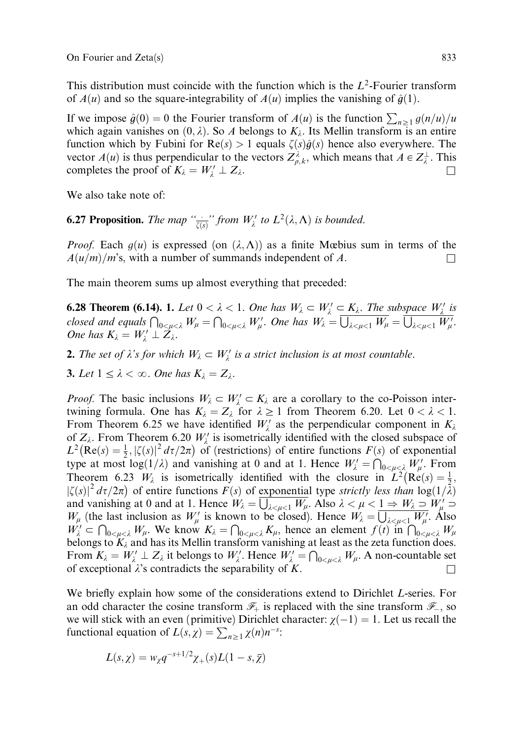This distribution must coincide with the function which is the  $L^2$ -Fourier transform of  $A(u)$  and so the square-integrability of  $A(u)$  implies the vanishing of  $\hat{g}(1)$ .

If we impose  $\hat{g}(0) = 0$  the Fourier transform of  $A(u)$  is the function  $\sum_{n\geq 1} g(n/u)/u$ which again vanishes on  $(0, \lambda)$ . So A belongs to  $K_{\lambda}$ . Its Mellin transform is an entire function which by Fubini for  $Re(s) > 1$  equals  $\zeta(s)\hat{q}(s)$  hence also everywhere. The vector  $A(u)$  is thus perpendicular to the vectors  $Z_{\rho,k}^{\lambda}$ , which means that  $A \in Z_{\lambda}^{\perp}$ . This completes the proof of  $K_{\lambda} = W'_{\lambda} \perp Z_{\lambda}$ .  $\frac{1}{\lambda}$   $\perp$   $\frac{1}{\lambda}$ .

We also take note of:

**6.27 Proposition.** The map " $\frac{d}{\zeta(s)}$ " from  $W'_\lambda$  to  $L^2(\lambda, \Lambda)$  is bounded.

*Proof.* Each  $g(u)$  is expressed (on  $(\lambda, \Lambda)$ ) as a finite Mœbius sum in terms of the  $A(u/m)/m$ 's, with a number of summands independent of A.

The main theorem sums up almost everything that preceded:

**6.28 Theorem (6.14).** 1. Let  $0 < \lambda < 1$ . One has  $W_{\lambda} \subset W_{\lambda}' \subset K_{\lambda}$ . The subspace  $W_{\lambda}'$  is closed and equals  $\bigcap_{0 \le \mu < \lambda} W_{\mu} = \bigcap_{0 \le \mu < \lambda} W_{\mu}'$ . One has  $W_{\lambda} = \overline{\bigcup_{\lambda \le \mu < 1} W_{\mu}} = \overline{\bigcup_{\lambda \le \mu < 1} W_{\mu}'}$ . One has  $K_{\lambda} = W'_{\lambda} \perp Z_{\lambda}$ .

**2.** The set of  $\lambda$ 's for which  $W_{\lambda} \subset W_{\lambda}'$  is a strict inclusion is at most countable.

**3.** Let  $1 \leq \lambda < \infty$ . One has  $K_{\lambda} = Z_{\lambda}$ .

*Proof.* The basic inclusions  $W_{\lambda} \subset W'_{\lambda} \subset K_{\lambda}$  are a corollary to the co-Poisson intertwining formula. One has  $K_{\lambda} = Z_{\lambda}$  for  $\lambda \ge 1$  from Theorem 6.20. Let  $0 < \lambda < 1$ . From Theorem 6.25 we have identified  $W'_\lambda$  as the perpendicular component in  $K_\lambda$ of  $Z_{\lambda}$ . From Theorem 6.20  $W'_{\lambda}$  is isometrically identified with the closed subspace of  $L^2$ (Re(s) =  $\frac{1}{2}$ ,  $|\zeta(s)|^2 d\tau/2\pi$ ) of (restrictions) of entire functions  $F(s)$  of exponential type at most  $\log(1/\lambda)$  and vanishing at 0 and at 1. Hence  $W'_\lambda = \bigcap_{0 \le \mu \le \lambda} W'_\mu$ . From Theorem 6.23  $W_{\lambda}$  is isometrically identified with the closure in  $L^2(\text{Re}(s) = \frac{1}{2})$ ,  $\int \zeta(s)|^2 d\tau/2\pi$  of entire functions  $F(s)$  of exponential type strictly less than  $\log(1/\lambda)$ and vanishing at 0 and at 1. Hence  $W_{\lambda} = \frac{\sum_{\substack{k \leq \mu \leq 1 \\ k \neq \mu \leq 1}} W_{\mu}}{\sum_{\substack{k \leq \mu \leq 1 \\ k \neq \mu \leq 1}} W_{\mu}}$ . Also  $\lambda < \mu < 1 \Rightarrow W_{\lambda} \supset W_{\mu} \supset W_{\mu}$  $W_{\mu}$  (the last inclusion as  $W_{\mu}$  is known to be closed). Hence  $W_{\lambda} = \overline{\bigcup_{\lambda \leq \mu \leq 1} W_{\mu}'}$ . Also  $W_{\lambda}^{\mu}$  (the last metasted as  $W_{\mu}$  is anomic section, thence  $W_{\lambda}$   $\cup_{\lambda \leq \mu \leq 1} W_{\mu}$ . These  $W_{\lambda}^{\mu} \subset \bigcap_{0 \leq \mu \leq \lambda} W_{\mu}$ . We know  $K_{\lambda} = \bigcap_{0 \leq \mu \leq \lambda} K_{\mu}$ , hence an element  $f(t)$  in  $\bigcap_{0 \leq \mu \le$ belongs to  $K_{\lambda}$  and has its Mellin transform vanishing at least as the zeta function does. From  $K_{\lambda} = W_{\lambda}' \perp Z_{\lambda}$  it belongs to  $W_{\lambda}'$ . Hence  $W_{\lambda}' = \bigcap_{0 \le \mu \le \lambda} W_{\mu}$ . A non-countable set of exceptional  $\lambda$ 's contradicts the separability of K.

We briefly explain how some of the considerations extend to Dirichlet L-series. For an odd character the cosine transform  $\mathscr{F}_+$  is replaced with the sine transform  $\mathscr{F}_-$ , so we will stick with an even (primitive) Dirichlet character:  $\chi(-1) = 1$ . Let us recall the functional equation of  $L(s, \chi) = \sum_{n \geq 1} \chi(n) n^{-s}$ :

$$
L(s,\chi) = w_{\chi}q^{-s+1/2}\chi_{+}(s)L(1-s,\overline{\chi})
$$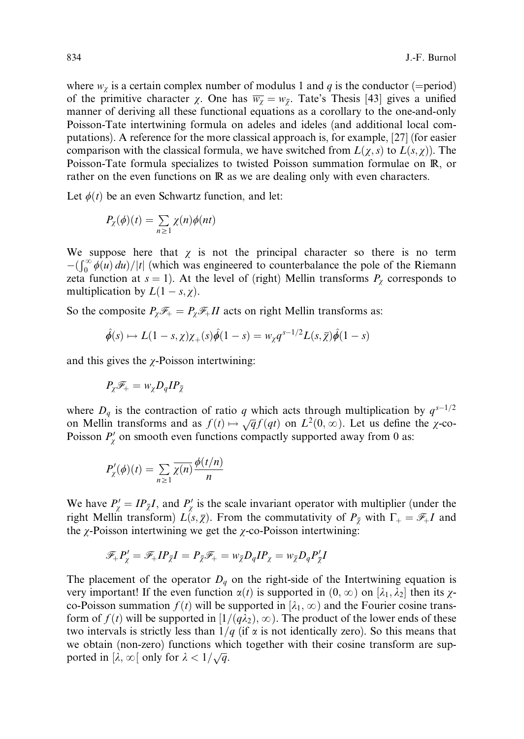where  $w_{\chi}$  is a certain complex number of modulus 1 and q is the conductor (=period) of the primitive character  $\chi$ . One has  $\overline{w_{\chi}} = w_{\overline{\chi}}$ . Tate's Thesis [43] gives a unified manner of deriving all these functional equations as a corollary to the one-and-only Poisson-Tate intertwining formula on adeles and ideles (and additional local computations). A reference for the more classical approach is, for example, [27] (for easier comparison with the classical formula, we have switched from  $L(\chi, s)$  to  $L(s, \chi)$ . The Poisson-Tate formula specializes to twisted Poisson summation formulae on R, or rather on the even functions on R as we are dealing only with even characters.

Let  $\phi(t)$  be an even Schwartz function, and let:

$$
P_{\chi}(\phi)(t) = \sum_{n \geq 1} \chi(n)\phi(nt)
$$

We suppose here that  $\chi$  is not the principal character so there is no term  $-\int_0^\infty \phi(u) du$  //t which was engineered to counterbalance the pole of the Riemann zeta function at  $s = 1$ ). At the level of (right) Mellin transforms  $P_\chi$  corresponds to multiplication by  $L(1 - s, \chi)$ .

So the composite  $P_{\gamma} \mathcal{F}_{+} = P_{\gamma} \mathcal{F}_{+} II$  acts on right Mellin transforms as:

$$
\hat{\phi}(s) \mapsto L(1-s,\chi)\chi_+(s)\hat{\phi}(1-s) = w_{\chi}q^{s-1/2}L(s,\overline{\chi})\hat{\phi}(1-s)
$$

and this gives the  $\chi$ -Poisson intertwining:

$$
P_\chi \mathscr{F}_+ = w_\chi D_q I P_{\overline{\chi}}
$$

where  $D_q$  is the contraction of ratio q which acts through multiplication by  $q^{s-1/2}$ on Mellin transforms and as  $f(t) \mapsto \sqrt{q} f(qt)$  on  $L^2(0, \infty)$ . Let us define the  $\chi$ -co-Poisson  $P'_\chi$  on smooth even functions compactly supported away from 0 as:

$$
P'_{\chi}(\phi)(t) = \sum_{n\geq 1} \overline{\chi(n)} \frac{\phi(t/n)}{n}
$$

We have P<sup>0</sup> <sup>w</sup> ¼ IPwI, and P<sup>0</sup> <sup>w</sup> is the scale invariant operator with multiplier (under the right Mellin transform)  $L(s, \overline{\chi})$ . From the commutativity of  $P_{\overline{\chi}}$  with  $\Gamma_+ = \mathscr{F}_+ I$  and the  $\chi$ -Poisson intertwining we get the  $\chi$ -co-Poisson intertwining:

$$
\mathscr{F}_+P'_\chi=\mathscr{F}_+I P_{\overline{\chi}}I=P_{\overline{\chi}}\mathscr{F}_+=w_{\overline{\chi}}D_qI P_\chi=w_{\overline{\chi}}D_q P'_{\overline{\chi}}I
$$

The placement of the operator  $D_q$  on the right-side of the Intertwining equation is very important! If the even function  $\alpha(t)$  is supported in  $(0, \infty)$  on  $[\lambda_1, \lambda_2]$  then its  $\chi$ co-Poisson summation  $f(t)$  will be supported in  $[\lambda_1, \infty)$  and the Fourier cosine transform of  $f(t)$  will be supported in  $[1/(q\lambda_2), \infty)$ . The product of the lower ends of these two intervals is strictly less than  $1/q$  (if  $\alpha$  is not identically zero). So this means that we obtain (non-zero) functions which together with their cosine transform are supported in  $[\lambda, \infty)$  only for  $\lambda < 1/\sqrt{q}$ .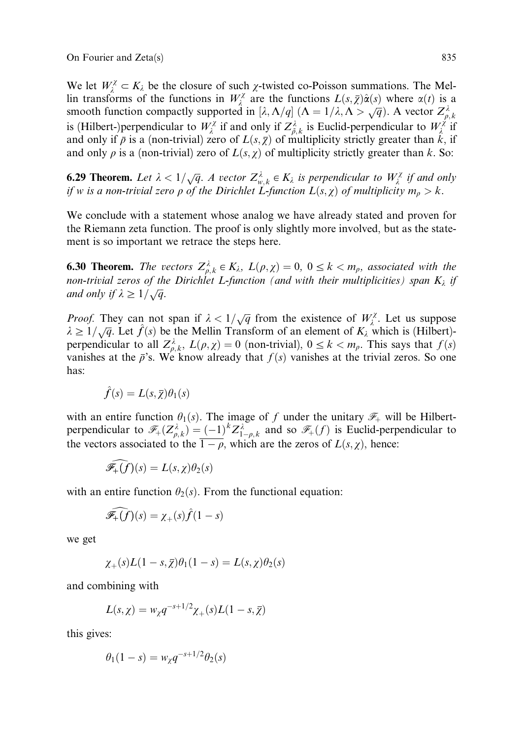We let  $W_{\lambda}^{\chi} \subset K_{\lambda}$  be the closure of such  $\chi$ -twisted co-Poisson summations. The Mellin transforms of the functions in  $W_{\lambda}^{\chi}$  are the functions  $L(s,\overline{\chi})\hat{\alpha}(s)$  where  $\alpha(t)$  is a smooth function compactly supported in  $[\lambda, \Lambda/q]$   $(\Lambda = 1/\lambda, \Lambda > \sqrt{q})$ . A vector  $Z^{\lambda}_{\rho, k}$ is (Hilbert-)perpendicular to  $W_{\lambda}^{\chi}$  if and only if  $Z_{\bar{\rho},k}^{\lambda}$  is Euclid-perpendicular to  $W_{\lambda}^{\chi}$  if and only if  $\bar{\rho}$  is a (non-trivial) zero of  $L(s, \bar{\chi})$  of multiplicity strictly greater than  $\bar{k}$ , if and only  $\rho$  is a (non-trivial) zero of  $L(s, \chi)$  of multiplicity strictly greater than k. So:

**6.29 Theorem.** Let  $\lambda < 1/\sqrt{q}$ . A vector  $Z_{w,k}^{\lambda} \in K_{\lambda}$  is perpendicular to  $W_{\lambda}^{\chi}$  if and only if w is a non-trivial zero  $\rho$  of the Dirichlet L-function  $L(s,\chi)$  of multiplicity  $m_\rho > k$ .

We conclude with a statement whose analog we have already stated and proven for the Riemann zeta function. The proof is only slightly more involved, but as the statement is so important we retrace the steps here.

**6.30 Theorem.** The vectors  $Z_{\rho,k}^{\lambda} \in K_{\lambda}$ ,  $L(\rho,\chi) = 0$ ,  $0 \leq k < m_{\rho}$ , associated with the non-trivial zeros of the Dirichlet L-function (and with their multiplicities) span  $K_{\lambda}$  if and only if  $\lambda \geq 1/\sqrt{q}$ .

*Proof.* They can not span if  $\lambda < 1/\sqrt{q}$  from the existence of  $W_{\lambda}^{\chi}$ . Let us suppose  $\lambda \geq 1/\sqrt{q}$ . Let  $\hat{f}(s)$  be the Mellin Transform of an element of  $K_{\lambda}$  which is (Hilbert)perpendicular to all  $Z_{\rho,k}^{\lambda}$ ,  $L(\rho,\chi) = 0$  (non-trivial),  $0 \le k \lt m_{\rho}$ . This says that  $f(s)$ vanishes at the  $\bar{\rho}$ 's. We know already that  $f(s)$  vanishes at the trivial zeros. So one has:

$$
\hat{f}(s) = L(s, \overline{\chi})\theta_1(s)
$$

with an entire function  $\theta_1(s)$ . The image of f under the unitary  $\mathscr{F}_+$  will be Hilbertperpendicular to  $\mathcal{F}_+(Z_{\rho,k}^{\lambda}) = (-1)^k Z_{1-\rho,k}^{\lambda}$  and so  $\mathcal{F}_+(f)$  is Euclid-perpendicular to the vectors associated to the  $1 - \rho$ , which are the zeros of  $L(s, \chi)$ , hence:

$$
\widehat{\mathscr{F}_+ (f)}(s) = L(s,\chi) \theta_2(s)
$$

with an entire function  $\theta_2(s)$ . From the functional equation:

$$
\widehat{\mathscr{F}_+ (f)}(s) = \chi_+(s)\widehat{f}(1-s)
$$

we get

$$
\chi_+(s)L(1-s,\overline{\chi})\theta_1(1-s)=L(s,\chi)\theta_2(s)
$$

and combining with

$$
L(s,\chi) = w_{\chi}q^{-s+1/2}\chi_{+}(s)L(1-s,\overline{\chi})
$$

this gives:

$$
\theta_1(1-s) = w_{\chi} q^{-s+1/2} \theta_2(s)
$$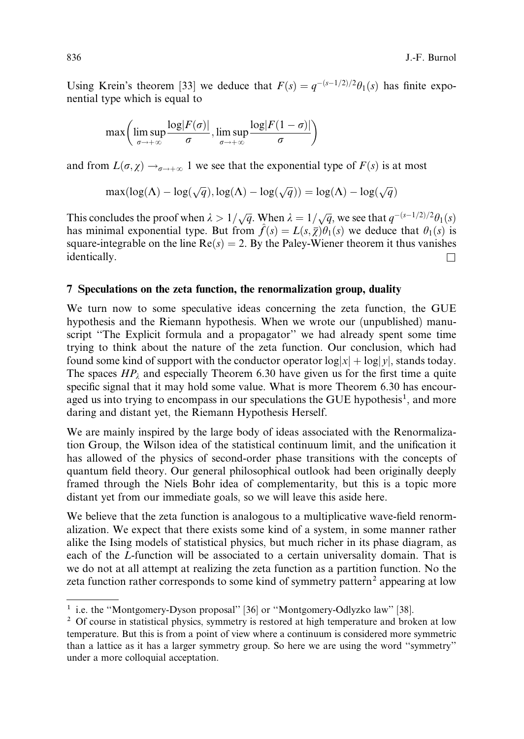Using Krein's theorem [33] we deduce that  $F(s) = q^{-(s-1/2)/2}\theta_1(s)$  has finite exponential type which is equal to

$$
\max\left(\limsup_{\sigma\to+\infty}\frac{\log|F(\sigma)|}{\sigma},\limsup_{\sigma\to+\infty}\frac{\log|F(1-\sigma)|}{\sigma}\right)
$$

and from  $L(\sigma, \chi) \rightarrow_{\sigma \to +\infty} 1$  we see that the exponential type of  $F(s)$  is at most

$$
\max(\log(\Lambda) - \log(\sqrt{q}), \log(\Lambda) - \log(\sqrt{q})) = \log(\Lambda) - \log(\sqrt{q})
$$

This concludes the proof when  $\lambda > 1/\sqrt{q}$ . When  $\lambda = 1/\sqrt{q}$ , we see that  $q^{-(s-1/2)/2}\theta_1(s)$ has minimal exponential type. But from  $\hat{f}(s) = L(s, \overline{\chi})\theta_1(s)$  we deduce that  $\theta_1(s)$  is square-integrable on the line  $Re(s) = 2$ . By the Paley-Wiener theorem it thus vanishes  $\Box$  identically.

#### 7 Speculations on the zeta function, the renormalization group, duality

We turn now to some speculative ideas concerning the zeta function, the GUE hypothesis and the Riemann hypothesis. When we wrote our (unpublished) manuscript "The Explicit formula and a propagator" we had already spent some time trying to think about the nature of the zeta function. Our conclusion, which had found some kind of support with the conductor operator  $\log |x| + \log |y|$ , stands today. The spaces  $HP_\lambda$  and especially Theorem 6.30 have given us for the first time a quite specific signal that it may hold some value. What is more Theorem 6.30 has encouraged us into trying to encompass in our speculations the GUE hypothesis<sup>1</sup>, and more daring and distant yet, the Riemann Hypothesis Herself.

We are mainly inspired by the large body of ideas associated with the Renormalization Group, the Wilson idea of the statistical continuum limit, and the unification it has allowed of the physics of second-order phase transitions with the concepts of quantum field theory. Our general philosophical outlook had been originally deeply framed through the Niels Bohr idea of complementarity, but this is a topic more distant yet from our immediate goals, so we will leave this aside here.

We believe that the zeta function is analogous to a multiplicative wave-field renormalization. We expect that there exists some kind of a system, in some manner rather alike the Ising models of statistical physics, but much richer in its phase diagram, as each of the L-function will be associated to a certain universality domain. That is we do not at all attempt at realizing the zeta function as a partition function. No the zeta function rather corresponds to some kind of symmetry pattern<sup>2</sup> appearing at low

<sup>&</sup>lt;sup>1</sup> i.e. the "Montgomery-Dyson proposal" [36] or "Montgomery-Odlyzko law" [38].

<sup>&</sup>lt;sup>2</sup> Of course in statistical physics, symmetry is restored at high temperature and broken at low temperature. But this is from a point of view where a continuum is considered more symmetric than a lattice as it has a larger symmetry group. So here we are using the word ''symmetry'' under a more colloquial acceptation.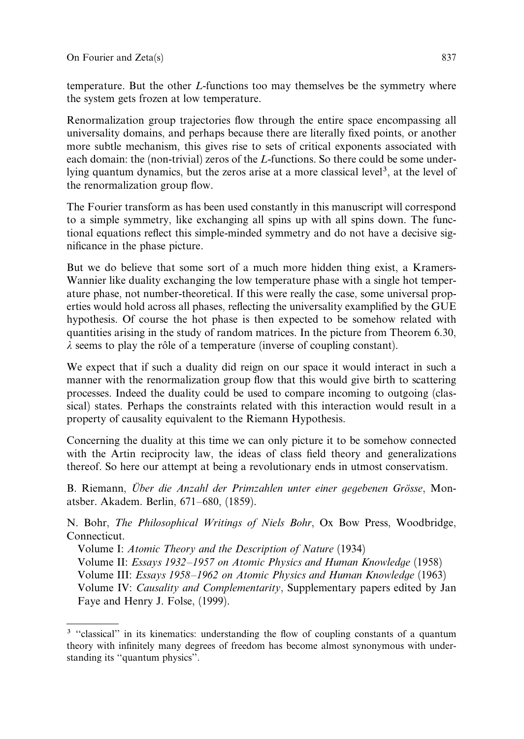temperature. But the other L-functions too may themselves be the symmetry where the system gets frozen at low temperature.

Renormalization group trajectories flow through the entire space encompassing all universality domains, and perhaps because there are literally fixed points, or another more subtle mechanism, this gives rise to sets of critical exponents associated with each domain: the (non-trivial) zeros of the L-functions. So there could be some underlying quantum dynamics, but the zeros arise at a more classical level<sup>3</sup>, at the level of the renormalization group flow.

The Fourier transform as has been used constantly in this manuscript will correspond to a simple symmetry, like exchanging all spins up with all spins down. The functional equations reflect this simple-minded symmetry and do not have a decisive significance in the phase picture.

But we do believe that some sort of a much more hidden thing exist, a Kramers-Wannier like duality exchanging the low temperature phase with a single hot temperature phase, not number-theoretical. If this were really the case, some universal properties would hold across all phases, reflecting the universality examplified by the GUE hypothesis. Of course the hot phase is then expected to be somehow related with quantities arising in the study of random matrices. In the picture from Theorem 6.30,  $\lambda$  seems to play the rôle of a temperature (inverse of coupling constant).

We expect that if such a duality did reign on our space it would interact in such a manner with the renormalization group flow that this would give birth to scattering processes. Indeed the duality could be used to compare incoming to outgoing (classical) states. Perhaps the constraints related with this interaction would result in a property of causality equivalent to the Riemann Hypothesis.

Concerning the duality at this time we can only picture it to be somehow connected with the Artin reciprocity law, the ideas of class field theory and generalizations thereof. So here our attempt at being a revolutionary ends in utmost conservatism.

B. Riemann, Über die Anzahl der Primzahlen unter einer gegebenen Grösse, Monatsber. Akadem. Berlin, 671–680, (1859).

N. Bohr, The Philosophical Writings of Niels Bohr, Ox Bow Press, Woodbridge, Connecticut.

Volume I: Atomic Theory and the Description of Nature (1934) Volume II: Essays 1932–1957 on Atomic Physics and Human Knowledge (1958) Volume III: Essays 1958–1962 on Atomic Physics and Human Knowledge (1963) Volume IV: Causality and Complementarity, Supplementary papers edited by Jan Faye and Henry J. Folse, (1999).

<sup>&</sup>lt;sup>3</sup> "classical" in its kinematics: understanding the flow of coupling constants of a quantum theory with infinitely many degrees of freedom has become almost synonymous with understanding its ''quantum physics''.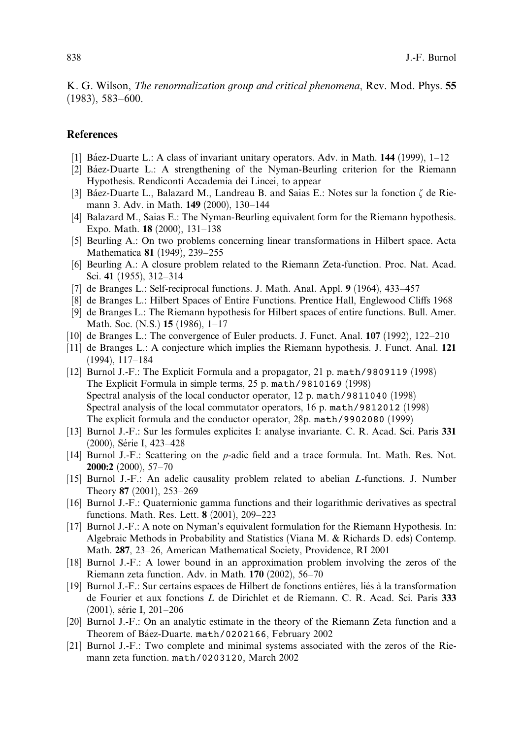K. G. Wilson, *The renormalization group and critical phenomena*, Rev. Mod. Phys. 55 (1983), 583–600.

### References

- [1] Báez-Duarte L.: A class of invariant unitary operators. Adv. in Math.  $144$  (1999), 1–12
- [2] Ba´ez-Duarte L.: A strengthening of the Nyman-Beurling criterion for the Riemann Hypothesis. Rendiconti Accademia dei Lincei, to appear
- [3] Báez-Duarte L., Balazard M., Landreau B. and Saias E.: Notes sur la fonction  $\zeta$  de Riemann 3. Adv. in Math. 149 (2000), 130–144
- [4] Balazard M., Saias E.: The Nyman-Beurling equivalent form for the Riemann hypothesis. Expo. Math. 18 (2000), 131–138
- [5] Beurling A.: On two problems concerning linear transformations in Hilbert space. Acta Mathematica 81 (1949), 239–255
- [6] Beurling A.: A closure problem related to the Riemann Zeta-function. Proc. Nat. Acad. Sci. 41 (1955), 312–314
- [7] de Branges L.: Self-reciprocal functions. J. Math. Anal. Appl. 9 (1964), 433–457
- [8] de Branges L.: Hilbert Spaces of Entire Functions. Prentice Hall, Englewood Cliffs 1968
- [9] de Branges L.: The Riemann hypothesis for Hilbert spaces of entire functions. Bull. Amer. Math. Soc. (N.S.) 15 (1986), 1–17
- [10] de Branges L.: The convergence of Euler products. J. Funct. Anal. 107 (1992), 122–210
- [11] de Branges L.: A conjecture which implies the Riemann hypothesis. J. Funct. Anal. 121 (1994), 117–184
- [12] Burnol J.-F.: The Explicit Formula and a propagator, 21 p. math/9809119 (1998) The Explicit Formula in simple terms, 25 p. math/9810169 (1998) Spectral analysis of the local conductor operator, 12 p. math/9811040 (1998) Spectral analysis of the local commutator operators, 16 p. math/9812012 (1998) The explicit formula and the conductor operator, 28p. math/9902080 (1999)
- [13] Burnol J.-F.: Sur les formules explicites I: analyse invariante. C. R. Acad. Sci. Paris 331 (2000), Série I, 423–428
- [14] Burnol J.-F.: Scattering on the p-adic field and a trace formula. Int. Math. Res. Not. 2000:2 (2000), 57–70
- [15] Burnol J.-F.: An adelic causality problem related to abelian L-functions. J. Number Theory 87 (2001), 253–269
- [16] Burnol J.-F.: Quaternionic gamma functions and their logarithmic derivatives as spectral functions. Math. Res. Lett. 8 (2001), 209–223
- [17] Burnol J.-F.: A note on Nyman's equivalent formulation for the Riemann Hypothesis. In: Algebraic Methods in Probability and Statistics (Viana M. & Richards D. eds) Contemp. Math. 287, 23–26, American Mathematical Society, Providence, RI 2001
- [18] Burnol J.-F.: A lower bound in an approximation problem involving the zeros of the Riemann zeta function. Adv. in Math. 170 (2002), 56–70
- [19] Burnol J.-F.: Sur certains espaces de Hilbert de fonctions entières, liés à la transformation de Fourier et aux fonctions L de Dirichlet et de Riemann. C. R. Acad. Sci. Paris 333 (2001), série I, 201-206
- [20] Burnol J.-F.: On an analytic estimate in the theory of the Riemann Zeta function and a Theorem of Báez-Duarte. math/0202166, February 2002
- [21] Burnol J.-F.: Two complete and minimal systems associated with the zeros of the Riemann zeta function. math/0203120, March 2002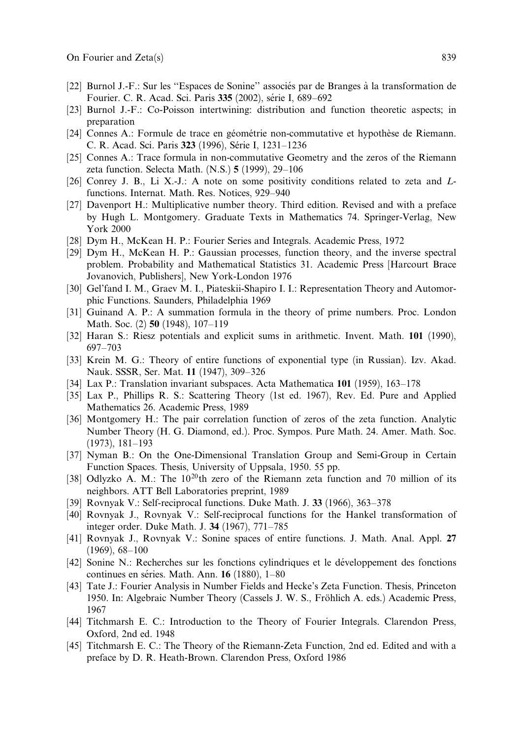- [22] Burnol J.-F.: Sur les ''Espaces de Sonine'' associe´s par de Branges a` la transformation de Fourier. C. R. Acad. Sci. Paris 335 (2002), série I, 689–692
- [23] Burnol J.-F.: Co-Poisson intertwining: distribution and function theoretic aspects; in preparation
- [24] Connes A.: Formule de trace en géométrie non-commutative et hypothèse de Riemann. C. R. Acad. Sci. Paris 323 (1996), Série I, 1231-1236
- [25] Connes A.: Trace formula in non-commutative Geometry and the zeros of the Riemann zeta function. Selecta Math. (N.S.) 5 (1999), 29–106
- [26] Conrey J. B., Li X.-J.: A note on some positivity conditions related to zeta and Lfunctions. Internat. Math. Res. Notices, 929–940
- [27] Davenport H.: Multiplicative number theory. Third edition. Revised and with a preface by Hugh L. Montgomery. Graduate Texts in Mathematics 74. Springer-Verlag, New York 2000
- [28] Dym H., McKean H. P.: Fourier Series and Integrals. Academic Press, 1972
- [29] Dym H., McKean H. P.: Gaussian processes, function theory, and the inverse spectral problem. Probability and Mathematical Statistics 31. Academic Press [Harcourt Brace Jovanovich, Publishers], New York-London 1976
- [30] Gel'fand I. M., Graev M. I., Piateskii-Shapiro I. I.: Representation Theory and Automorphic Functions. Saunders, Philadelphia 1969
- [31] Guinand A. P.: A summation formula in the theory of prime numbers. Proc. London Math. Soc. (2) 50 (1948), 107–119
- [32] Haran S.: Riesz potentials and explicit sums in arithmetic. Invent. Math. 101 (1990), 697–703
- [33] Krein M. G.: Theory of entire functions of exponential type (in Russian). Izv. Akad. Nauk. SSSR, Ser. Mat. 11 (1947), 309–326
- [34] Lax P.: Translation invariant subspaces. Acta Mathematica 101 (1959), 163–178
- [35] Lax P., Phillips R. S.: Scattering Theory (1st ed. 1967), Rev. Ed. Pure and Applied Mathematics 26. Academic Press, 1989
- [36] Montgomery H.: The pair correlation function of zeros of the zeta function. Analytic Number Theory (H. G. Diamond, ed.). Proc. Sympos. Pure Math. 24. Amer. Math. Soc. (1973), 181–193
- [37] Nyman B.: On the One-Dimensional Translation Group and Semi-Group in Certain Function Spaces. Thesis, University of Uppsala, 1950. 55 pp.
- [38] Odlyzko A. M.: The  $10^{20}$ th zero of the Riemann zeta function and 70 million of its neighbors. ATT Bell Laboratories preprint, 1989
- [39] Rovnyak V.: Self-reciprocal functions. Duke Math. J. 33 (1966), 363–378
- [40] Rovnyak J., Rovnyak V.: Self-reciprocal functions for the Hankel transformation of integer order. Duke Math. J. 34 (1967), 771–785
- [41] Rovnyak J., Rovnyak V.: Sonine spaces of entire functions. J. Math. Anal. Appl. 27 (1969), 68–100
- [42] Sonine N.: Recherches sur les fonctions cylindriques et le de´veloppement des fonctions continues en séries. Math. Ann.  $16$  (1880), 1–80
- [43] Tate J.: Fourier Analysis in Number Fields and Hecke's Zeta Function. Thesis, Princeton 1950. In: Algebraic Number Theory (Cassels J. W. S., Fröhlich A. eds.) Academic Press, 1967
- [44] Titchmarsh E. C.: Introduction to the Theory of Fourier Integrals. Clarendon Press, Oxford, 2nd ed. 1948
- [45] Titchmarsh E. C.: The Theory of the Riemann-Zeta Function, 2nd ed. Edited and with a preface by D. R. Heath-Brown. Clarendon Press, Oxford 1986